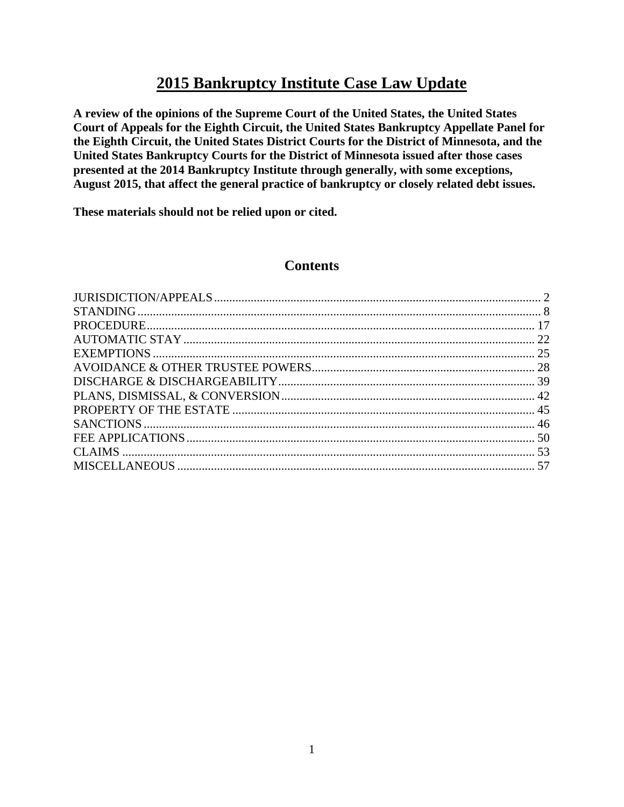# **2015 Bankruptcy Institute Case Law Update**

**A review of the opinions of the Supreme Court of the United States, the United States Court of Appeals for the Eighth Circuit, the United States Bankruptcy Appellate Panel for the Eighth Circuit, the United States District Courts for the District of Minnesota, and the United States Bankruptcy Courts for the District of Minnesota issued after those cases presented at the 2014 Bankruptcy Institute through generally, with some exceptions, August 2015, that affect the general practice of bankruptcy or closely related debt issues.**

**These materials should not be relied upon or cited.** 

# **Contents**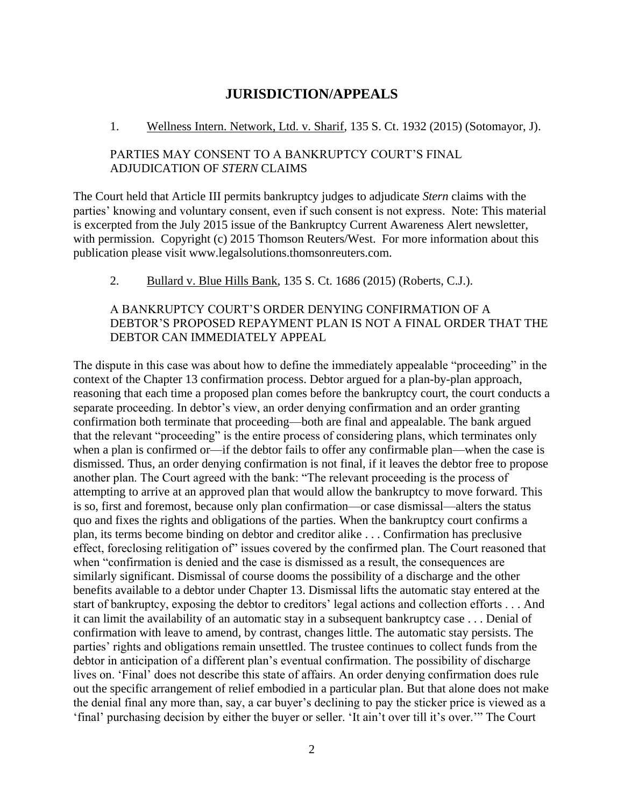# **JURISDICTION/APPEALS**

#### <span id="page-1-0"></span>1. Wellness Intern. Network, Ltd. v. Sharif, 135 S. Ct. 1932 (2015) (Sotomayor, J).

# PARTIES MAY CONSENT TO A BANKRUPTCY COURT'S FINAL ADJUDICATION OF *STERN* CLAIMS

The Court held that Article III permits bankruptcy judges to adjudicate *Stern* claims with the parties' knowing and voluntary consent, even if such consent is not express. Note: This material is excerpted from the July 2015 issue of the Bankruptcy Current Awareness Alert newsletter, with permission. Copyright (c) 2015 Thomson Reuters/West. For more information about this publication please visit www.legalsolutions.thomsonreuters.com.

2. Bullard v. Blue Hills Bank, 135 S. Ct. 1686 (2015) (Roberts, C.J.).

# A BANKRUPTCY COURT'S ORDER DENYING CONFIRMATION OF A DEBTOR'S PROPOSED REPAYMENT PLAN IS NOT A FINAL ORDER THAT THE DEBTOR CAN IMMEDIATELY APPEAL

The dispute in this case was about how to define the immediately appealable "proceeding" in the context of the Chapter 13 confirmation process. Debtor argued for a plan-by-plan approach, reasoning that each time a proposed plan comes before the bankruptcy court, the court conducts a separate proceeding. In debtor's view, an order denying confirmation and an order granting confirmation both terminate that proceeding—both are final and appealable. The bank argued that the relevant "proceeding" is the entire process of considering plans, which terminates only when a plan is confirmed or—if the debtor fails to offer any confirmable plan—when the case is dismissed. Thus, an order denying confirmation is not final, if it leaves the debtor free to propose another plan. The Court agreed with the bank: "The relevant proceeding is the process of attempting to arrive at an approved plan that would allow the bankruptcy to move forward. This is so, first and foremost, because only plan confirmation—or case dismissal—alters the status quo and fixes the rights and obligations of the parties. When the bankruptcy court confirms a plan, its terms become binding on debtor and creditor alike . . . Confirmation has preclusive effect, foreclosing relitigation of" issues covered by the confirmed plan. The Court reasoned that when "confirmation is denied and the case is dismissed as a result, the consequences are similarly significant. Dismissal of course dooms the possibility of a discharge and the other benefits available to a debtor under Chapter 13. Dismissal lifts the automatic stay entered at the start of bankruptcy, exposing the debtor to creditors' legal actions and collection efforts . . . And it can limit the availability of an automatic stay in a subsequent bankruptcy case . . . Denial of confirmation with leave to amend, by contrast, changes little. The automatic stay persists. The parties' rights and obligations remain unsettled. The trustee continues to collect funds from the debtor in anticipation of a different plan's eventual confirmation. The possibility of discharge lives on. 'Final' does not describe this state of affairs. An order denying confirmation does rule out the specific arrangement of relief embodied in a particular plan. But that alone does not make the denial final any more than, say, a car buyer's declining to pay the sticker price is viewed as a 'final' purchasing decision by either the buyer or seller. 'It ain't over till it's over.'" The Court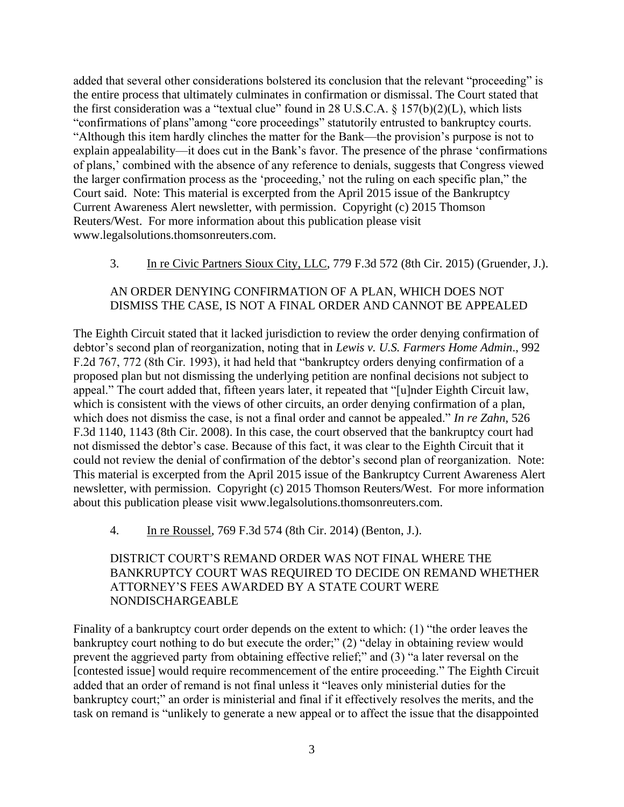added that several other considerations bolstered its conclusion that the relevant "proceeding" is the entire process that ultimately culminates in confirmation or dismissal. The Court stated that the first consideration was a "textual clue" found in 28 U.S.C.A.  $\S$  157(b)(2)(L), which lists "confirmations of plans"among "core proceedings" statutorily entrusted to bankruptcy courts. "Although this item hardly clinches the matter for the Bank—the provision's purpose is not to explain appealability—it does cut in the Bank's favor. The presence of the phrase 'confirmations of plans,' combined with the absence of any reference to denials, suggests that Congress viewed the larger confirmation process as the 'proceeding,' not the ruling on each specific plan," the Court said. Note: This material is excerpted from the April 2015 issue of the Bankruptcy Current Awareness Alert newsletter, with permission. Copyright (c) 2015 Thomson Reuters/West. For more information about this publication please visit www.legalsolutions.thomsonreuters.com.

3. In re Civic Partners Sioux City, LLC, 779 F.3d 572 (8th Cir. 2015) (Gruender, J.).

## AN ORDER DENYING CONFIRMATION OF A PLAN, WHICH DOES NOT DISMISS THE CASE, IS NOT A FINAL ORDER AND CANNOT BE APPEALED

The Eighth Circuit stated that it lacked jurisdiction to review the order denying confirmation of debtor's second plan of reorganization, noting that in *Lewis v. U.S. Farmers Home Admin*., 992 F.2d 767, 772 (8th Cir. 1993), it had held that "bankruptcy orders denying confirmation of a proposed plan but not dismissing the underlying petition are nonfinal decisions not subject to appeal." The court added that, fifteen years later, it repeated that "[u]nder Eighth Circuit law, which is consistent with the views of other circuits, an order denying confirmation of a plan, which does not dismiss the case, is not a final order and cannot be appealed." *In re Zahn*, 526 F.3d 1140, 1143 (8th Cir. 2008). In this case, the court observed that the bankruptcy court had not dismissed the debtor's case. Because of this fact, it was clear to the Eighth Circuit that it could not review the denial of confirmation of the debtor's second plan of reorganization. Note: This material is excerpted from the April 2015 issue of the Bankruptcy Current Awareness Alert newsletter, with permission. Copyright (c) 2015 Thomson Reuters/West. For more information about this publication please visit www.legalsolutions.thomsonreuters.com.

4. In re Roussel, 769 F.3d 574 (8th Cir. 2014) (Benton, J.).

## DISTRICT COURT'S REMAND ORDER WAS NOT FINAL WHERE THE BANKRUPTCY COURT WAS REQUIRED TO DECIDE ON REMAND WHETHER ATTORNEY'S FEES AWARDED BY A STATE COURT WERE NONDISCHARGEABLE

Finality of a bankruptcy court order depends on the extent to which: (1) "the order leaves the bankruptcy court nothing to do but execute the order;" (2) "delay in obtaining review would prevent the aggrieved party from obtaining effective relief;" and (3) "a later reversal on the [contested issue] would require recommencement of the entire proceeding." The Eighth Circuit added that an order of remand is not final unless it "leaves only ministerial duties for the bankruptcy court;" an order is ministerial and final if it effectively resolves the merits, and the task on remand is "unlikely to generate a new appeal or to affect the issue that the disappointed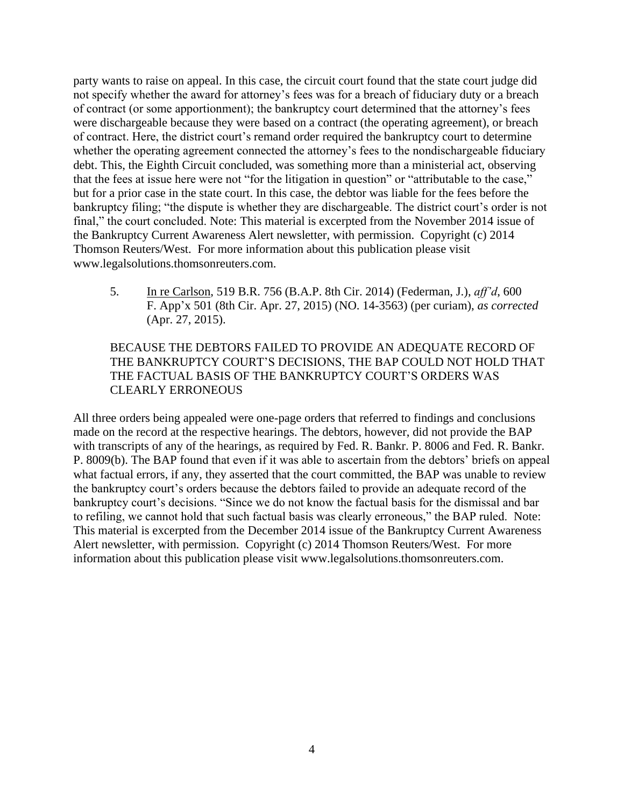party wants to raise on appeal. In this case, the circuit court found that the state court judge did not specify whether the award for attorney's fees was for a breach of fiduciary duty or a breach of contract (or some apportionment); the bankruptcy court determined that the attorney's fees were dischargeable because they were based on a contract (the operating agreement), or breach of contract. Here, the district court's remand order required the bankruptcy court to determine whether the operating agreement connected the attorney's fees to the nondischargeable fiduciary debt. This, the Eighth Circuit concluded, was something more than a ministerial act, observing that the fees at issue here were not "for the litigation in question" or "attributable to the case," but for a prior case in the state court. In this case, the debtor was liable for the fees before the bankruptcy filing; "the dispute is whether they are dischargeable. The district court's order is not final," the court concluded. Note: This material is excerpted from the November 2014 issue of the Bankruptcy Current Awareness Alert newsletter, with permission. Copyright (c) 2014 Thomson Reuters/West. For more information about this publication please visit www.legalsolutions.thomsonreuters.com.

5. In re Carlson, 519 B.R. 756 (B.A.P. 8th Cir. 2014) (Federman, J.), *aff'd*, 600 F. App'x 501 (8th Cir. Apr. 27, 2015) (NO. 14-3563) (per curiam), *as corrected* (Apr. 27, 2015).

# BECAUSE THE DEBTORS FAILED TO PROVIDE AN ADEQUATE RECORD OF THE BANKRUPTCY COURT'S DECISIONS, THE BAP COULD NOT HOLD THAT THE FACTUAL BASIS OF THE BANKRUPTCY COURT'S ORDERS WAS CLEARLY ERRONEOUS

All three orders being appealed were one-page orders that referred to findings and conclusions made on the record at the respective hearings. The debtors, however, did not provide the BAP with transcripts of any of the hearings, as required by Fed. R. Bankr. P. 8006 and Fed. R. Bankr. P. 8009(b). The BAP found that even if it was able to ascertain from the debtors' briefs on appeal what factual errors, if any, they asserted that the court committed, the BAP was unable to review the bankruptcy court's orders because the debtors failed to provide an adequate record of the bankruptcy court's decisions. "Since we do not know the factual basis for the dismissal and bar to refiling, we cannot hold that such factual basis was clearly erroneous," the BAP ruled. Note: This material is excerpted from the December 2014 issue of the Bankruptcy Current Awareness Alert newsletter, with permission. Copyright (c) 2014 Thomson Reuters/West. For more information about this publication please visit www.legalsolutions.thomsonreuters.com.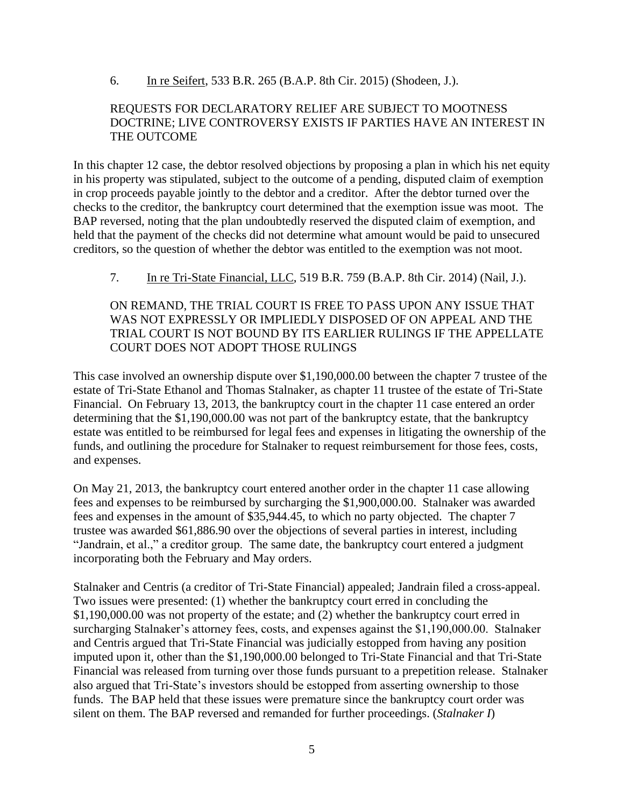6. In re Seifert, 533 B.R. 265 (B.A.P. 8th Cir. 2015) (Shodeen, J.).

#### REQUESTS FOR DECLARATORY RELIEF ARE SUBJECT TO MOOTNESS DOCTRINE; LIVE CONTROVERSY EXISTS IF PARTIES HAVE AN INTEREST IN THE OUTCOME

In this chapter 12 case, the debtor resolved objections by proposing a plan in which his net equity in his property was stipulated, subject to the outcome of a pending, disputed claim of exemption in crop proceeds payable jointly to the debtor and a creditor. After the debtor turned over the checks to the creditor, the bankruptcy court determined that the exemption issue was moot. The BAP reversed, noting that the plan undoubtedly reserved the disputed claim of exemption, and held that the payment of the checks did not determine what amount would be paid to unsecured creditors, so the question of whether the debtor was entitled to the exemption was not moot.

7. In re Tri-State Financial, LLC, 519 B.R. 759 (B.A.P. 8th Cir. 2014) (Nail, J.).

ON REMAND, THE TRIAL COURT IS FREE TO PASS UPON ANY ISSUE THAT WAS NOT EXPRESSLY OR IMPLIEDLY DISPOSED OF ON APPEAL AND THE TRIAL COURT IS NOT BOUND BY ITS EARLIER RULINGS IF THE APPELLATE COURT DOES NOT ADOPT THOSE RULINGS

This case involved an ownership dispute over \$1,190,000.00 between the chapter 7 trustee of the estate of Tri-State Ethanol and Thomas Stalnaker, as chapter 11 trustee of the estate of Tri-State Financial. On February 13, 2013, the bankruptcy court in the chapter 11 case entered an order determining that the \$1,190,000.00 was not part of the bankruptcy estate, that the bankruptcy estate was entitled to be reimbursed for legal fees and expenses in litigating the ownership of the funds, and outlining the procedure for Stalnaker to request reimbursement for those fees, costs, and expenses.

On May 21, 2013, the bankruptcy court entered another order in the chapter 11 case allowing fees and expenses to be reimbursed by surcharging the \$1,900,000.00. Stalnaker was awarded fees and expenses in the amount of \$35,944.45, to which no party objected. The chapter 7 trustee was awarded \$61,886.90 over the objections of several parties in interest, including "Jandrain, et al.," a creditor group. The same date, the bankruptcy court entered a judgment incorporating both the February and May orders.

Stalnaker and Centris (a creditor of Tri-State Financial) appealed; Jandrain filed a cross-appeal. Two issues were presented: (1) whether the bankruptcy court erred in concluding the \$1,190,000.00 was not property of the estate; and (2) whether the bankruptcy court erred in surcharging Stalnaker's attorney fees, costs, and expenses against the \$1,190,000.00. Stalnaker and Centris argued that Tri-State Financial was judicially estopped from having any position imputed upon it, other than the \$1,190,000.00 belonged to Tri-State Financial and that Tri-State Financial was released from turning over those funds pursuant to a prepetition release. Stalnaker also argued that Tri-State's investors should be estopped from asserting ownership to those funds. The BAP held that these issues were premature since the bankruptcy court order was silent on them. The BAP reversed and remanded for further proceedings. (*Stalnaker I*)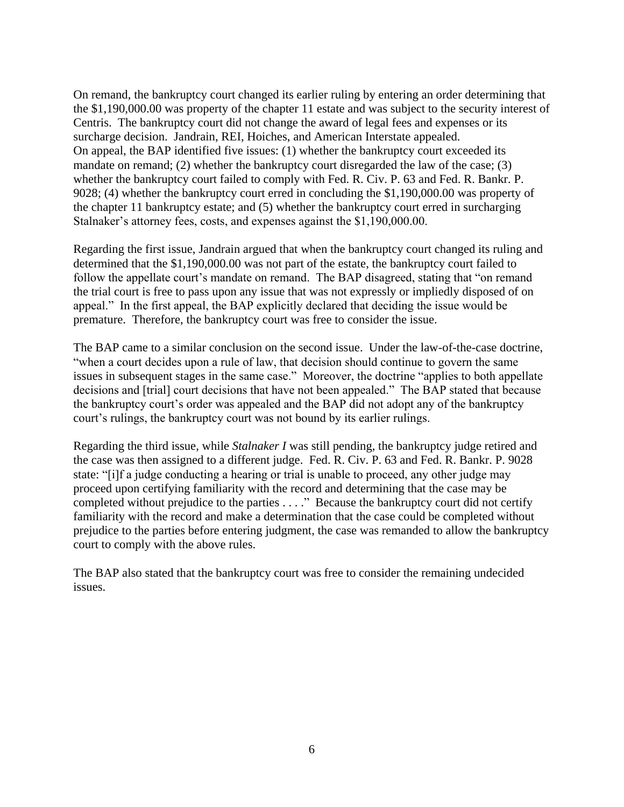On remand, the bankruptcy court changed its earlier ruling by entering an order determining that the \$1,190,000.00 was property of the chapter 11 estate and was subject to the security interest of Centris. The bankruptcy court did not change the award of legal fees and expenses or its surcharge decision. Jandrain, REI, Hoiches, and American Interstate appealed. On appeal, the BAP identified five issues: (1) whether the bankruptcy court exceeded its mandate on remand; (2) whether the bankruptcy court disregarded the law of the case; (3) whether the bankruptcy court failed to comply with Fed. R. Civ. P. 63 and Fed. R. Bankr. P. 9028; (4) whether the bankruptcy court erred in concluding the \$1,190,000.00 was property of the chapter 11 bankruptcy estate; and (5) whether the bankruptcy court erred in surcharging Stalnaker's attorney fees, costs, and expenses against the \$1,190,000.00.

Regarding the first issue, Jandrain argued that when the bankruptcy court changed its ruling and determined that the \$1,190,000.00 was not part of the estate, the bankruptcy court failed to follow the appellate court's mandate on remand. The BAP disagreed, stating that "on remand the trial court is free to pass upon any issue that was not expressly or impliedly disposed of on appeal." In the first appeal, the BAP explicitly declared that deciding the issue would be premature. Therefore, the bankruptcy court was free to consider the issue.

The BAP came to a similar conclusion on the second issue. Under the law-of-the-case doctrine, "when a court decides upon a rule of law, that decision should continue to govern the same issues in subsequent stages in the same case." Moreover, the doctrine "applies to both appellate decisions and [trial] court decisions that have not been appealed." The BAP stated that because the bankruptcy court's order was appealed and the BAP did not adopt any of the bankruptcy court's rulings, the bankruptcy court was not bound by its earlier rulings.

Regarding the third issue, while *Stalnaker I* was still pending, the bankruptcy judge retired and the case was then assigned to a different judge. Fed. R. Civ. P. 63 and Fed. R. Bankr. P. 9028 state: "[i]f a judge conducting a hearing or trial is unable to proceed, any other judge may proceed upon certifying familiarity with the record and determining that the case may be completed without prejudice to the parties . . . ." Because the bankruptcy court did not certify familiarity with the record and make a determination that the case could be completed without prejudice to the parties before entering judgment, the case was remanded to allow the bankruptcy court to comply with the above rules.

The BAP also stated that the bankruptcy court was free to consider the remaining undecided issues.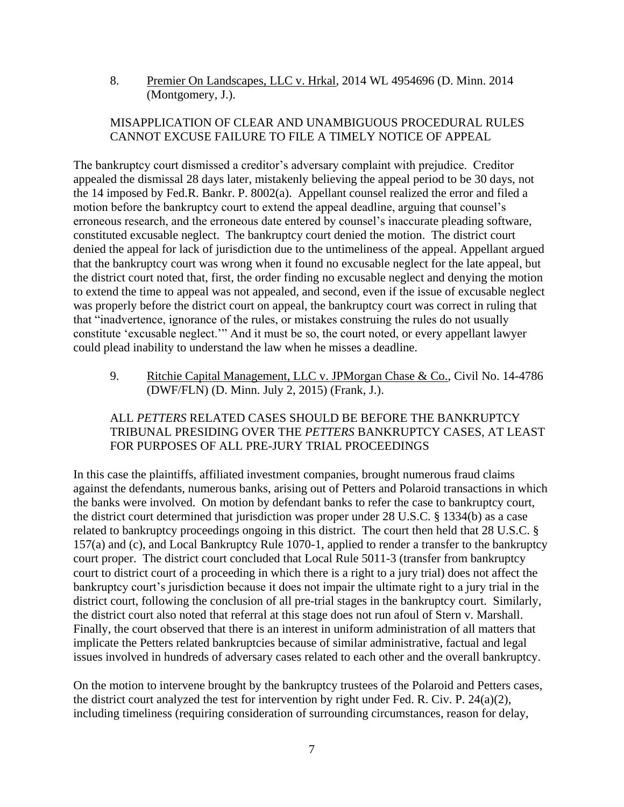8. Premier On Landscapes, LLC v. Hrkal, 2014 WL 4954696 (D. Minn. 2014 (Montgomery, J.).

# MISAPPLICATION OF CLEAR AND UNAMBIGUOUS PROCEDURAL RULES CANNOT EXCUSE FAILURE TO FILE A TIMELY NOTICE OF APPEAL

The bankruptcy court dismissed a creditor's adversary complaint with prejudice. Creditor appealed the dismissal 28 days later, mistakenly believing the appeal period to be 30 days, not the 14 imposed by Fed.R. Bankr. P. 8002(a). Appellant counsel realized the error and filed a motion before the bankruptcy court to extend the appeal deadline, arguing that counsel's erroneous research, and the erroneous date entered by counsel's inaccurate pleading software, constituted excusable neglect. The bankruptcy court denied the motion. The district court denied the appeal for lack of jurisdiction due to the untimeliness of the appeal. Appellant argued that the bankruptcy court was wrong when it found no excusable neglect for the late appeal, but the district court noted that, first, the order finding no excusable neglect and denying the motion to extend the time to appeal was not appealed, and second, even if the issue of excusable neglect was properly before the district court on appeal, the bankruptcy court was correct in ruling that that "inadvertence, ignorance of the rules, or mistakes construing the rules do not usually constitute 'excusable neglect.'" And it must be so, the court noted, or every appellant lawyer could plead inability to understand the law when he misses a deadline.

9. Ritchie Capital Management, LLC v. JPMorgan Chase & Co., Civil No. 14-4786 (DWF/FLN) (D. Minn. July 2, 2015) (Frank, J.).

# ALL *PETTERS* RELATED CASES SHOULD BE BEFORE THE BANKRUPTCY TRIBUNAL PRESIDING OVER THE *PETTERS* BANKRUPTCY CASES, AT LEAST FOR PURPOSES OF ALL PRE-JURY TRIAL PROCEEDINGS

In this case the plaintiffs, affiliated investment companies, brought numerous fraud claims against the defendants, numerous banks, arising out of Petters and Polaroid transactions in which the banks were involved. On motion by defendant banks to refer the case to bankruptcy court, the district court determined that jurisdiction was proper under 28 U.S.C. § 1334(b) as a case related to bankruptcy proceedings ongoing in this district. The court then held that 28 U.S.C. § 157(a) and (c), and Local Bankruptcy Rule 1070-1, applied to render a transfer to the bankruptcy court proper. The district court concluded that Local Rule 5011-3 (transfer from bankruptcy court to district court of a proceeding in which there is a right to a jury trial) does not affect the bankruptcy court's jurisdiction because it does not impair the ultimate right to a jury trial in the district court, following the conclusion of all pre-trial stages in the bankruptcy court. Similarly, the district court also noted that referral at this stage does not run afoul of Stern v. Marshall. Finally, the court observed that there is an interest in uniform administration of all matters that implicate the Petters related bankruptcies because of similar administrative, factual and legal issues involved in hundreds of adversary cases related to each other and the overall bankruptcy.

On the motion to intervene brought by the bankruptcy trustees of the Polaroid and Petters cases, the district court analyzed the test for intervention by right under Fed. R. Civ. P. 24(a)(2), including timeliness (requiring consideration of surrounding circumstances, reason for delay,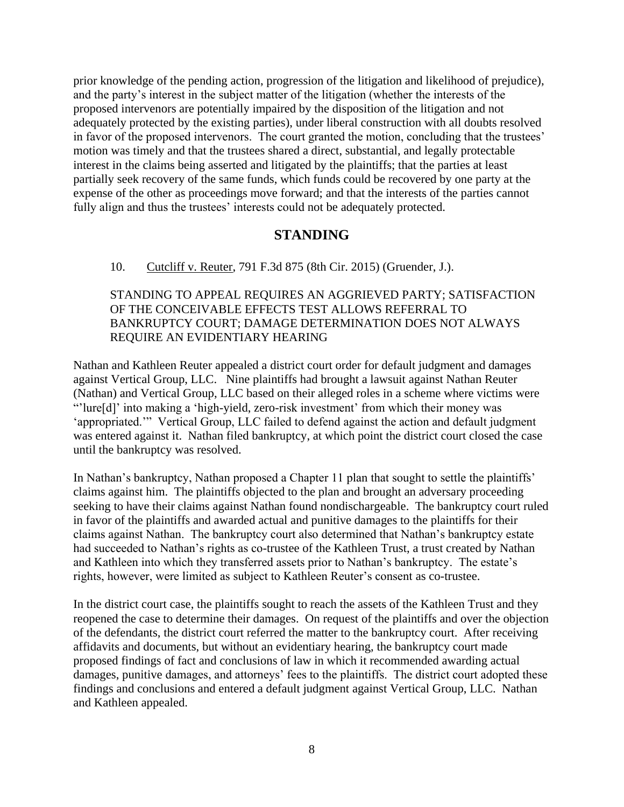prior knowledge of the pending action, progression of the litigation and likelihood of prejudice), and the party's interest in the subject matter of the litigation (whether the interests of the proposed intervenors are potentially impaired by the disposition of the litigation and not adequately protected by the existing parties), under liberal construction with all doubts resolved in favor of the proposed intervenors. The court granted the motion, concluding that the trustees' motion was timely and that the trustees shared a direct, substantial, and legally protectable interest in the claims being asserted and litigated by the plaintiffs; that the parties at least partially seek recovery of the same funds, which funds could be recovered by one party at the expense of the other as proceedings move forward; and that the interests of the parties cannot fully align and thus the trustees' interests could not be adequately protected.

# **STANDING**

#### <span id="page-7-0"></span>10. Cutcliff v. Reuter, 791 F.3d 875 (8th Cir. 2015) (Gruender, J.).

### STANDING TO APPEAL REQUIRES AN AGGRIEVED PARTY; SATISFACTION OF THE CONCEIVABLE EFFECTS TEST ALLOWS REFERRAL TO BANKRUPTCY COURT; DAMAGE DETERMINATION DOES NOT ALWAYS REQUIRE AN EVIDENTIARY HEARING

Nathan and Kathleen Reuter appealed a district court order for default judgment and damages against Vertical Group, LLC. Nine plaintiffs had brought a lawsuit against Nathan Reuter (Nathan) and Vertical Group, LLC based on their alleged roles in a scheme where victims were "'lure[d]' into making a 'high-yield, zero-risk investment' from which their money was 'appropriated.'" Vertical Group, LLC failed to defend against the action and default judgment was entered against it. Nathan filed bankruptcy, at which point the district court closed the case until the bankruptcy was resolved.

In Nathan's bankruptcy, Nathan proposed a Chapter 11 plan that sought to settle the plaintiffs' claims against him. The plaintiffs objected to the plan and brought an adversary proceeding seeking to have their claims against Nathan found nondischargeable. The bankruptcy court ruled in favor of the plaintiffs and awarded actual and punitive damages to the plaintiffs for their claims against Nathan. The bankruptcy court also determined that Nathan's bankruptcy estate had succeeded to Nathan's rights as co-trustee of the Kathleen Trust, a trust created by Nathan and Kathleen into which they transferred assets prior to Nathan's bankruptcy. The estate's rights, however, were limited as subject to Kathleen Reuter's consent as co-trustee.

In the district court case, the plaintiffs sought to reach the assets of the Kathleen Trust and they reopened the case to determine their damages. On request of the plaintiffs and over the objection of the defendants, the district court referred the matter to the bankruptcy court. After receiving affidavits and documents, but without an evidentiary hearing, the bankruptcy court made proposed findings of fact and conclusions of law in which it recommended awarding actual damages, punitive damages, and attorneys' fees to the plaintiffs. The district court adopted these findings and conclusions and entered a default judgment against Vertical Group, LLC. Nathan and Kathleen appealed.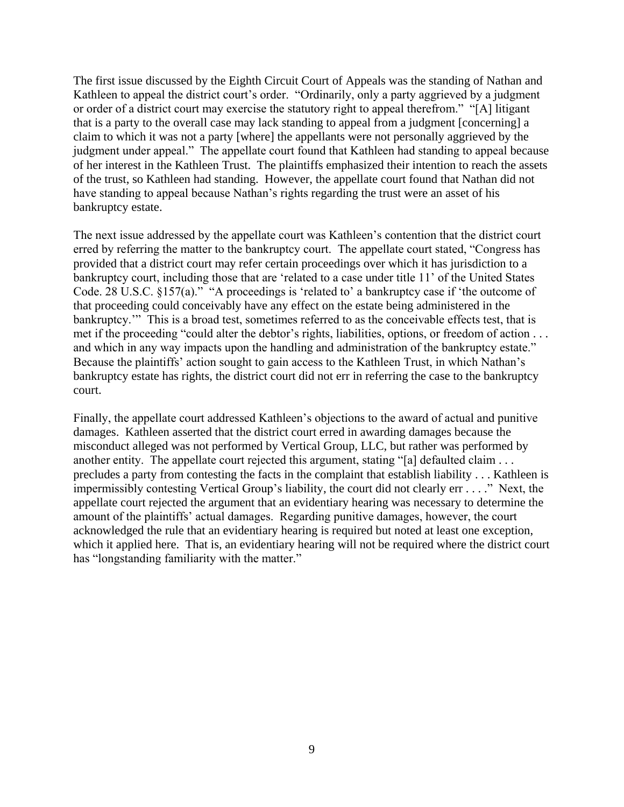The first issue discussed by the Eighth Circuit Court of Appeals was the standing of Nathan and Kathleen to appeal the district court's order. "Ordinarily, only a party aggrieved by a judgment or order of a district court may exercise the statutory right to appeal therefrom." "[A] litigant that is a party to the overall case may lack standing to appeal from a judgment [concerning] a claim to which it was not a party [where] the appellants were not personally aggrieved by the judgment under appeal." The appellate court found that Kathleen had standing to appeal because of her interest in the Kathleen Trust. The plaintiffs emphasized their intention to reach the assets of the trust, so Kathleen had standing. However, the appellate court found that Nathan did not have standing to appeal because Nathan's rights regarding the trust were an asset of his bankruptcy estate.

The next issue addressed by the appellate court was Kathleen's contention that the district court erred by referring the matter to the bankruptcy court. The appellate court stated, "Congress has provided that a district court may refer certain proceedings over which it has jurisdiction to a bankruptcy court, including those that are 'related to a case under title 11' of the United States Code. 28 U.S.C. §157(a)." "A proceedings is 'related to' a bankruptcy case if 'the outcome of that proceeding could conceivably have any effect on the estate being administered in the bankruptcy.'" This is a broad test, sometimes referred to as the conceivable effects test, that is met if the proceeding "could alter the debtor's rights, liabilities, options, or freedom of action . . . and which in any way impacts upon the handling and administration of the bankruptcy estate." Because the plaintiffs' action sought to gain access to the Kathleen Trust, in which Nathan's bankruptcy estate has rights, the district court did not err in referring the case to the bankruptcy court.

Finally, the appellate court addressed Kathleen's objections to the award of actual and punitive damages. Kathleen asserted that the district court erred in awarding damages because the misconduct alleged was not performed by Vertical Group, LLC, but rather was performed by another entity. The appellate court rejected this argument, stating "[a] defaulted claim ... precludes a party from contesting the facts in the complaint that establish liability . . . Kathleen is impermissibly contesting Vertical Group's liability, the court did not clearly err . . . ." Next, the appellate court rejected the argument that an evidentiary hearing was necessary to determine the amount of the plaintiffs' actual damages. Regarding punitive damages, however, the court acknowledged the rule that an evidentiary hearing is required but noted at least one exception, which it applied here. That is, an evidentiary hearing will not be required where the district court has "longstanding familiarity with the matter."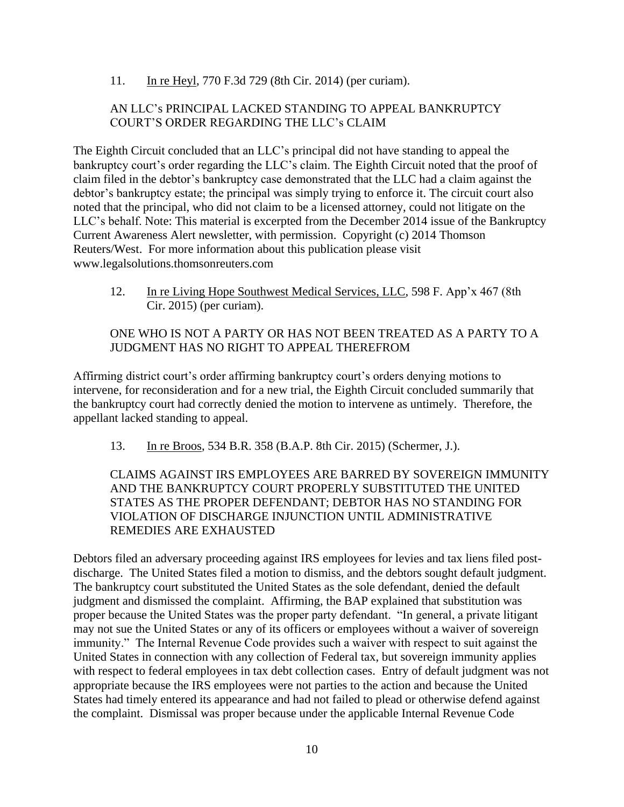11. In re Heyl, 770 F.3d 729 (8th Cir. 2014) (per curiam).

## AN LLC's PRINCIPAL LACKED STANDING TO APPEAL BANKRUPTCY COURT'S ORDER REGARDING THE LLC's CLAIM

The Eighth Circuit concluded that an LLC's principal did not have standing to appeal the bankruptcy court's order regarding the LLC's claim. The Eighth Circuit noted that the proof of claim filed in the debtor's bankruptcy case demonstrated that the LLC had a claim against the debtor's bankruptcy estate; the principal was simply trying to enforce it. The circuit court also noted that the principal, who did not claim to be a licensed attorney, could not litigate on the LLC's behalf. Note: This material is excerpted from the December 2014 issue of the Bankruptcy Current Awareness Alert newsletter, with permission. Copyright (c) 2014 Thomson Reuters/West. For more information about this publication please visit www.legalsolutions.thomsonreuters.com

12. In re Living Hope Southwest Medical Services, LLC, 598 F. App'x 467 (8th Cir. 2015) (per curiam).

#### ONE WHO IS NOT A PARTY OR HAS NOT BEEN TREATED AS A PARTY TO A JUDGMENT HAS NO RIGHT TO APPEAL THEREFROM

Affirming district court's order affirming bankruptcy court's orders denying motions to intervene, for reconsideration and for a new trial, the Eighth Circuit concluded summarily that the bankruptcy court had correctly denied the motion to intervene as untimely. Therefore, the appellant lacked standing to appeal.

13. In re Broos, 534 B.R. 358 (B.A.P. 8th Cir. 2015) (Schermer, J.).

CLAIMS AGAINST IRS EMPLOYEES ARE BARRED BY SOVEREIGN IMMUNITY AND THE BANKRUPTCY COURT PROPERLY SUBSTITUTED THE UNITED STATES AS THE PROPER DEFENDANT; DEBTOR HAS NO STANDING FOR VIOLATION OF DISCHARGE INJUNCTION UNTIL ADMINISTRATIVE REMEDIES ARE EXHAUSTED

Debtors filed an adversary proceeding against IRS employees for levies and tax liens filed postdischarge. The United States filed a motion to dismiss, and the debtors sought default judgment. The bankruptcy court substituted the United States as the sole defendant, denied the default judgment and dismissed the complaint. Affirming, the BAP explained that substitution was proper because the United States was the proper party defendant. "In general, a private litigant may not sue the United States or any of its officers or employees without a waiver of sovereign immunity." The Internal Revenue Code provides such a waiver with respect to suit against the United States in connection with any collection of Federal tax, but sovereign immunity applies with respect to federal employees in tax debt collection cases. Entry of default judgment was not appropriate because the IRS employees were not parties to the action and because the United States had timely entered its appearance and had not failed to plead or otherwise defend against the complaint. Dismissal was proper because under the applicable Internal Revenue Code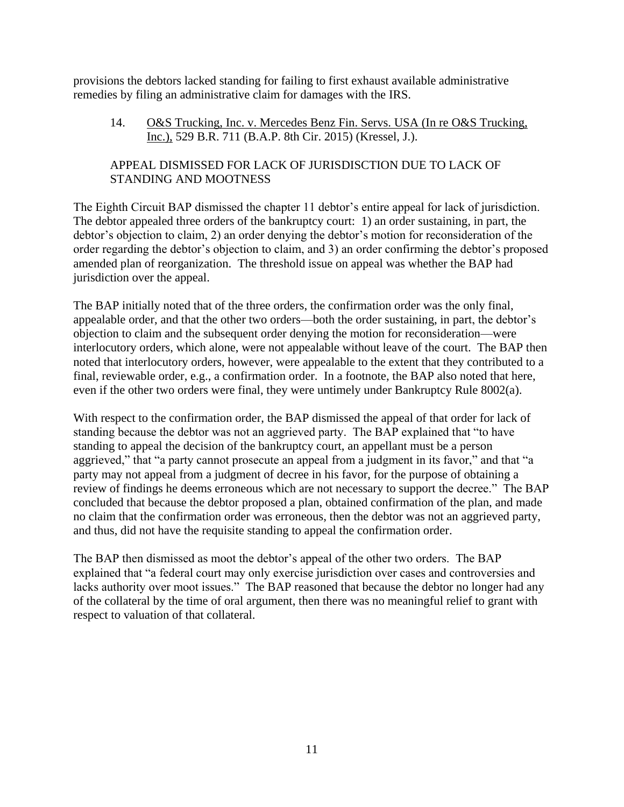provisions the debtors lacked standing for failing to first exhaust available administrative remedies by filing an administrative claim for damages with the IRS.

14. O&S Trucking, Inc. v. Mercedes Benz Fin. Servs. USA (In re O&S Trucking, Inc.), 529 B.R. 711 (B.A.P. 8th Cir. 2015) (Kressel, J.).

# APPEAL DISMISSED FOR LACK OF JURISDISCTION DUE TO LACK OF STANDING AND MOOTNESS

The Eighth Circuit BAP dismissed the chapter 11 debtor's entire appeal for lack of jurisdiction. The debtor appealed three orders of the bankruptcy court: 1) an order sustaining, in part, the debtor's objection to claim, 2) an order denying the debtor's motion for reconsideration of the order regarding the debtor's objection to claim, and 3) an order confirming the debtor's proposed amended plan of reorganization. The threshold issue on appeal was whether the BAP had jurisdiction over the appeal.

The BAP initially noted that of the three orders, the confirmation order was the only final, appealable order, and that the other two orders—both the order sustaining, in part, the debtor's objection to claim and the subsequent order denying the motion for reconsideration—were interlocutory orders, which alone, were not appealable without leave of the court. The BAP then noted that interlocutory orders, however, were appealable to the extent that they contributed to a final, reviewable order, e.g., a confirmation order. In a footnote, the BAP also noted that here, even if the other two orders were final, they were untimely under Bankruptcy Rule 8002(a).

With respect to the confirmation order, the BAP dismissed the appeal of that order for lack of standing because the debtor was not an aggrieved party. The BAP explained that "to have standing to appeal the decision of the bankruptcy court, an appellant must be a person aggrieved," that "a party cannot prosecute an appeal from a judgment in its favor," and that "a party may not appeal from a judgment of decree in his favor, for the purpose of obtaining a review of findings he deems erroneous which are not necessary to support the decree." The BAP concluded that because the debtor proposed a plan, obtained confirmation of the plan, and made no claim that the confirmation order was erroneous, then the debtor was not an aggrieved party, and thus, did not have the requisite standing to appeal the confirmation order.

The BAP then dismissed as moot the debtor's appeal of the other two orders. The BAP explained that "a federal court may only exercise jurisdiction over cases and controversies and lacks authority over moot issues." The BAP reasoned that because the debtor no longer had any of the collateral by the time of oral argument, then there was no meaningful relief to grant with respect to valuation of that collateral.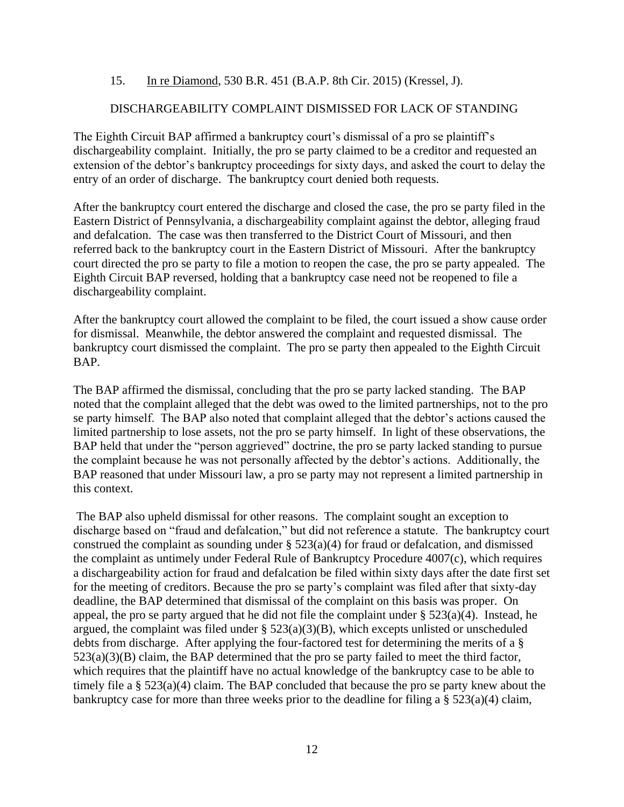#### 15. In re Diamond, 530 B.R. 451 (B.A.P. 8th Cir. 2015) (Kressel, J).

## DISCHARGEABILITY COMPLAINT DISMISSED FOR LACK OF STANDING

The Eighth Circuit BAP affirmed a bankruptcy court's dismissal of a pro se plaintiff's dischargeability complaint. Initially, the pro se party claimed to be a creditor and requested an extension of the debtor's bankruptcy proceedings for sixty days, and asked the court to delay the entry of an order of discharge. The bankruptcy court denied both requests.

After the bankruptcy court entered the discharge and closed the case, the pro se party filed in the Eastern District of Pennsylvania, a dischargeability complaint against the debtor, alleging fraud and defalcation. The case was then transferred to the District Court of Missouri, and then referred back to the bankruptcy court in the Eastern District of Missouri. After the bankruptcy court directed the pro se party to file a motion to reopen the case, the pro se party appealed. The Eighth Circuit BAP reversed, holding that a bankruptcy case need not be reopened to file a dischargeability complaint.

After the bankruptcy court allowed the complaint to be filed, the court issued a show cause order for dismissal. Meanwhile, the debtor answered the complaint and requested dismissal. The bankruptcy court dismissed the complaint. The pro se party then appealed to the Eighth Circuit BAP.

The BAP affirmed the dismissal, concluding that the pro se party lacked standing. The BAP noted that the complaint alleged that the debt was owed to the limited partnerships, not to the pro se party himself. The BAP also noted that complaint alleged that the debtor's actions caused the limited partnership to lose assets, not the pro se party himself. In light of these observations, the BAP held that under the "person aggrieved" doctrine, the pro se party lacked standing to pursue the complaint because he was not personally affected by the debtor's actions. Additionally, the BAP reasoned that under Missouri law, a pro se party may not represent a limited partnership in this context.

The BAP also upheld dismissal for other reasons. The complaint sought an exception to discharge based on "fraud and defalcation," but did not reference a statute. The bankruptcy court construed the complaint as sounding under  $\S$  523(a)(4) for fraud or defalcation, and dismissed the complaint as untimely under Federal Rule of Bankruptcy Procedure 4007(c), which requires a dischargeability action for fraud and defalcation be filed within sixty days after the date first set for the meeting of creditors. Because the pro se party's complaint was filed after that sixty-day deadline, the BAP determined that dismissal of the complaint on this basis was proper. On appeal, the pro se party argued that he did not file the complaint under  $\S 523(a)(4)$ . Instead, he argued, the complaint was filed under  $\S$  523(a)(3)(B), which excepts unlisted or unscheduled debts from discharge. After applying the four-factored test for determining the merits of a § 523(a)(3)(B) claim, the BAP determined that the pro se party failed to meet the third factor, which requires that the plaintiff have no actual knowledge of the bankruptcy case to be able to timely file a § 523(a)(4) claim. The BAP concluded that because the pro se party knew about the bankruptcy case for more than three weeks prior to the deadline for filing a  $\S$  523(a)(4) claim,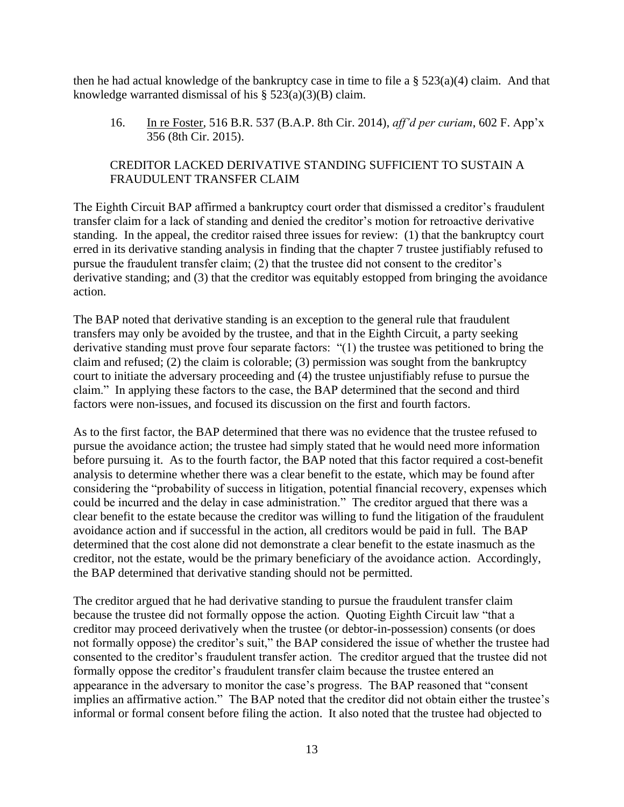then he had actual knowledge of the bankruptcy case in time to file a  $\S 523(a)(4)$  claim. And that knowledge warranted dismissal of his  $\S$  523(a)(3)(B) claim.

16. In re Foster, 516 B.R. 537 (B.A.P. 8th Cir. 2014), *aff'd per curiam*, 602 F. App'x 356 (8th Cir. 2015).

# CREDITOR LACKED DERIVATIVE STANDING SUFFICIENT TO SUSTAIN A FRAUDULENT TRANSFER CLAIM

The Eighth Circuit BAP affirmed a bankruptcy court order that dismissed a creditor's fraudulent transfer claim for a lack of standing and denied the creditor's motion for retroactive derivative standing. In the appeal, the creditor raised three issues for review: (1) that the bankruptcy court erred in its derivative standing analysis in finding that the chapter 7 trustee justifiably refused to pursue the fraudulent transfer claim; (2) that the trustee did not consent to the creditor's derivative standing; and (3) that the creditor was equitably estopped from bringing the avoidance action.

The BAP noted that derivative standing is an exception to the general rule that fraudulent transfers may only be avoided by the trustee, and that in the Eighth Circuit, a party seeking derivative standing must prove four separate factors: "(1) the trustee was petitioned to bring the claim and refused; (2) the claim is colorable; (3) permission was sought from the bankruptcy court to initiate the adversary proceeding and (4) the trustee unjustifiably refuse to pursue the claim." In applying these factors to the case, the BAP determined that the second and third factors were non-issues, and focused its discussion on the first and fourth factors.

As to the first factor, the BAP determined that there was no evidence that the trustee refused to pursue the avoidance action; the trustee had simply stated that he would need more information before pursuing it. As to the fourth factor, the BAP noted that this factor required a cost-benefit analysis to determine whether there was a clear benefit to the estate, which may be found after considering the "probability of success in litigation, potential financial recovery, expenses which could be incurred and the delay in case administration." The creditor argued that there was a clear benefit to the estate because the creditor was willing to fund the litigation of the fraudulent avoidance action and if successful in the action, all creditors would be paid in full. The BAP determined that the cost alone did not demonstrate a clear benefit to the estate inasmuch as the creditor, not the estate, would be the primary beneficiary of the avoidance action. Accordingly, the BAP determined that derivative standing should not be permitted.

The creditor argued that he had derivative standing to pursue the fraudulent transfer claim because the trustee did not formally oppose the action. Quoting Eighth Circuit law "that a creditor may proceed derivatively when the trustee (or debtor-in-possession) consents (or does not formally oppose) the creditor's suit," the BAP considered the issue of whether the trustee had consented to the creditor's fraudulent transfer action. The creditor argued that the trustee did not formally oppose the creditor's fraudulent transfer claim because the trustee entered an appearance in the adversary to monitor the case's progress. The BAP reasoned that "consent implies an affirmative action." The BAP noted that the creditor did not obtain either the trustee's informal or formal consent before filing the action. It also noted that the trustee had objected to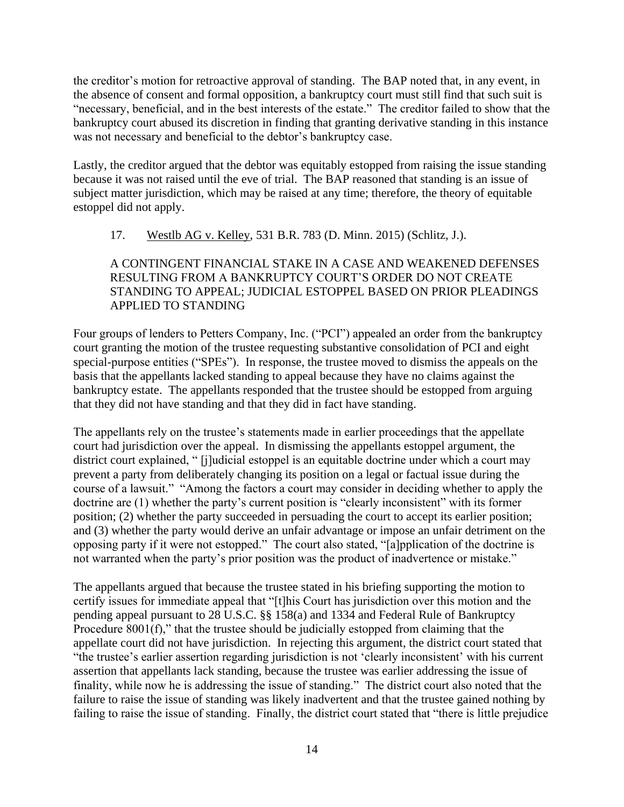the creditor's motion for retroactive approval of standing. The BAP noted that, in any event, in the absence of consent and formal opposition, a bankruptcy court must still find that such suit is "necessary, beneficial, and in the best interests of the estate." The creditor failed to show that the bankruptcy court abused its discretion in finding that granting derivative standing in this instance was not necessary and beneficial to the debtor's bankruptcy case.

Lastly, the creditor argued that the debtor was equitably estopped from raising the issue standing because it was not raised until the eve of trial. The BAP reasoned that standing is an issue of subject matter jurisdiction, which may be raised at any time; therefore, the theory of equitable estoppel did not apply.

# 17. Westlb AG v. Kelley, 531 B.R. 783 (D. Minn. 2015) (Schlitz, J.).

# A CONTINGENT FINANCIAL STAKE IN A CASE AND WEAKENED DEFENSES RESULTING FROM A BANKRUPTCY COURT'S ORDER DO NOT CREATE STANDING TO APPEAL; JUDICIAL ESTOPPEL BASED ON PRIOR PLEADINGS APPLIED TO STANDING

Four groups of lenders to Petters Company, Inc. ("PCI") appealed an order from the bankruptcy court granting the motion of the trustee requesting substantive consolidation of PCI and eight special-purpose entities ("SPEs"). In response, the trustee moved to dismiss the appeals on the basis that the appellants lacked standing to appeal because they have no claims against the bankruptcy estate. The appellants responded that the trustee should be estopped from arguing that they did not have standing and that they did in fact have standing.

The appellants rely on the trustee's statements made in earlier proceedings that the appellate court had jurisdiction over the appeal. In dismissing the appellants estoppel argument, the district court explained, " [j]udicial estoppel is an equitable doctrine under which a court may prevent a party from deliberately changing its position on a legal or factual issue during the course of a lawsuit." "Among the factors a court may consider in deciding whether to apply the doctrine are (1) whether the party's current position is "clearly inconsistent" with its former position; (2) whether the party succeeded in persuading the court to accept its earlier position; and (3) whether the party would derive an unfair advantage or impose an unfair detriment on the opposing party if it were not estopped." The court also stated, "[a]pplication of the doctrine is not warranted when the party's prior position was the product of inadvertence or mistake."

The appellants argued that because the trustee stated in his briefing supporting the motion to certify issues for immediate appeal that "[t]his Court has jurisdiction over this motion and the pending appeal pursuant to 28 U.S.C. §§ 158(a) and 1334 and Federal Rule of Bankruptcy Procedure 8001(f)," that the trustee should be judicially estopped from claiming that the appellate court did not have jurisdiction. In rejecting this argument, the district court stated that "the trustee's earlier assertion regarding jurisdiction is not 'clearly inconsistent' with his current assertion that appellants lack standing, because the trustee was earlier addressing the issue of finality, while now he is addressing the issue of standing." The district court also noted that the failure to raise the issue of standing was likely inadvertent and that the trustee gained nothing by failing to raise the issue of standing. Finally, the district court stated that "there is little prejudice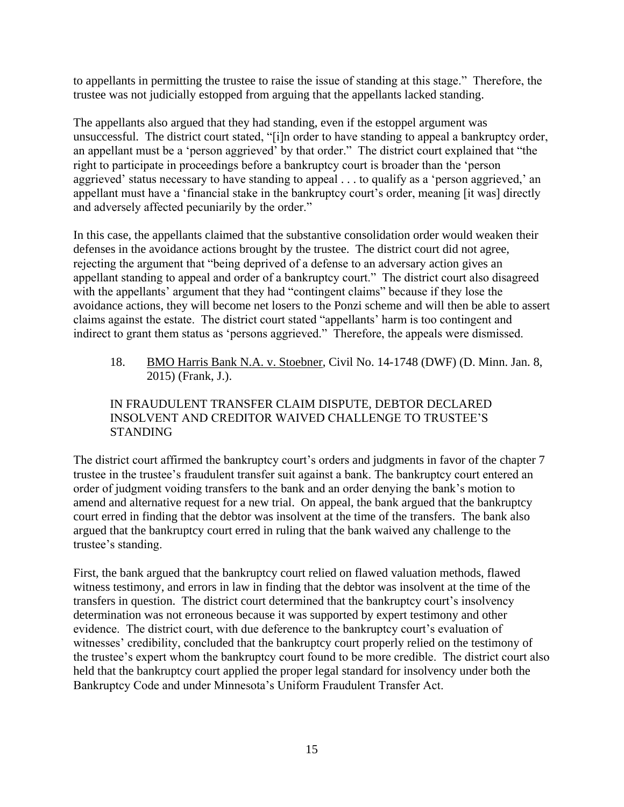to appellants in permitting the trustee to raise the issue of standing at this stage." Therefore, the trustee was not judicially estopped from arguing that the appellants lacked standing.

The appellants also argued that they had standing, even if the estoppel argument was unsuccessful. The district court stated, "[i]n order to have standing to appeal a bankruptcy order, an appellant must be a 'person aggrieved' by that order." The district court explained that "the right to participate in proceedings before a bankruptcy court is broader than the 'person aggrieved' status necessary to have standing to appeal . . . to qualify as a 'person aggrieved,' an appellant must have a 'financial stake in the bankruptcy court's order, meaning [it was] directly and adversely affected pecuniarily by the order."

In this case, the appellants claimed that the substantive consolidation order would weaken their defenses in the avoidance actions brought by the trustee. The district court did not agree, rejecting the argument that "being deprived of a defense to an adversary action gives an appellant standing to appeal and order of a bankruptcy court." The district court also disagreed with the appellants' argument that they had "contingent claims" because if they lose the avoidance actions, they will become net losers to the Ponzi scheme and will then be able to assert claims against the estate. The district court stated "appellants' harm is too contingent and indirect to grant them status as 'persons aggrieved." Therefore, the appeals were dismissed.

18. BMO Harris Bank N.A. v. Stoebner, Civil No. 14-1748 (DWF) (D. Minn. Jan. 8, 2015) (Frank, J.).

# IN FRAUDULENT TRANSFER CLAIM DISPUTE, DEBTOR DECLARED INSOLVENT AND CREDITOR WAIVED CHALLENGE TO TRUSTEE'S STANDING

The district court affirmed the bankruptcy court's orders and judgments in favor of the chapter 7 trustee in the trustee's fraudulent transfer suit against a bank. The bankruptcy court entered an order of judgment voiding transfers to the bank and an order denying the bank's motion to amend and alternative request for a new trial. On appeal, the bank argued that the bankruptcy court erred in finding that the debtor was insolvent at the time of the transfers. The bank also argued that the bankruptcy court erred in ruling that the bank waived any challenge to the trustee's standing.

First, the bank argued that the bankruptcy court relied on flawed valuation methods, flawed witness testimony, and errors in law in finding that the debtor was insolvent at the time of the transfers in question. The district court determined that the bankruptcy court's insolvency determination was not erroneous because it was supported by expert testimony and other evidence. The district court, with due deference to the bankruptcy court's evaluation of witnesses' credibility, concluded that the bankruptcy court properly relied on the testimony of the trustee's expert whom the bankruptcy court found to be more credible. The district court also held that the bankruptcy court applied the proper legal standard for insolvency under both the Bankruptcy Code and under Minnesota's Uniform Fraudulent Transfer Act.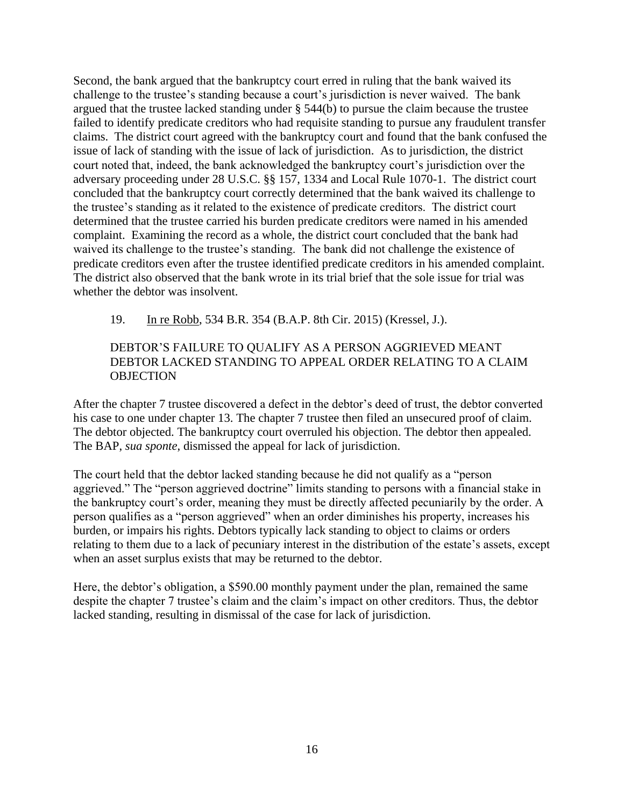Second, the bank argued that the bankruptcy court erred in ruling that the bank waived its challenge to the trustee's standing because a court's jurisdiction is never waived. The bank argued that the trustee lacked standing under § 544(b) to pursue the claim because the trustee failed to identify predicate creditors who had requisite standing to pursue any fraudulent transfer claims. The district court agreed with the bankruptcy court and found that the bank confused the issue of lack of standing with the issue of lack of jurisdiction. As to jurisdiction, the district court noted that, indeed, the bank acknowledged the bankruptcy court's jurisdiction over the adversary proceeding under 28 U.S.C. §§ 157, 1334 and Local Rule 1070-1. The district court concluded that the bankruptcy court correctly determined that the bank waived its challenge to the trustee's standing as it related to the existence of predicate creditors. The district court determined that the trustee carried his burden predicate creditors were named in his amended complaint. Examining the record as a whole, the district court concluded that the bank had waived its challenge to the trustee's standing. The bank did not challenge the existence of predicate creditors even after the trustee identified predicate creditors in his amended complaint. The district also observed that the bank wrote in its trial brief that the sole issue for trial was whether the debtor was insolvent.

#### 19. In re Robb, 534 B.R. 354 (B.A.P. 8th Cir. 2015) (Kressel, J.).

### DEBTOR'S FAILURE TO QUALIFY AS A PERSON AGGRIEVED MEANT DEBTOR LACKED STANDING TO APPEAL ORDER RELATING TO A CLAIM **OBJECTION**

After the chapter 7 trustee discovered a defect in the debtor's deed of trust, the debtor converted his case to one under chapter 13. The chapter 7 trustee then filed an unsecured proof of claim. The debtor objected. The bankruptcy court overruled his objection. The debtor then appealed. The BAP, *sua sponte*, dismissed the appeal for lack of jurisdiction.

The court held that the debtor lacked standing because he did not qualify as a "person aggrieved." The "person aggrieved doctrine" limits standing to persons with a financial stake in the bankruptcy court's order, meaning they must be directly affected pecuniarily by the order. A person qualifies as a "person aggrieved" when an order diminishes his property, increases his burden, or impairs his rights. Debtors typically lack standing to object to claims or orders relating to them due to a lack of pecuniary interest in the distribution of the estate's assets, except when an asset surplus exists that may be returned to the debtor.

Here, the debtor's obligation, a \$590.00 monthly payment under the plan, remained the same despite the chapter 7 trustee's claim and the claim's impact on other creditors. Thus, the debtor lacked standing, resulting in dismissal of the case for lack of jurisdiction.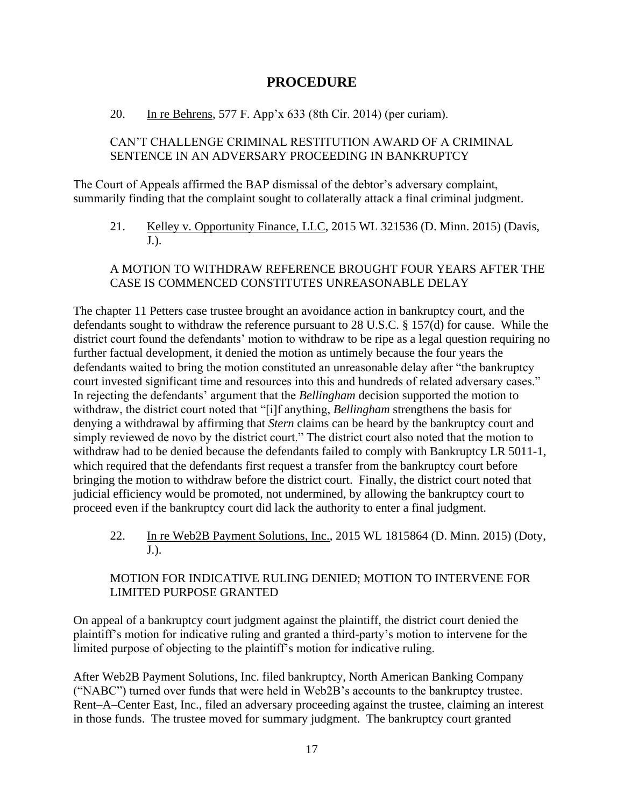# **PROCEDURE**

## <span id="page-16-0"></span>20. In re Behrens, 577 F. App'x 633 (8th Cir. 2014) (per curiam).

# CAN'T CHALLENGE CRIMINAL RESTITUTION AWARD OF A CRIMINAL SENTENCE IN AN ADVERSARY PROCEEDING IN BANKRUPTCY

The Court of Appeals affirmed the BAP dismissal of the debtor's adversary complaint, summarily finding that the complaint sought to collaterally attack a final criminal judgment.

21. Kelley v. Opportunity Finance, LLC, 2015 WL 321536 (D. Minn. 2015) (Davis, J.).

## A MOTION TO WITHDRAW REFERENCE BROUGHT FOUR YEARS AFTER THE CASE IS COMMENCED CONSTITUTES UNREASONABLE DELAY

The chapter 11 Petters case trustee brought an avoidance action in bankruptcy court, and the defendants sought to withdraw the reference pursuant to 28 U.S.C. § 157(d) for cause. While the district court found the defendants' motion to withdraw to be ripe as a legal question requiring no further factual development, it denied the motion as untimely because the four years the defendants waited to bring the motion constituted an unreasonable delay after "the bankruptcy court invested significant time and resources into this and hundreds of related adversary cases." In rejecting the defendants' argument that the *Bellingham* decision supported the motion to withdraw, the district court noted that "[i]f anything, *Bellingham* strengthens the basis for denying a withdrawal by affirming that *Stern* claims can be heard by the bankruptcy court and simply reviewed de novo by the district court." The district court also noted that the motion to withdraw had to be denied because the defendants failed to comply with Bankruptcy LR 5011-1, which required that the defendants first request a transfer from the bankruptcy court before bringing the motion to withdraw before the district court. Finally, the district court noted that judicial efficiency would be promoted, not undermined, by allowing the bankruptcy court to proceed even if the bankruptcy court did lack the authority to enter a final judgment.

22. In re Web2B Payment Solutions, Inc., 2015 WL 1815864 (D. Minn. 2015) (Doty, J.).

# MOTION FOR INDICATIVE RULING DENIED; MOTION TO INTERVENE FOR LIMITED PURPOSE GRANTED

On appeal of a bankruptcy court judgment against the plaintiff, the district court denied the plaintiff's motion for indicative ruling and granted a third-party's motion to intervene for the limited purpose of objecting to the plaintiff's motion for indicative ruling.

After Web2B Payment Solutions, Inc. filed bankruptcy, North American Banking Company ("NABC") turned over funds that were held in Web2B's accounts to the bankruptcy trustee. Rent–A–Center East, Inc., filed an adversary proceeding against the trustee, claiming an interest in those funds. The trustee moved for summary judgment. The bankruptcy court granted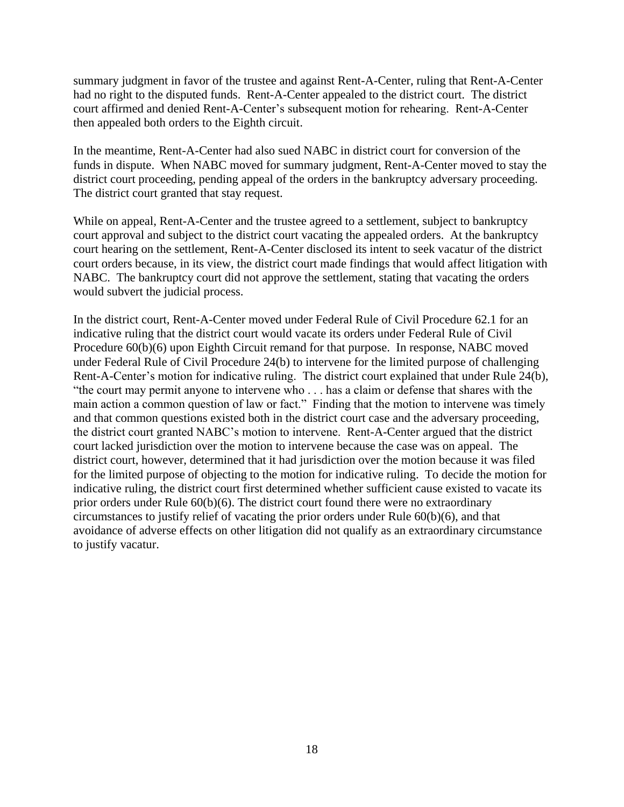summary judgment in favor of the trustee and against Rent-A-Center, ruling that Rent-A-Center had no right to the disputed funds. Rent-A-Center appealed to the district court. The district court affirmed and denied Rent-A-Center's subsequent motion for rehearing. Rent-A-Center then appealed both orders to the Eighth circuit.

In the meantime, Rent-A-Center had also sued NABC in district court for conversion of the funds in dispute. When NABC moved for summary judgment, Rent-A-Center moved to stay the district court proceeding, pending appeal of the orders in the bankruptcy adversary proceeding. The district court granted that stay request.

While on appeal, Rent-A-Center and the trustee agreed to a settlement, subject to bankruptcy court approval and subject to the district court vacating the appealed orders. At the bankruptcy court hearing on the settlement, Rent-A-Center disclosed its intent to seek vacatur of the district court orders because, in its view, the district court made findings that would affect litigation with NABC. The bankruptcy court did not approve the settlement, stating that vacating the orders would subvert the judicial process.

In the district court, Rent-A-Center moved under Federal Rule of Civil Procedure 62.1 for an indicative ruling that the district court would vacate its orders under Federal Rule of Civil Procedure  $60(b)(6)$  upon Eighth Circuit remand for that purpose. In response, NABC moved under Federal Rule of Civil Procedure 24(b) to intervene for the limited purpose of challenging Rent-A-Center's motion for indicative ruling. The district court explained that under Rule 24(b), "the court may permit anyone to intervene who . . . has a claim or defense that shares with the main action a common question of law or fact." Finding that the motion to intervene was timely and that common questions existed both in the district court case and the adversary proceeding, the district court granted NABC's motion to intervene. Rent-A-Center argued that the district court lacked jurisdiction over the motion to intervene because the case was on appeal. The district court, however, determined that it had jurisdiction over the motion because it was filed for the limited purpose of objecting to the motion for indicative ruling. To decide the motion for indicative ruling, the district court first determined whether sufficient cause existed to vacate its prior orders under Rule 60(b)(6). The district court found there were no extraordinary circumstances to justify relief of vacating the prior orders under Rule 60(b)(6), and that avoidance of adverse effects on other litigation did not qualify as an extraordinary circumstance to justify vacatur.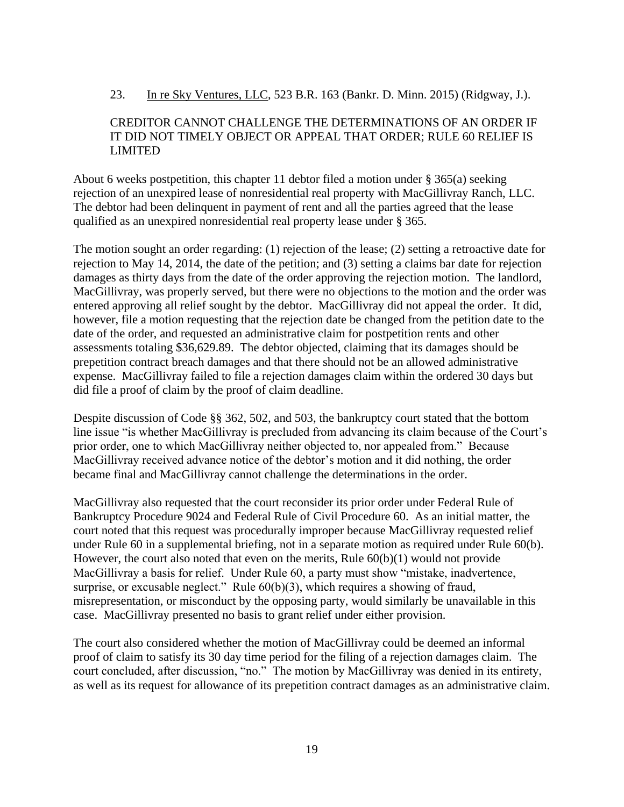#### 23. In re Sky Ventures, LLC, 523 B.R. 163 (Bankr. D. Minn. 2015) (Ridgway, J.).

### CREDITOR CANNOT CHALLENGE THE DETERMINATIONS OF AN ORDER IF IT DID NOT TIMELY OBJECT OR APPEAL THAT ORDER; RULE 60 RELIEF IS LIMITED

About 6 weeks postpetition, this chapter 11 debtor filed a motion under § 365(a) seeking rejection of an unexpired lease of nonresidential real property with MacGillivray Ranch, LLC. The debtor had been delinquent in payment of rent and all the parties agreed that the lease qualified as an unexpired nonresidential real property lease under § 365.

The motion sought an order regarding: (1) rejection of the lease; (2) setting a retroactive date for rejection to May 14, 2014, the date of the petition; and (3) setting a claims bar date for rejection damages as thirty days from the date of the order approving the rejection motion. The landlord, MacGillivray, was properly served, but there were no objections to the motion and the order was entered approving all relief sought by the debtor. MacGillivray did not appeal the order. It did, however, file a motion requesting that the rejection date be changed from the petition date to the date of the order, and requested an administrative claim for postpetition rents and other assessments totaling \$36,629.89. The debtor objected, claiming that its damages should be prepetition contract breach damages and that there should not be an allowed administrative expense. MacGillivray failed to file a rejection damages claim within the ordered 30 days but did file a proof of claim by the proof of claim deadline.

Despite discussion of Code §§ 362, 502, and 503, the bankruptcy court stated that the bottom line issue "is whether MacGillivray is precluded from advancing its claim because of the Court's prior order, one to which MacGillivray neither objected to, nor appealed from." Because MacGillivray received advance notice of the debtor's motion and it did nothing, the order became final and MacGillivray cannot challenge the determinations in the order.

MacGillivray also requested that the court reconsider its prior order under Federal Rule of Bankruptcy Procedure 9024 and Federal Rule of Civil Procedure 60. As an initial matter, the court noted that this request was procedurally improper because MacGillivray requested relief under Rule 60 in a supplemental briefing, not in a separate motion as required under Rule 60(b). However, the court also noted that even on the merits, Rule 60(b)(1) would not provide MacGillivray a basis for relief. Under Rule 60, a party must show "mistake, inadvertence, surprise, or excusable neglect." Rule 60(b)(3), which requires a showing of fraud, misrepresentation, or misconduct by the opposing party, would similarly be unavailable in this case. MacGillivray presented no basis to grant relief under either provision.

The court also considered whether the motion of MacGillivray could be deemed an informal proof of claim to satisfy its 30 day time period for the filing of a rejection damages claim. The court concluded, after discussion, "no." The motion by MacGillivray was denied in its entirety, as well as its request for allowance of its prepetition contract damages as an administrative claim.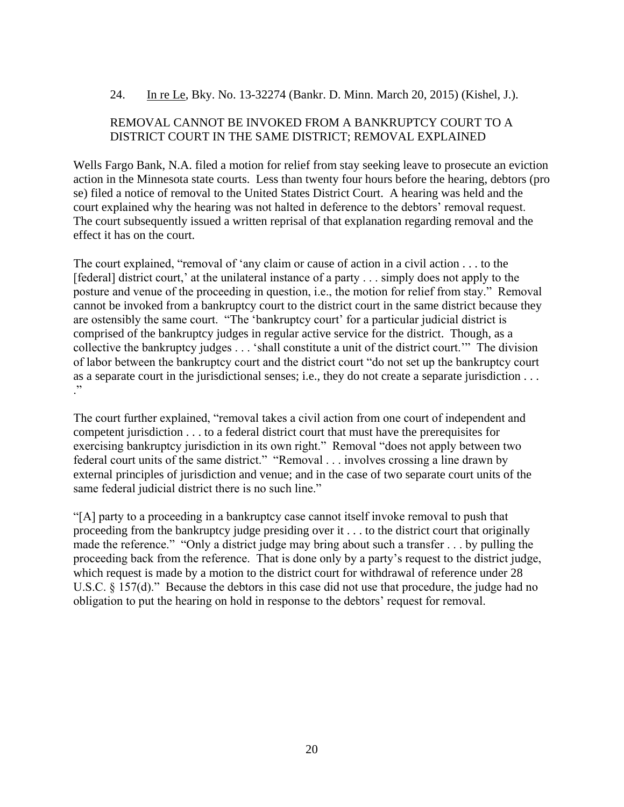### 24. In re Le, Bky. No. 13-32274 (Bankr. D. Minn. March 20, 2015) (Kishel, J.).

#### REMOVAL CANNOT BE INVOKED FROM A BANKRUPTCY COURT TO A DISTRICT COURT IN THE SAME DISTRICT; REMOVAL EXPLAINED

Wells Fargo Bank, N.A. filed a motion for relief from stay seeking leave to prosecute an eviction action in the Minnesota state courts. Less than twenty four hours before the hearing, debtors (pro se) filed a notice of removal to the United States District Court. A hearing was held and the court explained why the hearing was not halted in deference to the debtors' removal request. The court subsequently issued a written reprisal of that explanation regarding removal and the effect it has on the court.

The court explained, "removal of 'any claim or cause of action in a civil action . . . to the [federal] district court,' at the unilateral instance of a party . . . simply does not apply to the posture and venue of the proceeding in question, i.e., the motion for relief from stay." Removal cannot be invoked from a bankruptcy court to the district court in the same district because they are ostensibly the same court. "The 'bankruptcy court' for a particular judicial district is comprised of the bankruptcy judges in regular active service for the district. Though, as a collective the bankruptcy judges . . . 'shall constitute a unit of the district court.'" The division of labor between the bankruptcy court and the district court "do not set up the bankruptcy court as a separate court in the jurisdictional senses; i.e., they do not create a separate jurisdiction . . . ."

The court further explained, "removal takes a civil action from one court of independent and competent jurisdiction . . . to a federal district court that must have the prerequisites for exercising bankruptcy jurisdiction in its own right." Removal "does not apply between two federal court units of the same district." "Removal . . . involves crossing a line drawn by external principles of jurisdiction and venue; and in the case of two separate court units of the same federal judicial district there is no such line."

"[A] party to a proceeding in a bankruptcy case cannot itself invoke removal to push that proceeding from the bankruptcy judge presiding over it . . . to the district court that originally made the reference." "Only a district judge may bring about such a transfer . . . by pulling the proceeding back from the reference. That is done only by a party's request to the district judge, which request is made by a motion to the district court for withdrawal of reference under 28 U.S.C. § 157(d)." Because the debtors in this case did not use that procedure, the judge had no obligation to put the hearing on hold in response to the debtors' request for removal.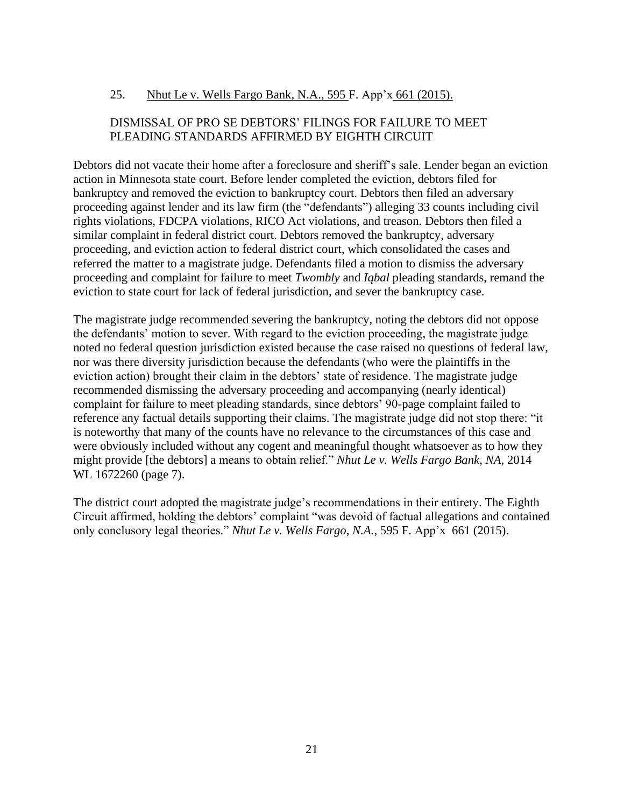# 25. Nhut Le v. Wells Fargo Bank, N.A., 595 F. App'x 661 (2015).

# DISMISSAL OF PRO SE DEBTORS' FILINGS FOR FAILURE TO MEET PLEADING STANDARDS AFFIRMED BY EIGHTH CIRCUIT

Debtors did not vacate their home after a foreclosure and sheriff's sale. Lender began an eviction action in Minnesota state court. Before lender completed the eviction, debtors filed for bankruptcy and removed the eviction to bankruptcy court. Debtors then filed an adversary proceeding against lender and its law firm (the "defendants") alleging 33 counts including civil rights violations, FDCPA violations, RICO Act violations, and treason. Debtors then filed a similar complaint in federal district court. Debtors removed the bankruptcy, adversary proceeding, and eviction action to federal district court, which consolidated the cases and referred the matter to a magistrate judge. Defendants filed a motion to dismiss the adversary proceeding and complaint for failure to meet *Twombly* and *Iqbal* pleading standards, remand the eviction to state court for lack of federal jurisdiction, and sever the bankruptcy case.

The magistrate judge recommended severing the bankruptcy, noting the debtors did not oppose the defendants' motion to sever. With regard to the eviction proceeding, the magistrate judge noted no federal question jurisdiction existed because the case raised no questions of federal law, nor was there diversity jurisdiction because the defendants (who were the plaintiffs in the eviction action) brought their claim in the debtors' state of residence. The magistrate judge recommended dismissing the adversary proceeding and accompanying (nearly identical) complaint for failure to meet pleading standards, since debtors' 90-page complaint failed to reference any factual details supporting their claims. The magistrate judge did not stop there: "it is noteworthy that many of the counts have no relevance to the circumstances of this case and were obviously included without any cogent and meaningful thought whatsoever as to how they might provide [the debtors] a means to obtain relief." *Nhut Le v. Wells Fargo Bank, NA,* 2014 WL 1672260 (page 7).

The district court adopted the magistrate judge's recommendations in their entirety. The Eighth Circuit affirmed, holding the debtors' complaint "was devoid of factual allegations and contained only conclusory legal theories." *Nhut Le v. Wells Fargo, N.A.*, 595 F. App'x 661 (2015).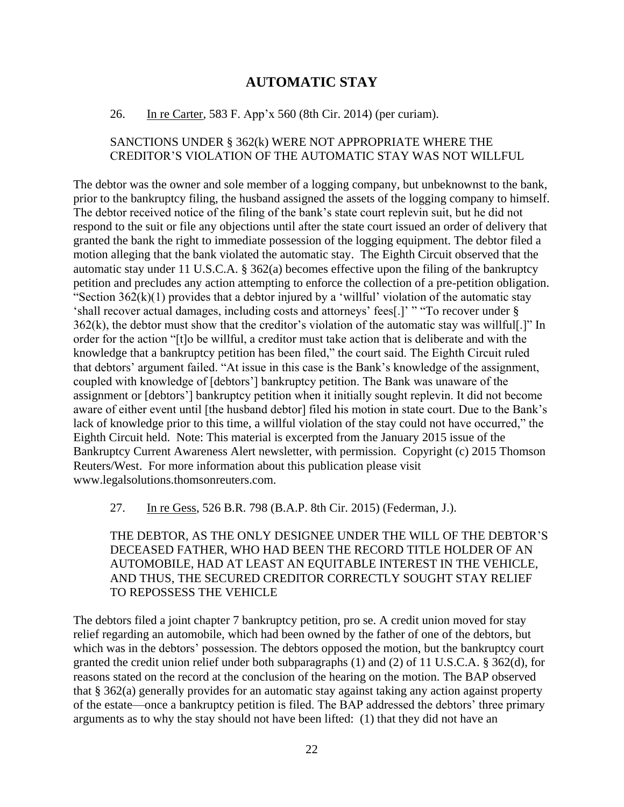# **AUTOMATIC STAY**

#### <span id="page-21-0"></span>26. In re Carter, 583 F. App'x 560 (8th Cir. 2014) (per curiam).

#### SANCTIONS UNDER § 362(k) WERE NOT APPROPRIATE WHERE THE CREDITOR'S VIOLATION OF THE AUTOMATIC STAY WAS NOT WILLFUL

The debtor was the owner and sole member of a logging company, but unbeknownst to the bank, prior to the bankruptcy filing, the husband assigned the assets of the logging company to himself. The debtor received notice of the filing of the bank's state court replevin suit, but he did not respond to the suit or file any objections until after the state court issued an order of delivery that granted the bank the right to immediate possession of the logging equipment. The debtor filed a motion alleging that the bank violated the automatic stay. The Eighth Circuit observed that the automatic stay under 11 U.S.C.A. § 362(a) becomes effective upon the filing of the bankruptcy petition and precludes any action attempting to enforce the collection of a pre-petition obligation. "Section  $362(k)(1)$  provides that a debtor injured by a 'willful' violation of the automatic stay 'shall recover actual damages, including costs and attorneys' fees[.]' " "To recover under §  $362(k)$ , the debtor must show that the creditor's violation of the automatic stay was willful[.]" In order for the action "[t]o be willful, a creditor must take action that is deliberate and with the knowledge that a bankruptcy petition has been filed," the court said. The Eighth Circuit ruled that debtors' argument failed. "At issue in this case is the Bank's knowledge of the assignment, coupled with knowledge of [debtors'] bankruptcy petition. The Bank was unaware of the assignment or [debtors'] bankruptcy petition when it initially sought replevin. It did not become aware of either event until [the husband debtor] filed his motion in state court. Due to the Bank's lack of knowledge prior to this time, a willful violation of the stay could not have occurred," the Eighth Circuit held. Note: This material is excerpted from the January 2015 issue of the Bankruptcy Current Awareness Alert newsletter, with permission. Copyright (c) 2015 Thomson Reuters/West. For more information about this publication please visit www.legalsolutions.thomsonreuters.com.

27. In re Gess, 526 B.R. 798 (B.A.P. 8th Cir. 2015) (Federman, J.).

THE DEBTOR, AS THE ONLY DESIGNEE UNDER THE WILL OF THE DEBTOR'S DECEASED FATHER, WHO HAD BEEN THE RECORD TITLE HOLDER OF AN AUTOMOBILE, HAD AT LEAST AN EQUITABLE INTEREST IN THE VEHICLE, AND THUS, THE SECURED CREDITOR CORRECTLY SOUGHT STAY RELIEF TO REPOSSESS THE VEHICLE

The debtors filed a joint chapter 7 bankruptcy petition, pro se. A credit union moved for stay relief regarding an automobile, which had been owned by the father of one of the debtors, but which was in the debtors' possession. The debtors opposed the motion, but the bankruptcy court granted the credit union relief under both subparagraphs (1) and (2) of 11 U.S.C.A. § 362(d), for reasons stated on the record at the conclusion of the hearing on the motion. The BAP observed that § 362(a) generally provides for an automatic stay against taking any action against property of the estate—once a bankruptcy petition is filed. The BAP addressed the debtors' three primary arguments as to why the stay should not have been lifted: (1) that they did not have an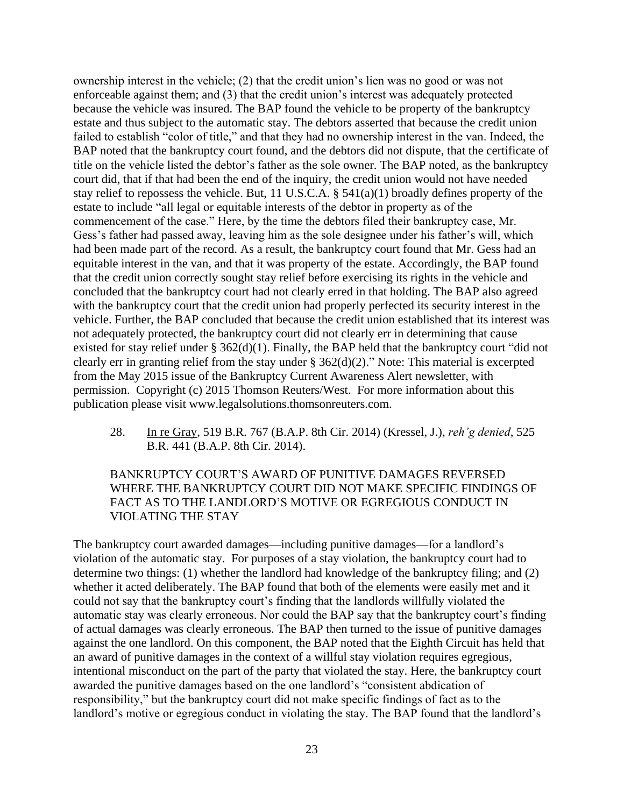ownership interest in the vehicle; (2) that the credit union's lien was no good or was not enforceable against them; and (3) that the credit union's interest was adequately protected because the vehicle was insured. The BAP found the vehicle to be property of the bankruptcy estate and thus subject to the automatic stay. The debtors asserted that because the credit union failed to establish "color of title," and that they had no ownership interest in the van. Indeed, the BAP noted that the bankruptcy court found, and the debtors did not dispute, that the certificate of title on the vehicle listed the debtor's father as the sole owner. The BAP noted, as the bankruptcy court did, that if that had been the end of the inquiry, the credit union would not have needed stay relief to repossess the vehicle. But, 11 U.S.C.A. § 541(a)(1) broadly defines property of the estate to include "all legal or equitable interests of the debtor in property as of the commencement of the case." Here, by the time the debtors filed their bankruptcy case, Mr. Gess's father had passed away, leaving him as the sole designee under his father's will, which had been made part of the record. As a result, the bankruptcy court found that Mr. Gess had an equitable interest in the van, and that it was property of the estate. Accordingly, the BAP found that the credit union correctly sought stay relief before exercising its rights in the vehicle and concluded that the bankruptcy court had not clearly erred in that holding. The BAP also agreed with the bankruptcy court that the credit union had properly perfected its security interest in the vehicle. Further, the BAP concluded that because the credit union established that its interest was not adequately protected, the bankruptcy court did not clearly err in determining that cause existed for stay relief under § 362(d)(1). Finally, the BAP held that the bankruptcy court "did not clearly err in granting relief from the stay under § 362(d)(2)." Note: This material is excerpted from the May 2015 issue of the Bankruptcy Current Awareness Alert newsletter, with permission. Copyright (c) 2015 Thomson Reuters/West. For more information about this publication please visit www.legalsolutions.thomsonreuters.com.

28. In re Gray, 519 B.R. 767 (B.A.P. 8th Cir. 2014) (Kressel, J.), *reh'g denied*, 525 B.R. 441 (B.A.P. 8th Cir. 2014).

#### BANKRUPTCY COURT'S AWARD OF PUNITIVE DAMAGES REVERSED WHERE THE BANKRUPTCY COURT DID NOT MAKE SPECIFIC FINDINGS OF FACT AS TO THE LANDLORD'S MOTIVE OR EGREGIOUS CONDUCT IN VIOLATING THE STAY

The bankruptcy court awarded damages—including punitive damages—for a landlord's violation of the automatic stay. For purposes of a stay violation, the bankruptcy court had to determine two things: (1) whether the landlord had knowledge of the bankruptcy filing; and (2) whether it acted deliberately. The BAP found that both of the elements were easily met and it could not say that the bankruptcy court's finding that the landlords willfully violated the automatic stay was clearly erroneous. Nor could the BAP say that the bankruptcy court's finding of actual damages was clearly erroneous. The BAP then turned to the issue of punitive damages against the one landlord. On this component, the BAP noted that the Eighth Circuit has held that an award of punitive damages in the context of a willful stay violation requires egregious, intentional misconduct on the part of the party that violated the stay. Here, the bankruptcy court awarded the punitive damages based on the one landlord's "consistent abdication of responsibility," but the bankruptcy court did not make specific findings of fact as to the landlord's motive or egregious conduct in violating the stay. The BAP found that the landlord's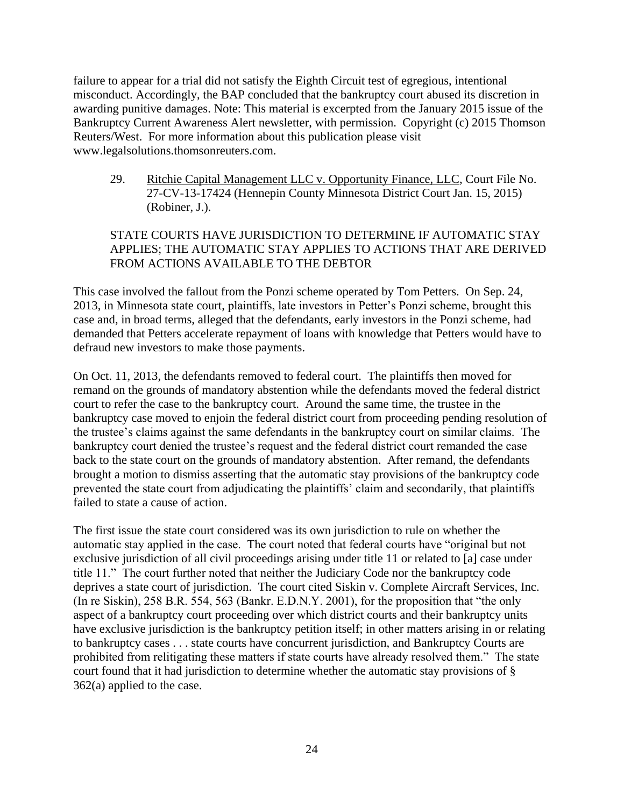failure to appear for a trial did not satisfy the Eighth Circuit test of egregious, intentional misconduct. Accordingly, the BAP concluded that the bankruptcy court abused its discretion in awarding punitive damages. Note: This material is excerpted from the January 2015 issue of the Bankruptcy Current Awareness Alert newsletter, with permission. Copyright (c) 2015 Thomson Reuters/West. For more information about this publication please visit www.legalsolutions.thomsonreuters.com.

29. Ritchie Capital Management LLC v. Opportunity Finance, LLC, Court File No. 27-CV-13-17424 (Hennepin County Minnesota District Court Jan. 15, 2015) (Robiner, J.).

# STATE COURTS HAVE JURISDICTION TO DETERMINE IF AUTOMATIC STAY APPLIES; THE AUTOMATIC STAY APPLIES TO ACTIONS THAT ARE DERIVED FROM ACTIONS AVAILABLE TO THE DEBTOR

This case involved the fallout from the Ponzi scheme operated by Tom Petters. On Sep. 24, 2013, in Minnesota state court, plaintiffs, late investors in Petter's Ponzi scheme, brought this case and, in broad terms, alleged that the defendants, early investors in the Ponzi scheme, had demanded that Petters accelerate repayment of loans with knowledge that Petters would have to defraud new investors to make those payments.

On Oct. 11, 2013, the defendants removed to federal court. The plaintiffs then moved for remand on the grounds of mandatory abstention while the defendants moved the federal district court to refer the case to the bankruptcy court. Around the same time, the trustee in the bankruptcy case moved to enjoin the federal district court from proceeding pending resolution of the trustee's claims against the same defendants in the bankruptcy court on similar claims. The bankruptcy court denied the trustee's request and the federal district court remanded the case back to the state court on the grounds of mandatory abstention. After remand, the defendants brought a motion to dismiss asserting that the automatic stay provisions of the bankruptcy code prevented the state court from adjudicating the plaintiffs' claim and secondarily, that plaintiffs failed to state a cause of action.

The first issue the state court considered was its own jurisdiction to rule on whether the automatic stay applied in the case. The court noted that federal courts have "original but not exclusive jurisdiction of all civil proceedings arising under title 11 or related to [a] case under title 11." The court further noted that neither the Judiciary Code nor the bankruptcy code deprives a state court of jurisdiction. The court cited Siskin v. Complete Aircraft Services, Inc. (In re Siskin), 258 B.R. 554, 563 (Bankr. E.D.N.Y. 2001), for the proposition that "the only aspect of a bankruptcy court proceeding over which district courts and their bankruptcy units have exclusive jurisdiction is the bankruptcy petition itself; in other matters arising in or relating to bankruptcy cases . . . state courts have concurrent jurisdiction, and Bankruptcy Courts are prohibited from relitigating these matters if state courts have already resolved them." The state court found that it had jurisdiction to determine whether the automatic stay provisions of § 362(a) applied to the case.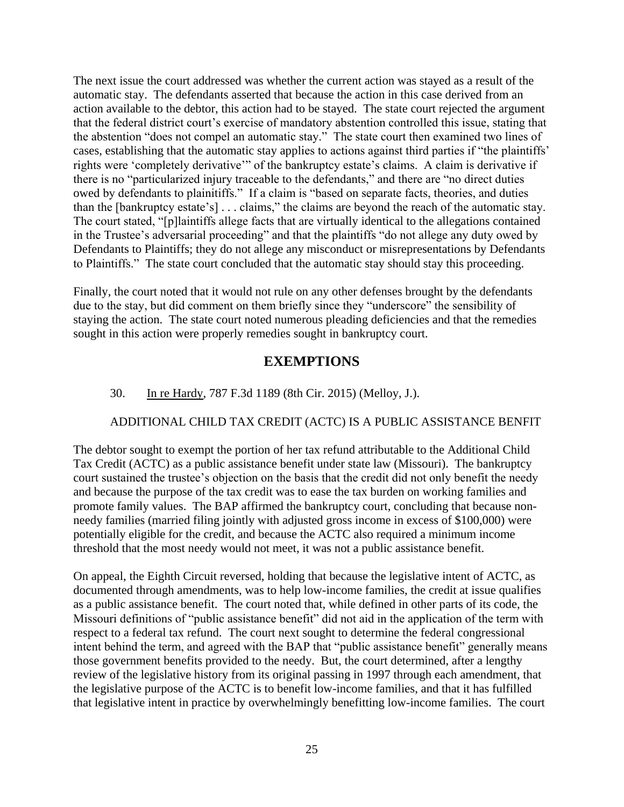The next issue the court addressed was whether the current action was stayed as a result of the automatic stay. The defendants asserted that because the action in this case derived from an action available to the debtor, this action had to be stayed. The state court rejected the argument that the federal district court's exercise of mandatory abstention controlled this issue, stating that the abstention "does not compel an automatic stay." The state court then examined two lines of cases, establishing that the automatic stay applies to actions against third parties if "the plaintiffs' rights were 'completely derivative'" of the bankruptcy estate's claims. A claim is derivative if there is no "particularized injury traceable to the defendants," and there are "no direct duties owed by defendants to plainitiffs." If a claim is "based on separate facts, theories, and duties than the [bankruptcy estate's] . . . claims," the claims are beyond the reach of the automatic stay. The court stated, "[p]laintiffs allege facts that are virtually identical to the allegations contained in the Trustee's adversarial proceeding" and that the plaintiffs "do not allege any duty owed by Defendants to Plaintiffs; they do not allege any misconduct or misrepresentations by Defendants to Plaintiffs." The state court concluded that the automatic stay should stay this proceeding.

<span id="page-24-0"></span>Finally, the court noted that it would not rule on any other defenses brought by the defendants due to the stay, but did comment on them briefly since they "underscore" the sensibility of staying the action. The state court noted numerous pleading deficiencies and that the remedies sought in this action were properly remedies sought in bankruptcy court.

# **EXEMPTIONS**

# 30. In re Hardy, 787 F.3d 1189 (8th Cir. 2015) (Melloy, J.).

# ADDITIONAL CHILD TAX CREDIT (ACTC) IS A PUBLIC ASSISTANCE BENFIT

The debtor sought to exempt the portion of her tax refund attributable to the Additional Child Tax Credit (ACTC) as a public assistance benefit under state law (Missouri). The bankruptcy court sustained the trustee's objection on the basis that the credit did not only benefit the needy and because the purpose of the tax credit was to ease the tax burden on working families and promote family values. The BAP affirmed the bankruptcy court, concluding that because nonneedy families (married filing jointly with adjusted gross income in excess of \$100,000) were potentially eligible for the credit, and because the ACTC also required a minimum income threshold that the most needy would not meet, it was not a public assistance benefit.

On appeal, the Eighth Circuit reversed, holding that because the legislative intent of ACTC, as documented through amendments, was to help low-income families, the credit at issue qualifies as a public assistance benefit. The court noted that, while defined in other parts of its code, the Missouri definitions of "public assistance benefit" did not aid in the application of the term with respect to a federal tax refund. The court next sought to determine the federal congressional intent behind the term, and agreed with the BAP that "public assistance benefit" generally means those government benefits provided to the needy. But, the court determined, after a lengthy review of the legislative history from its original passing in 1997 through each amendment, that the legislative purpose of the ACTC is to benefit low-income families, and that it has fulfilled that legislative intent in practice by overwhelmingly benefitting low-income families. The court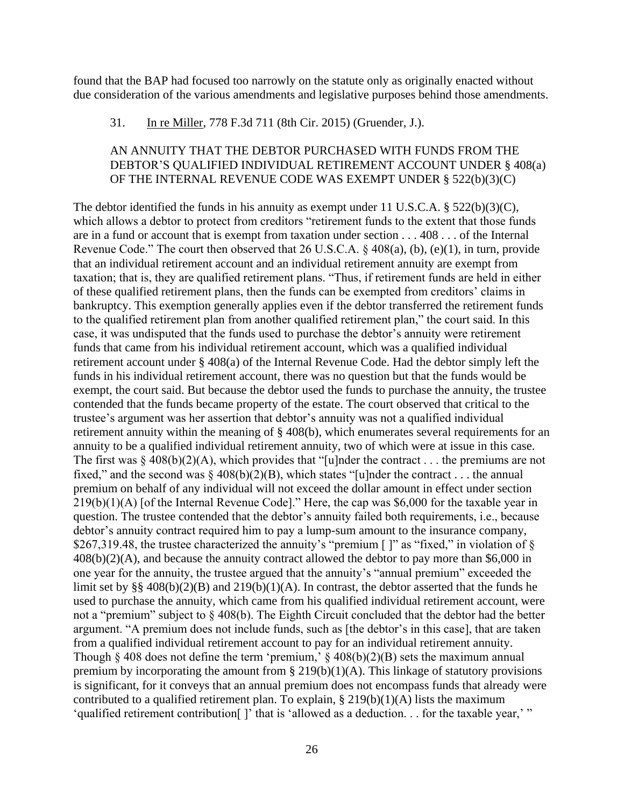found that the BAP had focused too narrowly on the statute only as originally enacted without due consideration of the various amendments and legislative purposes behind those amendments.

#### 31. In re Miller, 778 F.3d 711 (8th Cir. 2015) (Gruender, J.).

#### AN ANNUITY THAT THE DEBTOR PURCHASED WITH FUNDS FROM THE DEBTOR'S QUALIFIED INDIVIDUAL RETIREMENT ACCOUNT UNDER § 408(a) OF THE INTERNAL REVENUE CODE WAS EXEMPT UNDER § 522(b)(3)(C)

The debtor identified the funds in his annuity as exempt under 11 U.S.C.A. § 522(b)(3)(C), which allows a debtor to protect from creditors "retirement funds to the extent that those funds are in a fund or account that is exempt from taxation under section . . . 408 . . . of the Internal Revenue Code." The court then observed that 26 U.S.C.A. § 408(a), (b), (e)(1), in turn, provide that an individual retirement account and an individual retirement annuity are exempt from taxation; that is, they are qualified retirement plans. "Thus, if retirement funds are held in either of these qualified retirement plans, then the funds can be exempted from creditors' claims in bankruptcy. This exemption generally applies even if the debtor transferred the retirement funds to the qualified retirement plan from another qualified retirement plan," the court said. In this case, it was undisputed that the funds used to purchase the debtor's annuity were retirement funds that came from his individual retirement account, which was a qualified individual retirement account under § 408(a) of the Internal Revenue Code. Had the debtor simply left the funds in his individual retirement account, there was no question but that the funds would be exempt, the court said. But because the debtor used the funds to purchase the annuity, the trustee contended that the funds became property of the estate. The court observed that critical to the trustee's argument was her assertion that debtor's annuity was not a qualified individual retirement annuity within the meaning of § 408(b), which enumerates several requirements for an annuity to be a qualified individual retirement annuity, two of which were at issue in this case. The first was  $\&$  408(b)(2)(A), which provides that "[u]nder the contract . . . the premiums are not fixed," and the second was  $\S$  408(b)(2)(B), which states "[u]nder the contract . . . the annual premium on behalf of any individual will not exceed the dollar amount in effect under section 219(b)(1)(A) [of the Internal Revenue Code]." Here, the cap was \$6,000 for the taxable year in question. The trustee contended that the debtor's annuity failed both requirements, i.e., because debtor's annuity contract required him to pay a lump-sum amount to the insurance company, \$267,319.48, the trustee characterized the annuity's "premium []" as "fixed," in violation of §  $408(b)(2)(A)$ , and because the annuity contract allowed the debtor to pay more than \$6,000 in one year for the annuity, the trustee argued that the annuity's "annual premium" exceeded the limit set by §§ 408(b)(2)(B) and 219(b)(1)(A). In contrast, the debtor asserted that the funds he used to purchase the annuity, which came from his qualified individual retirement account, were not a "premium" subject to § 408(b). The Eighth Circuit concluded that the debtor had the better argument. "A premium does not include funds, such as [the debtor's in this case], that are taken from a qualified individual retirement account to pay for an individual retirement annuity. Though § 408 does not define the term 'premium,' §  $408(b)(2)(B)$  sets the maximum annual premium by incorporating the amount from  $\S 219(b)(1)(A)$ . This linkage of statutory provisions is significant, for it conveys that an annual premium does not encompass funds that already were contributed to a qualified retirement plan. To explain,  $\S 219(b)(1)(A)$  lists the maximum 'qualified retirement contribution<sup>[]</sup> that is 'allowed as a deduction. . . for the taxable year,' "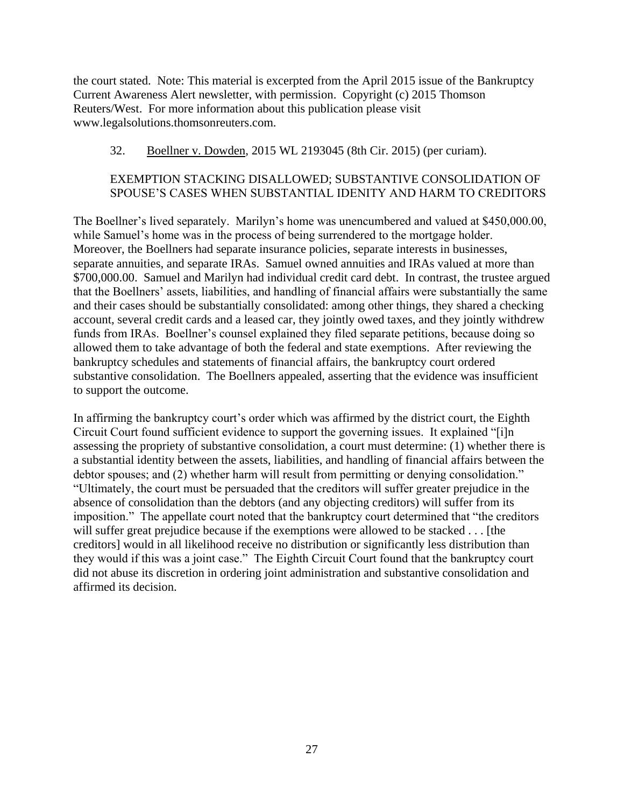the court stated. Note: This material is excerpted from the April 2015 issue of the Bankruptcy Current Awareness Alert newsletter, with permission. Copyright (c) 2015 Thomson Reuters/West. For more information about this publication please visit www.legalsolutions.thomsonreuters.com.

# 32. Boellner v. Dowden, 2015 WL 2193045 (8th Cir. 2015) (per curiam).

# EXEMPTION STACKING DISALLOWED; SUBSTANTIVE CONSOLIDATION OF SPOUSE'S CASES WHEN SUBSTANTIAL IDENITY AND HARM TO CREDITORS

The Boellner's lived separately. Marilyn's home was unencumbered and valued at \$450,000.00, while Samuel's home was in the process of being surrendered to the mortgage holder. Moreover, the Boellners had separate insurance policies, separate interests in businesses, separate annuities, and separate IRAs. Samuel owned annuities and IRAs valued at more than \$700,000.00. Samuel and Marilyn had individual credit card debt. In contrast, the trustee argued that the Boellners' assets, liabilities, and handling of financial affairs were substantially the same and their cases should be substantially consolidated: among other things, they shared a checking account, several credit cards and a leased car, they jointly owed taxes, and they jointly withdrew funds from IRAs. Boellner's counsel explained they filed separate petitions, because doing so allowed them to take advantage of both the federal and state exemptions. After reviewing the bankruptcy schedules and statements of financial affairs, the bankruptcy court ordered substantive consolidation. The Boellners appealed, asserting that the evidence was insufficient to support the outcome.

In affirming the bankruptcy court's order which was affirmed by the district court, the Eighth Circuit Court found sufficient evidence to support the governing issues. It explained "[i]n assessing the propriety of substantive consolidation, a court must determine: (1) whether there is a substantial identity between the assets, liabilities, and handling of financial affairs between the debtor spouses; and (2) whether harm will result from permitting or denying consolidation." "Ultimately, the court must be persuaded that the creditors will suffer greater prejudice in the absence of consolidation than the debtors (and any objecting creditors) will suffer from its imposition." The appellate court noted that the bankruptcy court determined that "the creditors will suffer great prejudice because if the exemptions were allowed to be stacked . . . [the creditors] would in all likelihood receive no distribution or significantly less distribution than they would if this was a joint case." The Eighth Circuit Court found that the bankruptcy court did not abuse its discretion in ordering joint administration and substantive consolidation and affirmed its decision.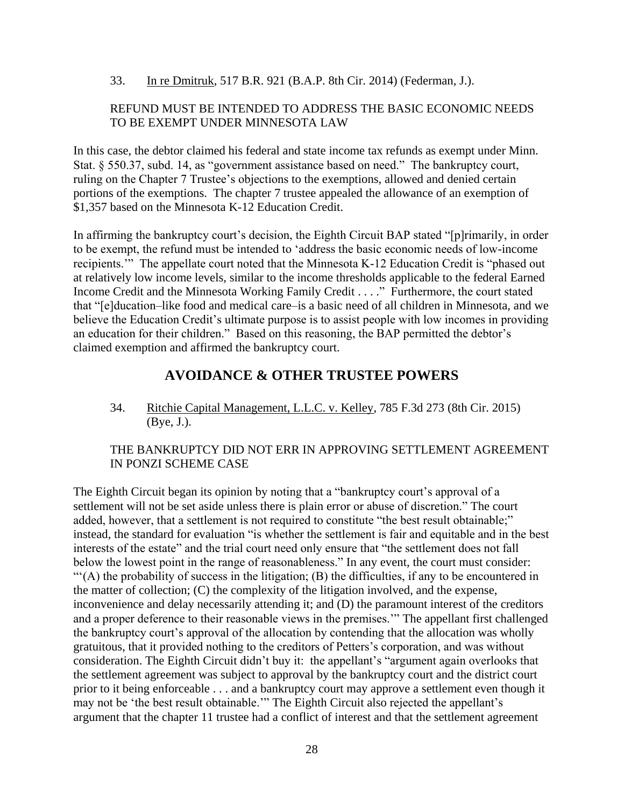33. In re Dmitruk, 517 B.R. 921 (B.A.P. 8th Cir. 2014) (Federman, J.).

#### REFUND MUST BE INTENDED TO ADDRESS THE BASIC ECONOMIC NEEDS TO BE EXEMPT UNDER MINNESOTA LAW

In this case, the debtor claimed his federal and state income tax refunds as exempt under Minn. Stat. § 550.37, subd. 14, as "government assistance based on need." The bankruptcy court, ruling on the Chapter 7 Trustee's objections to the exemptions, allowed and denied certain portions of the exemptions. The chapter 7 trustee appealed the allowance of an exemption of \$1,357 based on the Minnesota K-12 Education Credit.

In affirming the bankruptcy court's decision, the Eighth Circuit BAP stated "[p]rimarily, in order to be exempt, the refund must be intended to 'address the basic economic needs of low-income recipients.'" The appellate court noted that the Minnesota K-12 Education Credit is "phased out at relatively low income levels, similar to the income thresholds applicable to the federal Earned Income Credit and the Minnesota Working Family Credit . . . ." Furthermore, the court stated that "[e]ducation–like food and medical care–is a basic need of all children in Minnesota, and we believe the Education Credit's ultimate purpose is to assist people with low incomes in providing an education for their children." Based on this reasoning, the BAP permitted the debtor's claimed exemption and affirmed the bankruptcy court.

# **AVOIDANCE & OTHER TRUSTEE POWERS**

<span id="page-27-0"></span>34. Ritchie Capital Management, L.L.C. v. Kelley, 785 F.3d 273 (8th Cir. 2015) (Bye, J.).

#### THE BANKRUPTCY DID NOT ERR IN APPROVING SETTLEMENT AGREEMENT IN PONZI SCHEME CASE

The Eighth Circuit began its opinion by noting that a "bankruptcy court's approval of a settlement will not be set aside unless there is plain error or abuse of discretion." The court added, however, that a settlement is not required to constitute "the best result obtainable;" instead, the standard for evaluation "is whether the settlement is fair and equitable and in the best interests of the estate" and the trial court need only ensure that "the settlement does not fall below the lowest point in the range of reasonableness." In any event, the court must consider: "'(A) the probability of success in the litigation; (B) the difficulties, if any to be encountered in the matter of collection; (C) the complexity of the litigation involved, and the expense, inconvenience and delay necessarily attending it; and (D) the paramount interest of the creditors and a proper deference to their reasonable views in the premises.'" The appellant first challenged the bankruptcy court's approval of the allocation by contending that the allocation was wholly gratuitous, that it provided nothing to the creditors of Petters's corporation, and was without consideration. The Eighth Circuit didn't buy it: the appellant's "argument again overlooks that the settlement agreement was subject to approval by the bankruptcy court and the district court prior to it being enforceable . . . and a bankruptcy court may approve a settlement even though it may not be 'the best result obtainable.'" The Eighth Circuit also rejected the appellant's argument that the chapter 11 trustee had a conflict of interest and that the settlement agreement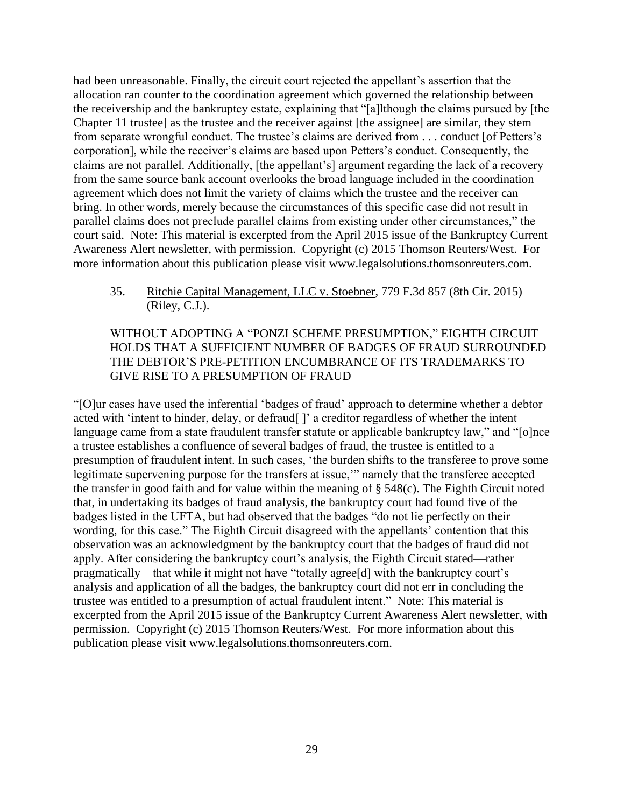had been unreasonable. Finally, the circuit court rejected the appellant's assertion that the allocation ran counter to the coordination agreement which governed the relationship between the receivership and the bankruptcy estate, explaining that "[a]lthough the claims pursued by [the Chapter 11 trustee] as the trustee and the receiver against [the assignee] are similar, they stem from separate wrongful conduct. The trustee's claims are derived from . . . conduct [of Petters's corporation], while the receiver's claims are based upon Petters's conduct. Consequently, the claims are not parallel. Additionally, [the appellant's] argument regarding the lack of a recovery from the same source bank account overlooks the broad language included in the coordination agreement which does not limit the variety of claims which the trustee and the receiver can bring. In other words, merely because the circumstances of this specific case did not result in parallel claims does not preclude parallel claims from existing under other circumstances," the court said. Note: This material is excerpted from the April 2015 issue of the Bankruptcy Current Awareness Alert newsletter, with permission. Copyright (c) 2015 Thomson Reuters/West. For more information about this publication please visit www.legalsolutions.thomsonreuters.com.

35. Ritchie Capital Management, LLC v. Stoebner, 779 F.3d 857 (8th Cir. 2015) (Riley, C.J.).

# WITHOUT ADOPTING A "PONZI SCHEME PRESUMPTION," EIGHTH CIRCUIT HOLDS THAT A SUFFICIENT NUMBER OF BADGES OF FRAUD SURROUNDED THE DEBTOR'S PRE-PETITION ENCUMBRANCE OF ITS TRADEMARKS TO GIVE RISE TO A PRESUMPTION OF FRAUD

"[O]ur cases have used the inferential 'badges of fraud' approach to determine whether a debtor acted with 'intent to hinder, delay, or defraud[]' a creditor regardless of whether the intent language came from a state fraudulent transfer statute or applicable bankruptcy law," and "[o]nce a trustee establishes a confluence of several badges of fraud, the trustee is entitled to a presumption of fraudulent intent. In such cases, 'the burden shifts to the transferee to prove some legitimate supervening purpose for the transfers at issue,'" namely that the transferee accepted the transfer in good faith and for value within the meaning of § 548(c). The Eighth Circuit noted that, in undertaking its badges of fraud analysis, the bankruptcy court had found five of the badges listed in the UFTA, but had observed that the badges "do not lie perfectly on their wording, for this case." The Eighth Circuit disagreed with the appellants' contention that this observation was an acknowledgment by the bankruptcy court that the badges of fraud did not apply. After considering the bankruptcy court's analysis, the Eighth Circuit stated—rather pragmatically—that while it might not have "totally agree[d] with the bankruptcy court's analysis and application of all the badges, the bankruptcy court did not err in concluding the trustee was entitled to a presumption of actual fraudulent intent." Note: This material is excerpted from the April 2015 issue of the Bankruptcy Current Awareness Alert newsletter, with permission. Copyright (c) 2015 Thomson Reuters/West. For more information about this publication please visit www.legalsolutions.thomsonreuters.com.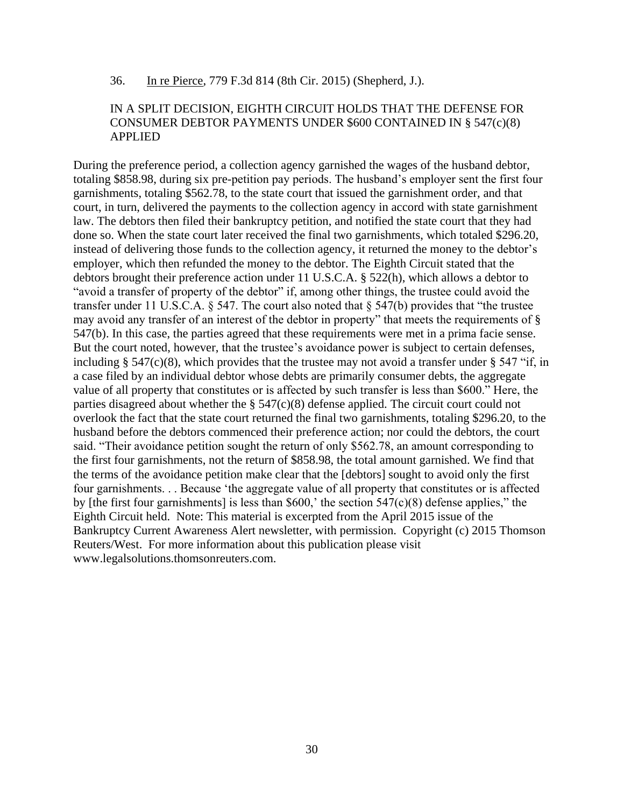#### 36. In re Pierce, 779 F.3d 814 (8th Cir. 2015) (Shepherd, J.).

#### IN A SPLIT DECISION, EIGHTH CIRCUIT HOLDS THAT THE DEFENSE FOR CONSUMER DEBTOR PAYMENTS UNDER \$600 CONTAINED IN § 547(c)(8) APPLIED

During the preference period, a collection agency garnished the wages of the husband debtor, totaling \$858.98, during six pre-petition pay periods. The husband's employer sent the first four garnishments, totaling \$562.78, to the state court that issued the garnishment order, and that court, in turn, delivered the payments to the collection agency in accord with state garnishment law. The debtors then filed their bankruptcy petition, and notified the state court that they had done so. When the state court later received the final two garnishments, which totaled \$296.20, instead of delivering those funds to the collection agency, it returned the money to the debtor's employer, which then refunded the money to the debtor. The Eighth Circuit stated that the debtors brought their preference action under 11 U.S.C.A. § 522(h), which allows a debtor to "avoid a transfer of property of the debtor" if, among other things, the trustee could avoid the transfer under 11 U.S.C.A. § 547. The court also noted that § 547(b) provides that "the trustee may avoid any transfer of an interest of the debtor in property" that meets the requirements of § 547(b). In this case, the parties agreed that these requirements were met in a prima facie sense. But the court noted, however, that the trustee's avoidance power is subject to certain defenses, including  $\S$  547(c)(8), which provides that the trustee may not avoid a transfer under  $\S$  547 "if, in a case filed by an individual debtor whose debts are primarily consumer debts, the aggregate value of all property that constitutes or is affected by such transfer is less than \$600." Here, the parties disagreed about whether the § 547(c)(8) defense applied. The circuit court could not overlook the fact that the state court returned the final two garnishments, totaling \$296.20, to the husband before the debtors commenced their preference action; nor could the debtors, the court said. "Their avoidance petition sought the return of only \$562.78, an amount corresponding to the first four garnishments, not the return of \$858.98, the total amount garnished. We find that the terms of the avoidance petition make clear that the [debtors] sought to avoid only the first four garnishments. . . Because 'the aggregate value of all property that constitutes or is affected by [the first four garnishments] is less than  $$600$ , the section  $547(c)(8)$  defense applies," the Eighth Circuit held. Note: This material is excerpted from the April 2015 issue of the Bankruptcy Current Awareness Alert newsletter, with permission. Copyright (c) 2015 Thomson Reuters/West. For more information about this publication please visit www.legalsolutions.thomsonreuters.com.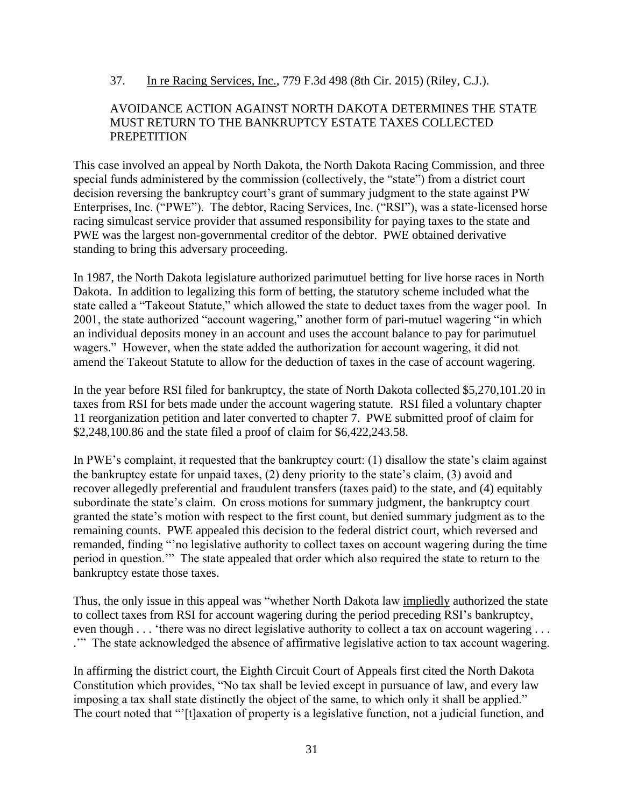### 37. In re Racing Services, Inc., 779 F.3d 498 (8th Cir. 2015) (Riley, C.J.).

#### AVOIDANCE ACTION AGAINST NORTH DAKOTA DETERMINES THE STATE MUST RETURN TO THE BANKRUPTCY ESTATE TAXES COLLECTED **PREPETITION**

This case involved an appeal by North Dakota, the North Dakota Racing Commission, and three special funds administered by the commission (collectively, the "state") from a district court decision reversing the bankruptcy court's grant of summary judgment to the state against PW Enterprises, Inc. ("PWE"). The debtor, Racing Services, Inc. ("RSI"), was a state-licensed horse racing simulcast service provider that assumed responsibility for paying taxes to the state and PWE was the largest non-governmental creditor of the debtor. PWE obtained derivative standing to bring this adversary proceeding.

In 1987, the North Dakota legislature authorized parimutuel betting for live horse races in North Dakota. In addition to legalizing this form of betting, the statutory scheme included what the state called a "Takeout Statute," which allowed the state to deduct taxes from the wager pool. In 2001, the state authorized "account wagering," another form of pari-mutuel wagering "in which an individual deposits money in an account and uses the account balance to pay for parimutuel wagers." However, when the state added the authorization for account wagering, it did not amend the Takeout Statute to allow for the deduction of taxes in the case of account wagering.

In the year before RSI filed for bankruptcy, the state of North Dakota collected \$5,270,101.20 in taxes from RSI for bets made under the account wagering statute. RSI filed a voluntary chapter 11 reorganization petition and later converted to chapter 7. PWE submitted proof of claim for \$2,248,100.86 and the state filed a proof of claim for \$6,422,243.58.

In PWE's complaint, it requested that the bankruptcy court: (1) disallow the state's claim against the bankruptcy estate for unpaid taxes, (2) deny priority to the state's claim, (3) avoid and recover allegedly preferential and fraudulent transfers (taxes paid) to the state, and (4) equitably subordinate the state's claim. On cross motions for summary judgment, the bankruptcy court granted the state's motion with respect to the first count, but denied summary judgment as to the remaining counts. PWE appealed this decision to the federal district court, which reversed and remanded, finding "'no legislative authority to collect taxes on account wagering during the time period in question.'" The state appealed that order which also required the state to return to the bankruptcy estate those taxes.

Thus, the only issue in this appeal was "whether North Dakota law impliedly authorized the state to collect taxes from RSI for account wagering during the period preceding RSI's bankruptcy, even though . . . 'there was no direct legislative authority to collect a tax on account wagering . . . .'" The state acknowledged the absence of affirmative legislative action to tax account wagering.

In affirming the district court, the Eighth Circuit Court of Appeals first cited the North Dakota Constitution which provides, "No tax shall be levied except in pursuance of law, and every law imposing a tax shall state distinctly the object of the same, to which only it shall be applied." The court noted that "'[t]axation of property is a legislative function, not a judicial function, and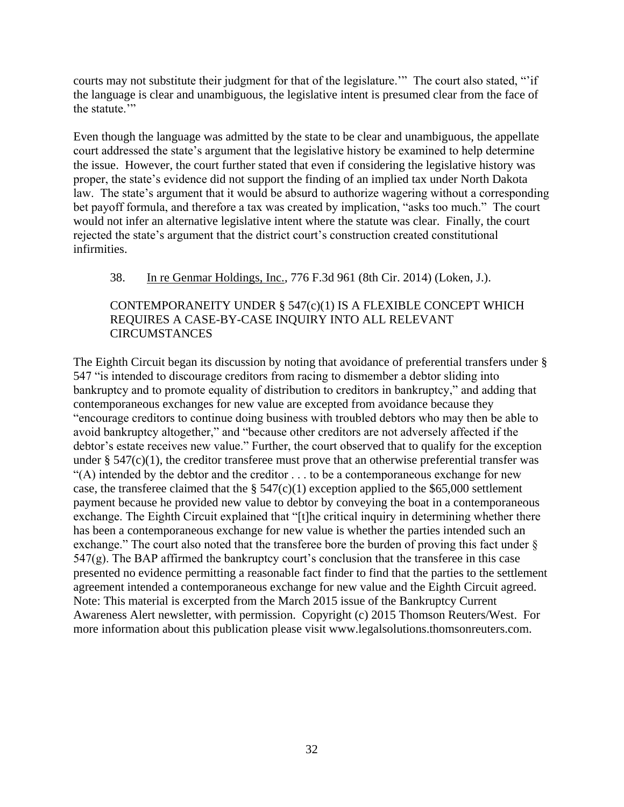courts may not substitute their judgment for that of the legislature." The court also stated, "'if the language is clear and unambiguous, the legislative intent is presumed clear from the face of the statute.'"

Even though the language was admitted by the state to be clear and unambiguous, the appellate court addressed the state's argument that the legislative history be examined to help determine the issue. However, the court further stated that even if considering the legislative history was proper, the state's evidence did not support the finding of an implied tax under North Dakota law. The state's argument that it would be absurd to authorize wagering without a corresponding bet payoff formula, and therefore a tax was created by implication, "asks too much." The court would not infer an alternative legislative intent where the statute was clear. Finally, the court rejected the state's argument that the district court's construction created constitutional infirmities.

# 38. In re Genmar Holdings, Inc., 776 F.3d 961 (8th Cir. 2014) (Loken, J.).

# CONTEMPORANEITY UNDER  $\S$  547(c)(1) IS A FLEXIBLE CONCEPT WHICH REQUIRES A CASE-BY-CASE INQUIRY INTO ALL RELEVANT **CIRCUMSTANCES**

The Eighth Circuit began its discussion by noting that avoidance of preferential transfers under § 547 "is intended to discourage creditors from racing to dismember a debtor sliding into bankruptcy and to promote equality of distribution to creditors in bankruptcy," and adding that contemporaneous exchanges for new value are excepted from avoidance because they "encourage creditors to continue doing business with troubled debtors who may then be able to avoid bankruptcy altogether," and "because other creditors are not adversely affected if the debtor's estate receives new value." Further, the court observed that to qualify for the exception under §  $547(c)(1)$ , the creditor transferee must prove that an otherwise preferential transfer was " $(A)$  intended by the debtor and the creditor  $\ldots$  to be a contemporaneous exchange for new case, the transferee claimed that the  $\S 547(c)(1)$  exception applied to the \$65,000 settlement payment because he provided new value to debtor by conveying the boat in a contemporaneous exchange. The Eighth Circuit explained that "[t]he critical inquiry in determining whether there has been a contemporaneous exchange for new value is whether the parties intended such an exchange." The court also noted that the transferee bore the burden of proving this fact under § 547(g). The BAP affirmed the bankruptcy court's conclusion that the transferee in this case presented no evidence permitting a reasonable fact finder to find that the parties to the settlement agreement intended a contemporaneous exchange for new value and the Eighth Circuit agreed. Note: This material is excerpted from the March 2015 issue of the Bankruptcy Current Awareness Alert newsletter, with permission. Copyright (c) 2015 Thomson Reuters/West. For more information about this publication please visit www.legalsolutions.thomsonreuters.com.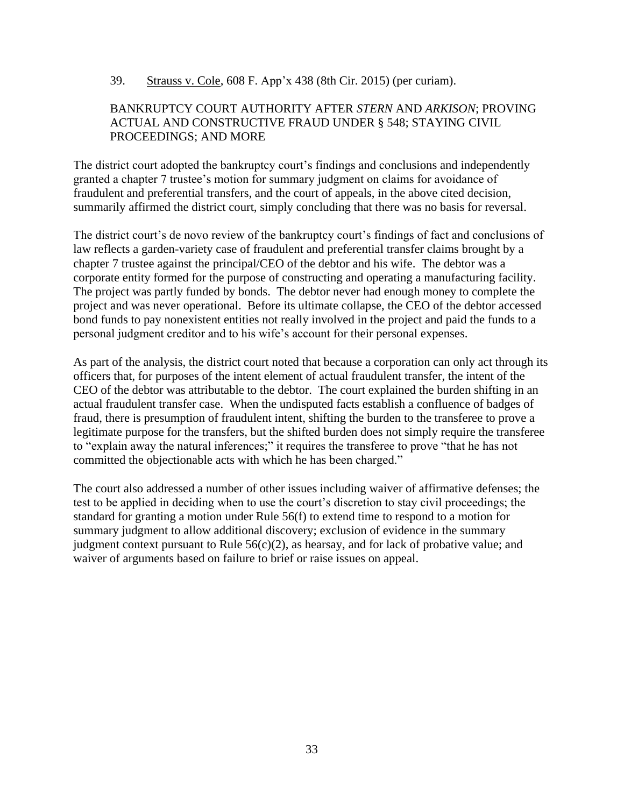39. Strauss v. Cole, 608 F. App'x 438 (8th Cir. 2015) (per curiam).

#### BANKRUPTCY COURT AUTHORITY AFTER *STERN* AND *ARKISON*; PROVING ACTUAL AND CONSTRUCTIVE FRAUD UNDER § 548; STAYING CIVIL PROCEEDINGS; AND MORE

The district court adopted the bankruptcy court's findings and conclusions and independently granted a chapter 7 trustee's motion for summary judgment on claims for avoidance of fraudulent and preferential transfers, and the court of appeals, in the above cited decision, summarily affirmed the district court, simply concluding that there was no basis for reversal.

The district court's de novo review of the bankruptcy court's findings of fact and conclusions of law reflects a garden-variety case of fraudulent and preferential transfer claims brought by a chapter 7 trustee against the principal/CEO of the debtor and his wife. The debtor was a corporate entity formed for the purpose of constructing and operating a manufacturing facility. The project was partly funded by bonds. The debtor never had enough money to complete the project and was never operational. Before its ultimate collapse, the CEO of the debtor accessed bond funds to pay nonexistent entities not really involved in the project and paid the funds to a personal judgment creditor and to his wife's account for their personal expenses.

As part of the analysis, the district court noted that because a corporation can only act through its officers that, for purposes of the intent element of actual fraudulent transfer, the intent of the CEO of the debtor was attributable to the debtor. The court explained the burden shifting in an actual fraudulent transfer case. When the undisputed facts establish a confluence of badges of fraud, there is presumption of fraudulent intent, shifting the burden to the transferee to prove a legitimate purpose for the transfers, but the shifted burden does not simply require the transferee to "explain away the natural inferences;" it requires the transferee to prove "that he has not committed the objectionable acts with which he has been charged."

The court also addressed a number of other issues including waiver of affirmative defenses; the test to be applied in deciding when to use the court's discretion to stay civil proceedings; the standard for granting a motion under Rule 56(f) to extend time to respond to a motion for summary judgment to allow additional discovery; exclusion of evidence in the summary judgment context pursuant to Rule  $56(c)(2)$ , as hearsay, and for lack of probative value; and waiver of arguments based on failure to brief or raise issues on appeal.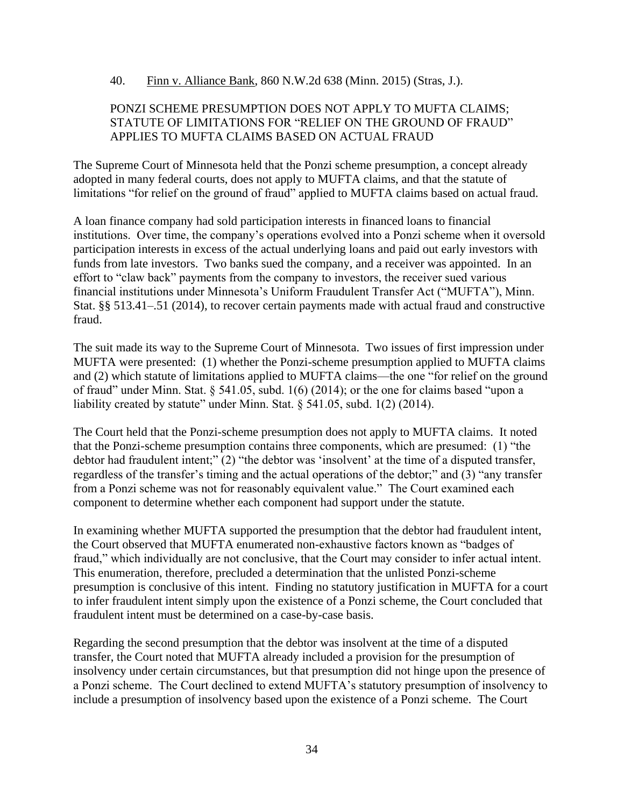#### 40. Finn v. Alliance Bank, 860 N.W.2d 638 (Minn. 2015) (Stras, J.).

#### PONZI SCHEME PRESUMPTION DOES NOT APPLY TO MUFTA CLAIMS; STATUTE OF LIMITATIONS FOR "RELIEF ON THE GROUND OF FRAUD" APPLIES TO MUFTA CLAIMS BASED ON ACTUAL FRAUD

The Supreme Court of Minnesota held that the Ponzi scheme presumption, a concept already adopted in many federal courts, does not apply to MUFTA claims, and that the statute of limitations "for relief on the ground of fraud" applied to MUFTA claims based on actual fraud.

A loan finance company had sold participation interests in financed loans to financial institutions. Over time, the company's operations evolved into a Ponzi scheme when it oversold participation interests in excess of the actual underlying loans and paid out early investors with funds from late investors. Two banks sued the company, and a receiver was appointed. In an effort to "claw back" payments from the company to investors, the receiver sued various financial institutions under Minnesota's Uniform Fraudulent Transfer Act ("MUFTA"), Minn. Stat. §§ 513.41–.51 (2014), to recover certain payments made with actual fraud and constructive fraud.

The suit made its way to the Supreme Court of Minnesota. Two issues of first impression under MUFTA were presented: (1) whether the Ponzi-scheme presumption applied to MUFTA claims and (2) which statute of limitations applied to MUFTA claims—the one "for relief on the ground of fraud" under Minn. Stat. § 541.05, subd. 1(6) (2014); or the one for claims based "upon a liability created by statute" under Minn. Stat. § 541.05, subd. 1(2) (2014).

The Court held that the Ponzi-scheme presumption does not apply to MUFTA claims. It noted that the Ponzi-scheme presumption contains three components, which are presumed: (1) "the debtor had fraudulent intent;" (2) "the debtor was 'insolvent' at the time of a disputed transfer, regardless of the transfer's timing and the actual operations of the debtor;" and (3) "any transfer from a Ponzi scheme was not for reasonably equivalent value." The Court examined each component to determine whether each component had support under the statute.

In examining whether MUFTA supported the presumption that the debtor had fraudulent intent, the Court observed that MUFTA enumerated non-exhaustive factors known as "badges of fraud," which individually are not conclusive, that the Court may consider to infer actual intent. This enumeration, therefore, precluded a determination that the unlisted Ponzi-scheme presumption is conclusive of this intent. Finding no statutory justification in MUFTA for a court to infer fraudulent intent simply upon the existence of a Ponzi scheme, the Court concluded that fraudulent intent must be determined on a case-by-case basis.

Regarding the second presumption that the debtor was insolvent at the time of a disputed transfer, the Court noted that MUFTA already included a provision for the presumption of insolvency under certain circumstances, but that presumption did not hinge upon the presence of a Ponzi scheme. The Court declined to extend MUFTA's statutory presumption of insolvency to include a presumption of insolvency based upon the existence of a Ponzi scheme. The Court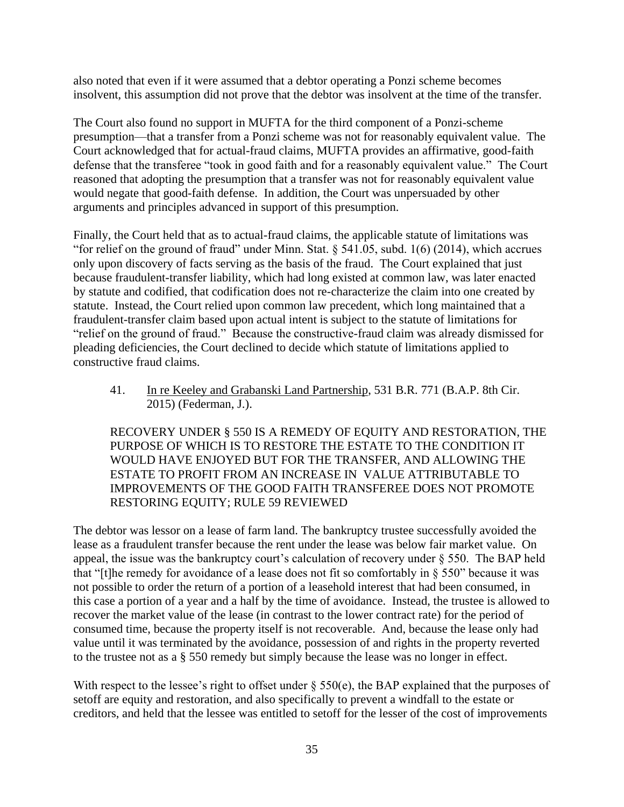also noted that even if it were assumed that a debtor operating a Ponzi scheme becomes insolvent, this assumption did not prove that the debtor was insolvent at the time of the transfer.

The Court also found no support in MUFTA for the third component of a Ponzi-scheme presumption—that a transfer from a Ponzi scheme was not for reasonably equivalent value. The Court acknowledged that for actual-fraud claims, MUFTA provides an affirmative, good-faith defense that the transferee "took in good faith and for a reasonably equivalent value." The Court reasoned that adopting the presumption that a transfer was not for reasonably equivalent value would negate that good-faith defense. In addition, the Court was unpersuaded by other arguments and principles advanced in support of this presumption.

Finally, the Court held that as to actual-fraud claims, the applicable statute of limitations was "for relief on the ground of fraud" under Minn. Stat. § 541.05, subd. 1(6) (2014), which accrues only upon discovery of facts serving as the basis of the fraud. The Court explained that just because fraudulent-transfer liability, which had long existed at common law, was later enacted by statute and codified, that codification does not re-characterize the claim into one created by statute. Instead, the Court relied upon common law precedent, which long maintained that a fraudulent-transfer claim based upon actual intent is subject to the statute of limitations for "relief on the ground of fraud." Because the constructive-fraud claim was already dismissed for pleading deficiencies, the Court declined to decide which statute of limitations applied to constructive fraud claims.

41. In re Keeley and Grabanski Land Partnership, 531 B.R. 771 (B.A.P. 8th Cir. 2015) (Federman, J.).

RECOVERY UNDER § 550 IS A REMEDY OF EQUITY AND RESTORATION, THE PURPOSE OF WHICH IS TO RESTORE THE ESTATE TO THE CONDITION IT WOULD HAVE ENJOYED BUT FOR THE TRANSFER, AND ALLOWING THE ESTATE TO PROFIT FROM AN INCREASE IN VALUE ATTRIBUTABLE TO IMPROVEMENTS OF THE GOOD FAITH TRANSFEREE DOES NOT PROMOTE RESTORING EQUITY; RULE 59 REVIEWED

The debtor was lessor on a lease of farm land. The bankruptcy trustee successfully avoided the lease as a fraudulent transfer because the rent under the lease was below fair market value. On appeal, the issue was the bankruptcy court's calculation of recovery under § 550. The BAP held that "[t]he remedy for avoidance of a lease does not fit so comfortably in  $\S$  550" because it was not possible to order the return of a portion of a leasehold interest that had been consumed, in this case a portion of a year and a half by the time of avoidance. Instead, the trustee is allowed to recover the market value of the lease (in contrast to the lower contract rate) for the period of consumed time, because the property itself is not recoverable. And, because the lease only had value until it was terminated by the avoidance, possession of and rights in the property reverted to the trustee not as a § 550 remedy but simply because the lease was no longer in effect.

With respect to the lessee's right to offset under  $\S$  550(e), the BAP explained that the purposes of setoff are equity and restoration, and also specifically to prevent a windfall to the estate or creditors, and held that the lessee was entitled to setoff for the lesser of the cost of improvements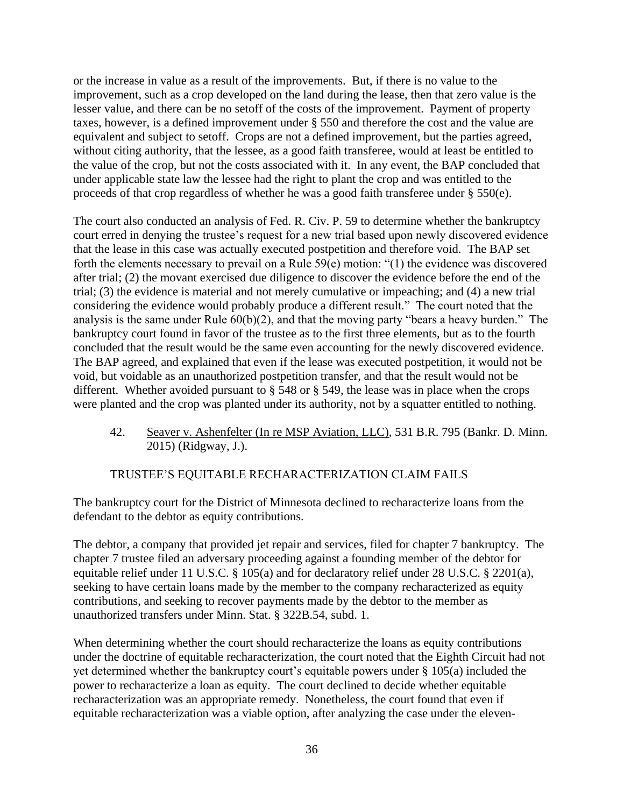or the increase in value as a result of the improvements. But, if there is no value to the improvement, such as a crop developed on the land during the lease, then that zero value is the lesser value, and there can be no setoff of the costs of the improvement. Payment of property taxes, however, is a defined improvement under § 550 and therefore the cost and the value are equivalent and subject to setoff. Crops are not a defined improvement, but the parties agreed, without citing authority, that the lessee, as a good faith transferee, would at least be entitled to the value of the crop, but not the costs associated with it. In any event, the BAP concluded that under applicable state law the lessee had the right to plant the crop and was entitled to the proceeds of that crop regardless of whether he was a good faith transferee under § 550(e).

The court also conducted an analysis of Fed. R. Civ. P. 59 to determine whether the bankruptcy court erred in denying the trustee's request for a new trial based upon newly discovered evidence that the lease in this case was actually executed postpetition and therefore void. The BAP set forth the elements necessary to prevail on a Rule 59(e) motion: "(1) the evidence was discovered after trial; (2) the movant exercised due diligence to discover the evidence before the end of the trial; (3) the evidence is material and not merely cumulative or impeaching; and (4) a new trial considering the evidence would probably produce a different result." The court noted that the analysis is the same under Rule 60(b)(2), and that the moving party "bears a heavy burden." The bankruptcy court found in favor of the trustee as to the first three elements, but as to the fourth concluded that the result would be the same even accounting for the newly discovered evidence. The BAP agreed, and explained that even if the lease was executed postpetition, it would not be void, but voidable as an unauthorized postpetition transfer, and that the result would not be different. Whether avoided pursuant to § 548 or § 549, the lease was in place when the crops were planted and the crop was planted under its authority, not by a squatter entitled to nothing.

42. Seaver v. Ashenfelter (In re MSP Aviation, LLC), 531 B.R. 795 (Bankr. D. Minn. 2015) (Ridgway, J.).

# TRUSTEE'S EQUITABLE RECHARACTERIZATION CLAIM FAILS

The bankruptcy court for the District of Minnesota declined to recharacterize loans from the defendant to the debtor as equity contributions.

The debtor, a company that provided jet repair and services, filed for chapter 7 bankruptcy. The chapter 7 trustee filed an adversary proceeding against a founding member of the debtor for equitable relief under 11 U.S.C. § 105(a) and for declaratory relief under 28 U.S.C. § 2201(a), seeking to have certain loans made by the member to the company recharacterized as equity contributions, and seeking to recover payments made by the debtor to the member as unauthorized transfers under Minn. Stat. § 322B.54, subd. 1.

When determining whether the court should recharacterize the loans as equity contributions under the doctrine of equitable recharacterization, the court noted that the Eighth Circuit had not yet determined whether the bankruptcy court's equitable powers under § 105(a) included the power to recharacterize a loan as equity. The court declined to decide whether equitable recharacterization was an appropriate remedy. Nonetheless, the court found that even if equitable recharacterization was a viable option, after analyzing the case under the eleven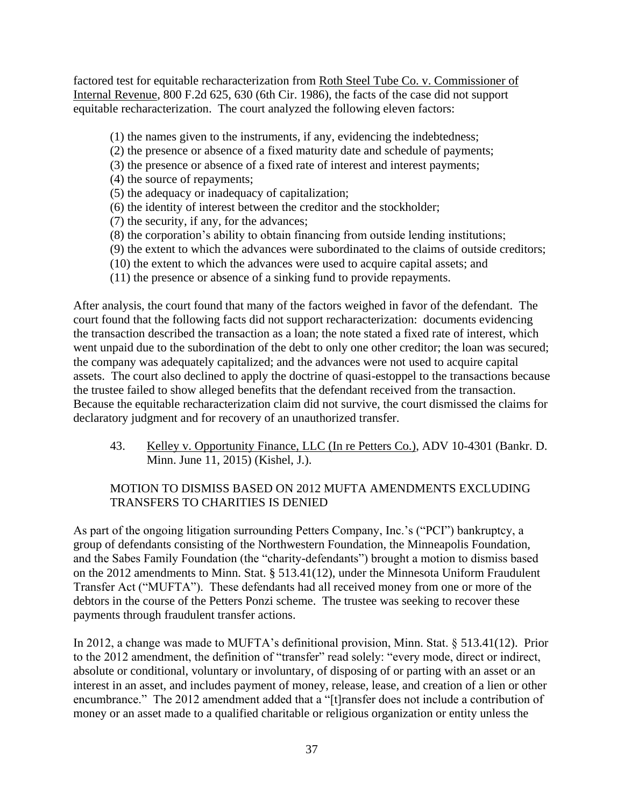factored test for equitable recharacterization from Roth Steel Tube Co. v. Commissioner of Internal Revenue, 800 F.2d 625, 630 (6th Cir. 1986), the facts of the case did not support equitable recharacterization. The court analyzed the following eleven factors:

- (1) the names given to the instruments, if any, evidencing the indebtedness;
- (2) the presence or absence of a fixed maturity date and schedule of payments;
- (3) the presence or absence of a fixed rate of interest and interest payments;
- (4) the source of repayments;
- (5) the adequacy or inadequacy of capitalization;
- (6) the identity of interest between the creditor and the stockholder;
- (7) the security, if any, for the advances;
- (8) the corporation's ability to obtain financing from outside lending institutions;
- (9) the extent to which the advances were subordinated to the claims of outside creditors;
- (10) the extent to which the advances were used to acquire capital assets; and
- (11) the presence or absence of a sinking fund to provide repayments.

After analysis, the court found that many of the factors weighed in favor of the defendant. The court found that the following facts did not support recharacterization: documents evidencing the transaction described the transaction as a loan; the note stated a fixed rate of interest, which went unpaid due to the subordination of the debt to only one other creditor; the loan was secured; the company was adequately capitalized; and the advances were not used to acquire capital assets. The court also declined to apply the doctrine of quasi-estoppel to the transactions because the trustee failed to show alleged benefits that the defendant received from the transaction. Because the equitable recharacterization claim did not survive, the court dismissed the claims for declaratory judgment and for recovery of an unauthorized transfer.

43. Kelley v. Opportunity Finance, LLC (In re Petters Co.), ADV 10-4301 (Bankr. D. Minn. June 11, 2015) (Kishel, J.).

# MOTION TO DISMISS BASED ON 2012 MUFTA AMENDMENTS EXCLUDING TRANSFERS TO CHARITIES IS DENIED

As part of the ongoing litigation surrounding Petters Company, Inc.'s ("PCI") bankruptcy, a group of defendants consisting of the Northwestern Foundation, the Minneapolis Foundation, and the Sabes Family Foundation (the "charity-defendants") brought a motion to dismiss based on the 2012 amendments to Minn. Stat. § 513.41(12), under the Minnesota Uniform Fraudulent Transfer Act ("MUFTA"). These defendants had all received money from one or more of the debtors in the course of the Petters Ponzi scheme. The trustee was seeking to recover these payments through fraudulent transfer actions.

In 2012, a change was made to MUFTA's definitional provision, Minn. Stat. § 513.41(12). Prior to the 2012 amendment, the definition of "transfer" read solely: "every mode, direct or indirect, absolute or conditional, voluntary or involuntary, of disposing of or parting with an asset or an interest in an asset, and includes payment of money, release, lease, and creation of a lien or other encumbrance." The 2012 amendment added that a "[t]ransfer does not include a contribution of money or an asset made to a qualified charitable or religious organization or entity unless the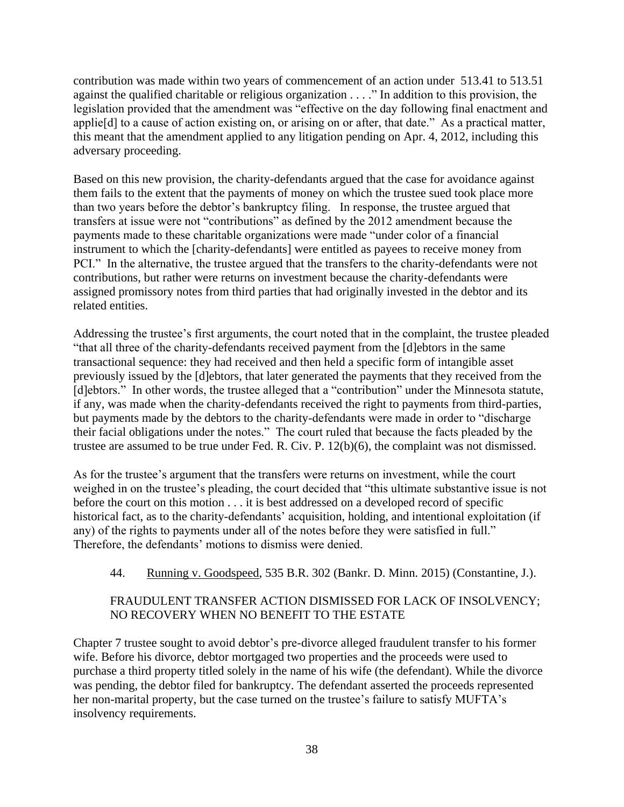contribution was made within two years of commencement of an action under 513.41 to 513.51 against the qualified charitable or religious organization . . . ." In addition to this provision, the legislation provided that the amendment was "effective on the day following final enactment and applie[d] to a cause of action existing on, or arising on or after, that date." As a practical matter, this meant that the amendment applied to any litigation pending on Apr. 4, 2012, including this adversary proceeding.

Based on this new provision, the charity-defendants argued that the case for avoidance against them fails to the extent that the payments of money on which the trustee sued took place more than two years before the debtor's bankruptcy filing. In response, the trustee argued that transfers at issue were not "contributions" as defined by the 2012 amendment because the payments made to these charitable organizations were made "under color of a financial instrument to which the [charity-defendants] were entitled as payees to receive money from PCI." In the alternative, the trustee argued that the transfers to the charity-defendants were not contributions, but rather were returns on investment because the charity-defendants were assigned promissory notes from third parties that had originally invested in the debtor and its related entities.

Addressing the trustee's first arguments, the court noted that in the complaint, the trustee pleaded "that all three of the charity-defendants received payment from the [d]ebtors in the same transactional sequence: they had received and then held a specific form of intangible asset previously issued by the [d]ebtors, that later generated the payments that they received from the [d]ebtors." In other words, the trustee alleged that a "contribution" under the Minnesota statute, if any, was made when the charity-defendants received the right to payments from third-parties, but payments made by the debtors to the charity-defendants were made in order to "discharge their facial obligations under the notes." The court ruled that because the facts pleaded by the trustee are assumed to be true under Fed. R. Civ. P. 12(b)(6), the complaint was not dismissed.

As for the trustee's argument that the transfers were returns on investment, while the court weighed in on the trustee's pleading, the court decided that "this ultimate substantive issue is not before the court on this motion . . . it is best addressed on a developed record of specific historical fact, as to the charity-defendants' acquisition, holding, and intentional exploitation (if any) of the rights to payments under all of the notes before they were satisfied in full." Therefore, the defendants' motions to dismiss were denied.

#### 44. Running v. Goodspeed, 535 B.R. 302 (Bankr. D. Minn. 2015) (Constantine, J.).

# FRAUDULENT TRANSFER ACTION DISMISSED FOR LACK OF INSOLVENCY; NO RECOVERY WHEN NO BENEFIT TO THE ESTATE

Chapter 7 trustee sought to avoid debtor's pre-divorce alleged fraudulent transfer to his former wife. Before his divorce, debtor mortgaged two properties and the proceeds were used to purchase a third property titled solely in the name of his wife (the defendant). While the divorce was pending, the debtor filed for bankruptcy. The defendant asserted the proceeds represented her non-marital property, but the case turned on the trustee's failure to satisfy MUFTA's insolvency requirements.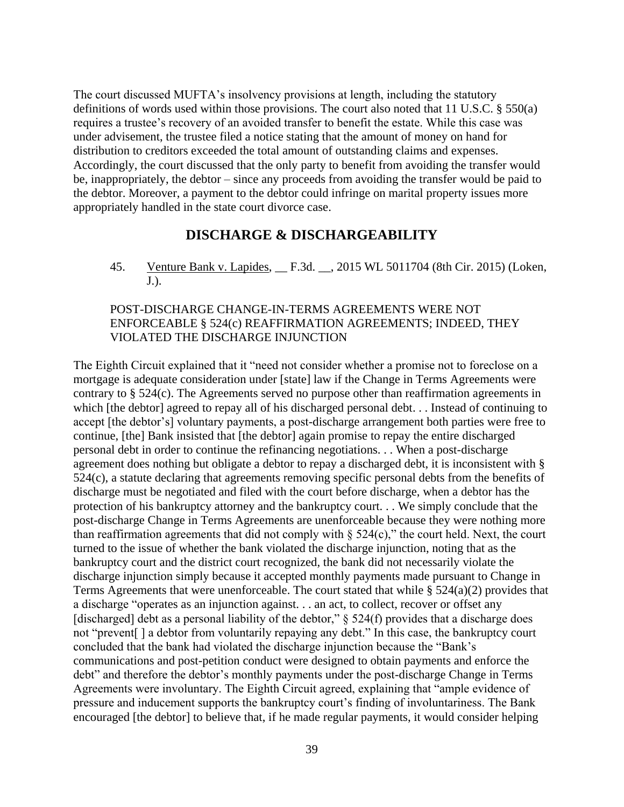The court discussed MUFTA's insolvency provisions at length, including the statutory definitions of words used within those provisions. The court also noted that 11 U.S.C. § 550(a) requires a trustee's recovery of an avoided transfer to benefit the estate. While this case was under advisement, the trustee filed a notice stating that the amount of money on hand for distribution to creditors exceeded the total amount of outstanding claims and expenses. Accordingly, the court discussed that the only party to benefit from avoiding the transfer would be, inappropriately, the debtor – since any proceeds from avoiding the transfer would be paid to the debtor. Moreover, a payment to the debtor could infringe on marital property issues more appropriately handled in the state court divorce case.

#### **DISCHARGE & DISCHARGEABILITY**

<span id="page-38-0"></span>45. Venture Bank v. Lapides, \_\_ F.3d. \_\_, 2015 WL 5011704 (8th Cir. 2015) (Loken, J.).

#### POST-DISCHARGE CHANGE-IN-TERMS AGREEMENTS WERE NOT ENFORCEABLE § 524(c) REAFFIRMATION AGREEMENTS; INDEED, THEY VIOLATED THE DISCHARGE INJUNCTION

The Eighth Circuit explained that it "need not consider whether a promise not to foreclose on a mortgage is adequate consideration under [state] law if the Change in Terms Agreements were contrary to § 524(c). The Agreements served no purpose other than reaffirmation agreements in which [the debtor] agreed to repay all of his discharged personal debt. . . Instead of continuing to accept [the debtor's] voluntary payments, a post-discharge arrangement both parties were free to continue, [the] Bank insisted that [the debtor] again promise to repay the entire discharged personal debt in order to continue the refinancing negotiations. . . When a post-discharge agreement does nothing but obligate a debtor to repay a discharged debt, it is inconsistent with § 524(c), a statute declaring that agreements removing specific personal debts from the benefits of discharge must be negotiated and filed with the court before discharge, when a debtor has the protection of his bankruptcy attorney and the bankruptcy court. . . We simply conclude that the post-discharge Change in Terms Agreements are unenforceable because they were nothing more than reaffirmation agreements that did not comply with  $\S$  524(c)," the court held. Next, the court turned to the issue of whether the bank violated the discharge injunction, noting that as the bankruptcy court and the district court recognized, the bank did not necessarily violate the discharge injunction simply because it accepted monthly payments made pursuant to Change in Terms Agreements that were unenforceable. The court stated that while § 524(a)(2) provides that a discharge "operates as an injunction against. . . an act, to collect, recover or offset any [discharged] debt as a personal liability of the debtor,"  $\S$  524(f) provides that a discharge does not "prevent[ ] a debtor from voluntarily repaying any debt." In this case, the bankruptcy court concluded that the bank had violated the discharge injunction because the "Bank's communications and post-petition conduct were designed to obtain payments and enforce the debt" and therefore the debtor's monthly payments under the post-discharge Change in Terms Agreements were involuntary. The Eighth Circuit agreed, explaining that "ample evidence of pressure and inducement supports the bankruptcy court's finding of involuntariness. The Bank encouraged [the debtor] to believe that, if he made regular payments, it would consider helping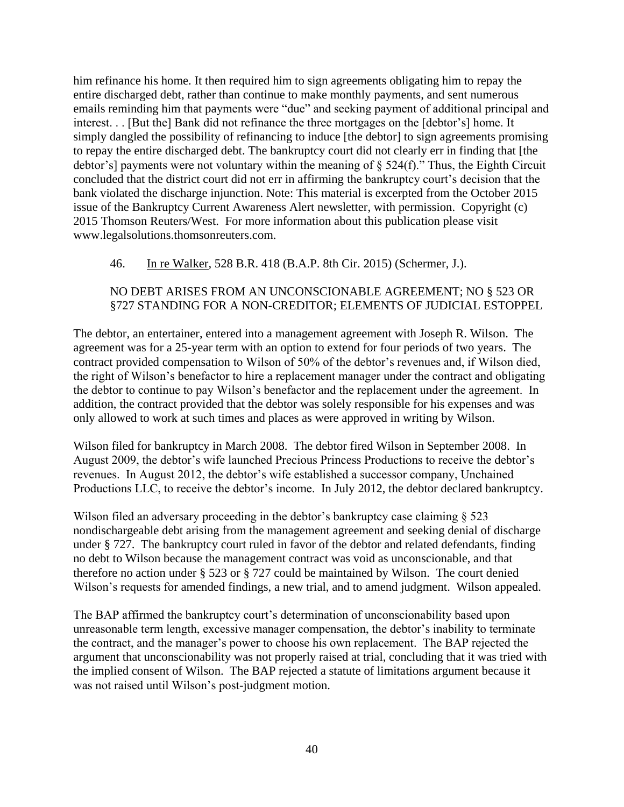him refinance his home. It then required him to sign agreements obligating him to repay the entire discharged debt, rather than continue to make monthly payments, and sent numerous emails reminding him that payments were "due" and seeking payment of additional principal and interest. . . [But the] Bank did not refinance the three mortgages on the [debtor's] home. It simply dangled the possibility of refinancing to induce [the debtor] to sign agreements promising to repay the entire discharged debt. The bankruptcy court did not clearly err in finding that [the debtor's] payments were not voluntary within the meaning of § 524(f)." Thus, the Eighth Circuit concluded that the district court did not err in affirming the bankruptcy court's decision that the bank violated the discharge injunction. Note: This material is excerpted from the October 2015 issue of the Bankruptcy Current Awareness Alert newsletter, with permission. Copyright (c) 2015 Thomson Reuters/West. For more information about this publication please visit www.legalsolutions.thomsonreuters.com.

#### 46. In re Walker, 528 B.R. 418 (B.A.P. 8th Cir. 2015) (Schermer, J.).

## NO DEBT ARISES FROM AN UNCONSCIONABLE AGREEMENT; NO § 523 OR §727 STANDING FOR A NON-CREDITOR; ELEMENTS OF JUDICIAL ESTOPPEL

The debtor, an entertainer, entered into a management agreement with Joseph R. Wilson. The agreement was for a 25-year term with an option to extend for four periods of two years. The contract provided compensation to Wilson of 50% of the debtor's revenues and, if Wilson died, the right of Wilson's benefactor to hire a replacement manager under the contract and obligating the debtor to continue to pay Wilson's benefactor and the replacement under the agreement. In addition, the contract provided that the debtor was solely responsible for his expenses and was only allowed to work at such times and places as were approved in writing by Wilson.

Wilson filed for bankruptcy in March 2008. The debtor fired Wilson in September 2008. In August 2009, the debtor's wife launched Precious Princess Productions to receive the debtor's revenues. In August 2012, the debtor's wife established a successor company, Unchained Productions LLC, to receive the debtor's income. In July 2012, the debtor declared bankruptcy.

Wilson filed an adversary proceeding in the debtor's bankruptcy case claiming  $\S$  523 nondischargeable debt arising from the management agreement and seeking denial of discharge under § 727. The bankruptcy court ruled in favor of the debtor and related defendants, finding no debt to Wilson because the management contract was void as unconscionable, and that therefore no action under § 523 or § 727 could be maintained by Wilson. The court denied Wilson's requests for amended findings, a new trial, and to amend judgment. Wilson appealed.

The BAP affirmed the bankruptcy court's determination of unconscionability based upon unreasonable term length, excessive manager compensation, the debtor's inability to terminate the contract, and the manager's power to choose his own replacement. The BAP rejected the argument that unconscionability was not properly raised at trial, concluding that it was tried with the implied consent of Wilson. The BAP rejected a statute of limitations argument because it was not raised until Wilson's post-judgment motion.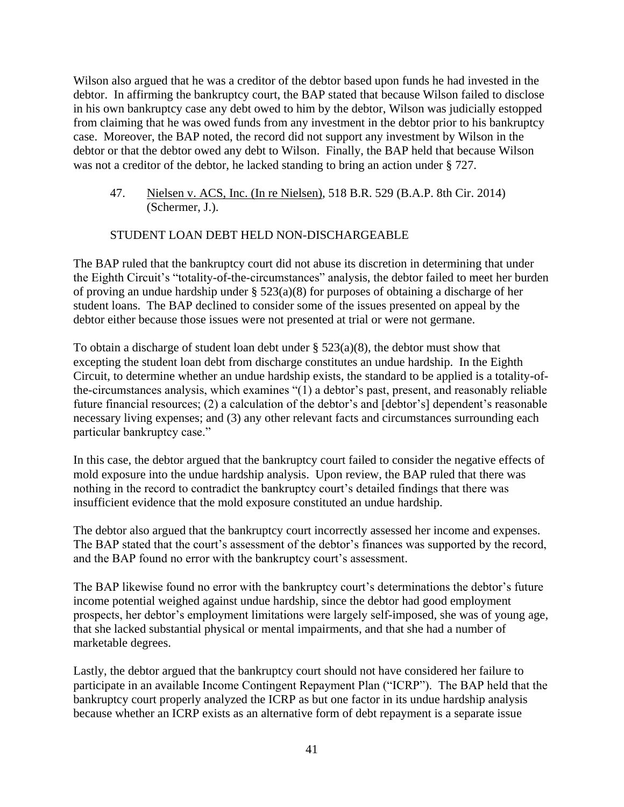Wilson also argued that he was a creditor of the debtor based upon funds he had invested in the debtor. In affirming the bankruptcy court, the BAP stated that because Wilson failed to disclose in his own bankruptcy case any debt owed to him by the debtor, Wilson was judicially estopped from claiming that he was owed funds from any investment in the debtor prior to his bankruptcy case. Moreover, the BAP noted, the record did not support any investment by Wilson in the debtor or that the debtor owed any debt to Wilson. Finally, the BAP held that because Wilson was not a creditor of the debtor, he lacked standing to bring an action under § 727.

47. Nielsen v. ACS, Inc. (In re Nielsen), 518 B.R. 529 (B.A.P. 8th Cir. 2014) (Schermer, J.).

#### STUDENT LOAN DEBT HELD NON-DISCHARGEABLE

The BAP ruled that the bankruptcy court did not abuse its discretion in determining that under the Eighth Circuit's "totality-of-the-circumstances" analysis, the debtor failed to meet her burden of proving an undue hardship under § 523(a)(8) for purposes of obtaining a discharge of her student loans. The BAP declined to consider some of the issues presented on appeal by the debtor either because those issues were not presented at trial or were not germane.

To obtain a discharge of student loan debt under § 523(a)(8), the debtor must show that excepting the student loan debt from discharge constitutes an undue hardship. In the Eighth Circuit, to determine whether an undue hardship exists, the standard to be applied is a totality-ofthe-circumstances analysis, which examines "(1) a debtor's past, present, and reasonably reliable future financial resources; (2) a calculation of the debtor's and [debtor's] dependent's reasonable necessary living expenses; and (3) any other relevant facts and circumstances surrounding each particular bankruptcy case."

In this case, the debtor argued that the bankruptcy court failed to consider the negative effects of mold exposure into the undue hardship analysis. Upon review, the BAP ruled that there was nothing in the record to contradict the bankruptcy court's detailed findings that there was insufficient evidence that the mold exposure constituted an undue hardship.

The debtor also argued that the bankruptcy court incorrectly assessed her income and expenses. The BAP stated that the court's assessment of the debtor's finances was supported by the record, and the BAP found no error with the bankruptcy court's assessment.

The BAP likewise found no error with the bankruptcy court's determinations the debtor's future income potential weighed against undue hardship, since the debtor had good employment prospects, her debtor's employment limitations were largely self-imposed, she was of young age, that she lacked substantial physical or mental impairments, and that she had a number of marketable degrees.

Lastly, the debtor argued that the bankruptcy court should not have considered her failure to participate in an available Income Contingent Repayment Plan ("ICRP"). The BAP held that the bankruptcy court properly analyzed the ICRP as but one factor in its undue hardship analysis because whether an ICRP exists as an alternative form of debt repayment is a separate issue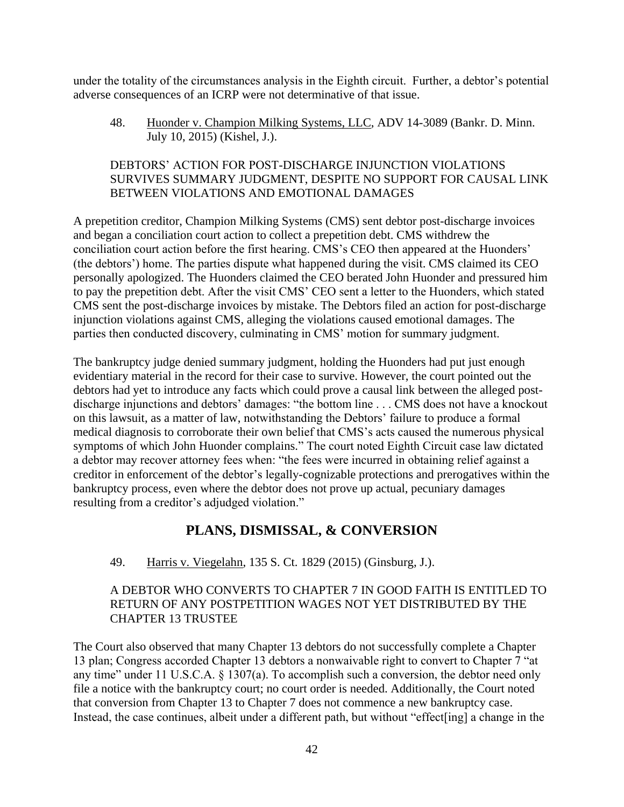under the totality of the circumstances analysis in the Eighth circuit. Further, a debtor's potential adverse consequences of an ICRP were not determinative of that issue.

48. Huonder v. Champion Milking Systems, LLC, ADV 14-3089 (Bankr. D. Minn. July 10, 2015) (Kishel, J.).

# DEBTORS' ACTION FOR POST-DISCHARGE INJUNCTION VIOLATIONS SURVIVES SUMMARY JUDGMENT, DESPITE NO SUPPORT FOR CAUSAL LINK BETWEEN VIOLATIONS AND EMOTIONAL DAMAGES

A prepetition creditor, Champion Milking Systems (CMS) sent debtor post-discharge invoices and began a conciliation court action to collect a prepetition debt. CMS withdrew the conciliation court action before the first hearing. CMS's CEO then appeared at the Huonders' (the debtors') home. The parties dispute what happened during the visit. CMS claimed its CEO personally apologized. The Huonders claimed the CEO berated John Huonder and pressured him to pay the prepetition debt. After the visit CMS' CEO sent a letter to the Huonders, which stated CMS sent the post-discharge invoices by mistake. The Debtors filed an action for post-discharge injunction violations against CMS, alleging the violations caused emotional damages. The parties then conducted discovery, culminating in CMS' motion for summary judgment.

The bankruptcy judge denied summary judgment, holding the Huonders had put just enough evidentiary material in the record for their case to survive. However, the court pointed out the debtors had yet to introduce any facts which could prove a causal link between the alleged postdischarge injunctions and debtors' damages: "the bottom line . . . CMS does not have a knockout on this lawsuit, as a matter of law, notwithstanding the Debtors' failure to produce a formal medical diagnosis to corroborate their own belief that CMS's acts caused the numerous physical symptoms of which John Huonder complains." The court noted Eighth Circuit case law dictated a debtor may recover attorney fees when: "the fees were incurred in obtaining relief against a creditor in enforcement of the debtor's legally-cognizable protections and prerogatives within the bankruptcy process, even where the debtor does not prove up actual, pecuniary damages resulting from a creditor's adjudged violation."

# **PLANS, DISMISSAL, & CONVERSION**

# <span id="page-41-0"></span>49. Harris v. Viegelahn, 135 S. Ct. 1829 (2015) (Ginsburg, J.).

# A DEBTOR WHO CONVERTS TO CHAPTER 7 IN GOOD FAITH IS ENTITLED TO RETURN OF ANY POSTPETITION WAGES NOT YET DISTRIBUTED BY THE CHAPTER 13 TRUSTEE

The Court also observed that many Chapter 13 debtors do not successfully complete a Chapter 13 plan; Congress accorded Chapter 13 debtors a nonwaivable right to convert to Chapter 7 "at any time" under 11 U.S.C.A. § 1307(a). To accomplish such a conversion, the debtor need only file a notice with the bankruptcy court; no court order is needed. Additionally, the Court noted that conversion from Chapter 13 to Chapter 7 does not commence a new bankruptcy case. Instead, the case continues, albeit under a different path, but without "effect[ing] a change in the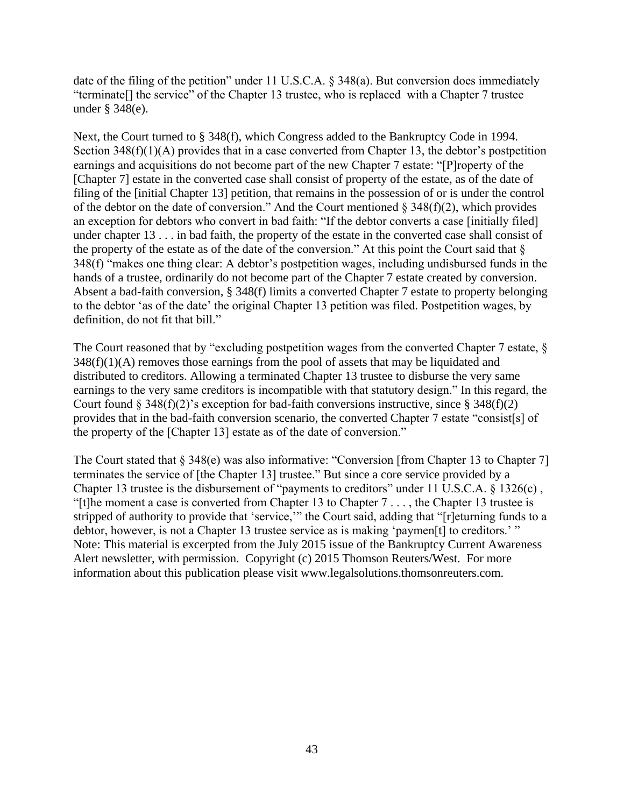date of the filing of the petition" under 11 U.S.C.A. § 348(a). But conversion does immediately "terminate[] the service" of the Chapter 13 trustee, who is replaced with a Chapter 7 trustee under § 348(e).

Next, the Court turned to § 348(f), which Congress added to the Bankruptcy Code in 1994. Section 348(f)(1)(A) provides that in a case converted from Chapter 13, the debtor's postpetition earnings and acquisitions do not become part of the new Chapter 7 estate: "[P]roperty of the [Chapter 7] estate in the converted case shall consist of property of the estate, as of the date of filing of the [initial Chapter 13] petition, that remains in the possession of or is under the control of the debtor on the date of conversion." And the Court mentioned  $\S$  348(f)(2), which provides an exception for debtors who convert in bad faith: "If the debtor converts a case [initially filed] under chapter 13 . . . in bad faith, the property of the estate in the converted case shall consist of the property of the estate as of the date of the conversion." At this point the Court said that  $\delta$ 348(f) "makes one thing clear: A debtor's postpetition wages, including undisbursed funds in the hands of a trustee, ordinarily do not become part of the Chapter 7 estate created by conversion. Absent a bad-faith conversion, § 348(f) limits a converted Chapter 7 estate to property belonging to the debtor 'as of the date' the original Chapter 13 petition was filed. Postpetition wages, by definition, do not fit that bill."

The Court reasoned that by "excluding postpetition wages from the converted Chapter 7 estate,  $\S$  $348(f)(1)(A)$  removes those earnings from the pool of assets that may be liquidated and distributed to creditors. Allowing a terminated Chapter 13 trustee to disburse the very same earnings to the very same creditors is incompatible with that statutory design." In this regard, the Court found  $\S 348(f)(2)$ 's exception for bad-faith conversions instructive, since  $\S 348(f)(2)$ provides that in the bad-faith conversion scenario, the converted Chapter 7 estate "consist[s] of the property of the [Chapter 13] estate as of the date of conversion."

The Court stated that § 348(e) was also informative: "Conversion [from Chapter 13 to Chapter 7] terminates the service of [the Chapter 13] trustee." But since a core service provided by a Chapter 13 trustee is the disbursement of "payments to creditors" under 11 U.S.C.A. § 1326(c) , "[t]he moment a case is converted from Chapter 13 to Chapter 7 . . . , the Chapter 13 trustee is stripped of authority to provide that 'service,'" the Court said, adding that "[r]eturning funds to a debtor, however, is not a Chapter 13 trustee service as is making 'paymen[t] to creditors.' " Note: This material is excerpted from the July 2015 issue of the Bankruptcy Current Awareness Alert newsletter, with permission. Copyright (c) 2015 Thomson Reuters/West. For more information about this publication please visit www.legalsolutions.thomsonreuters.com.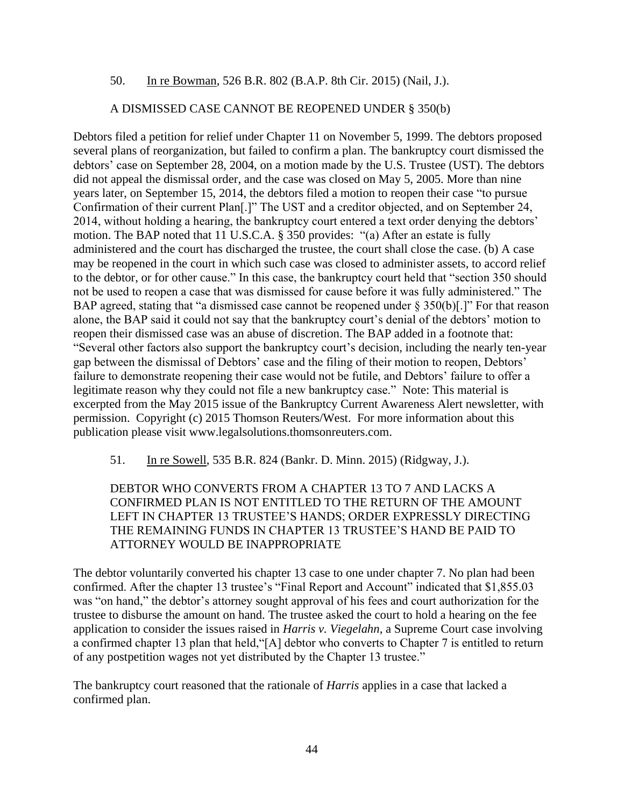#### 50. In re Bowman, 526 B.R. 802 (B.A.P. 8th Cir. 2015) (Nail, J.).

#### A DISMISSED CASE CANNOT BE REOPENED UNDER § 350(b)

Debtors filed a petition for relief under Chapter 11 on November 5, 1999. The debtors proposed several plans of reorganization, but failed to confirm a plan. The bankruptcy court dismissed the debtors' case on September 28, 2004, on a motion made by the U.S. Trustee (UST). The debtors did not appeal the dismissal order, and the case was closed on May 5, 2005. More than nine years later, on September 15, 2014, the debtors filed a motion to reopen their case "to pursue Confirmation of their current Plan[.]" The UST and a creditor objected, and on September 24, 2014, without holding a hearing, the bankruptcy court entered a text order denying the debtors' motion. The BAP noted that 11 U.S.C.A. § 350 provides: "(a) After an estate is fully administered and the court has discharged the trustee, the court shall close the case. (b) A case may be reopened in the court in which such case was closed to administer assets, to accord relief to the debtor, or for other cause." In this case, the bankruptcy court held that "section 350 should not be used to reopen a case that was dismissed for cause before it was fully administered." The BAP agreed, stating that "a dismissed case cannot be reopened under § 350(b)[.]" For that reason alone, the BAP said it could not say that the bankruptcy court's denial of the debtors' motion to reopen their dismissed case was an abuse of discretion. The BAP added in a footnote that: "Several other factors also support the bankruptcy court's decision, including the nearly ten-year gap between the dismissal of Debtors' case and the filing of their motion to reopen, Debtors' failure to demonstrate reopening their case would not be futile, and Debtors' failure to offer a legitimate reason why they could not file a new bankruptcy case." Note: This material is excerpted from the May 2015 issue of the Bankruptcy Current Awareness Alert newsletter, with permission. Copyright (c) 2015 Thomson Reuters/West. For more information about this publication please visit www.legalsolutions.thomsonreuters.com.

51. In re Sowell, 535 B.R. 824 (Bankr. D. Minn. 2015) (Ridgway, J.).

DEBTOR WHO CONVERTS FROM A CHAPTER 13 TO 7 AND LACKS A CONFIRMED PLAN IS NOT ENTITLED TO THE RETURN OF THE AMOUNT LEFT IN CHAPTER 13 TRUSTEE'S HANDS; ORDER EXPRESSLY DIRECTING THE REMAINING FUNDS IN CHAPTER 13 TRUSTEE'S HAND BE PAID TO ATTORNEY WOULD BE INAPPROPRIATE

The debtor voluntarily converted his chapter 13 case to one under chapter 7. No plan had been confirmed. After the chapter 13 trustee's "Final Report and Account" indicated that \$1,855.03 was "on hand," the debtor's attorney sought approval of his fees and court authorization for the trustee to disburse the amount on hand. The trustee asked the court to hold a hearing on the fee application to consider the issues raised in *Harris v. Viegelahn*, a Supreme Court case involving a confirmed chapter 13 plan that held,"[A] debtor who converts to Chapter 7 is entitled to return of any postpetition wages not yet distributed by the Chapter 13 trustee."

The bankruptcy court reasoned that the rationale of *Harris* applies in a case that lacked a confirmed plan.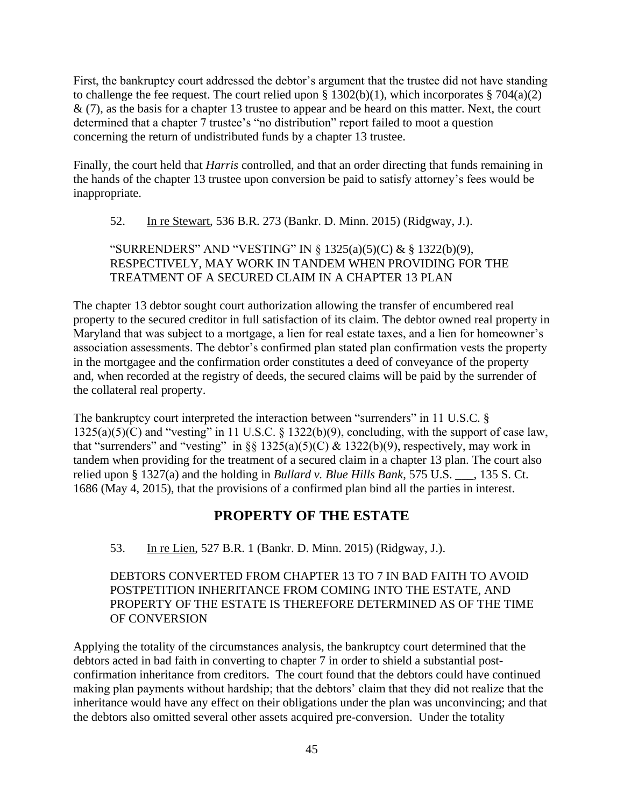First, the bankruptcy court addressed the debtor's argument that the trustee did not have standing to challenge the fee request. The court relied upon  $\S 1302(b)(1)$ , which incorporates  $\S 704(a)(2)$  $\&$  (7), as the basis for a chapter 13 trustee to appear and be heard on this matter. Next, the court determined that a chapter 7 trustee's "no distribution" report failed to moot a question concerning the return of undistributed funds by a chapter 13 trustee.

Finally, the court held that *Harris* controlled, and that an order directing that funds remaining in the hands of the chapter 13 trustee upon conversion be paid to satisfy attorney's fees would be inappropriate.

52. In re Stewart, 536 B.R. 273 (Bankr. D. Minn. 2015) (Ridgway, J.).

# "SURRENDERS" AND "VESTING" IN § 1325(a)(5)(C) & § 1322(b)(9), RESPECTIVELY, MAY WORK IN TANDEM WHEN PROVIDING FOR THE TREATMENT OF A SECURED CLAIM IN A CHAPTER 13 PLAN

The chapter 13 debtor sought court authorization allowing the transfer of encumbered real property to the secured creditor in full satisfaction of its claim. The debtor owned real property in Maryland that was subject to a mortgage, a lien for real estate taxes, and a lien for homeowner's association assessments. The debtor's confirmed plan stated plan confirmation vests the property in the mortgagee and the confirmation order constitutes a deed of conveyance of the property and, when recorded at the registry of deeds, the secured claims will be paid by the surrender of the collateral real property.

The bankruptcy court interpreted the interaction between "surrenders" in 11 U.S.C. §  $1325(a)(5)(C)$  and "vesting" in 11 U.S.C. § 1322(b)(9), concluding, with the support of case law, that "surrenders" and "vesting" in §§ 1325(a)(5)(C)  $\&$  1322(b)(9), respectively, may work in tandem when providing for the treatment of a secured claim in a chapter 13 plan. The court also relied upon § 1327(a) and the holding in *Bullard v. Blue Hills Bank*, 575 U.S. \_\_\_, 135 S. Ct. 1686 (May 4, 2015), that the provisions of a confirmed plan bind all the parties in interest.

# **PROPERTY OF THE ESTATE**

<span id="page-44-0"></span>53. In re Lien, 527 B.R. 1 (Bankr. D. Minn. 2015) (Ridgway, J.).

DEBTORS CONVERTED FROM CHAPTER 13 TO 7 IN BAD FAITH TO AVOID POSTPETITION INHERITANCE FROM COMING INTO THE ESTATE, AND PROPERTY OF THE ESTATE IS THEREFORE DETERMINED AS OF THE TIME OF CONVERSION

Applying the totality of the circumstances analysis, the bankruptcy court determined that the debtors acted in bad faith in converting to chapter 7 in order to shield a substantial postconfirmation inheritance from creditors. The court found that the debtors could have continued making plan payments without hardship; that the debtors' claim that they did not realize that the inheritance would have any effect on their obligations under the plan was unconvincing; and that the debtors also omitted several other assets acquired pre-conversion. Under the totality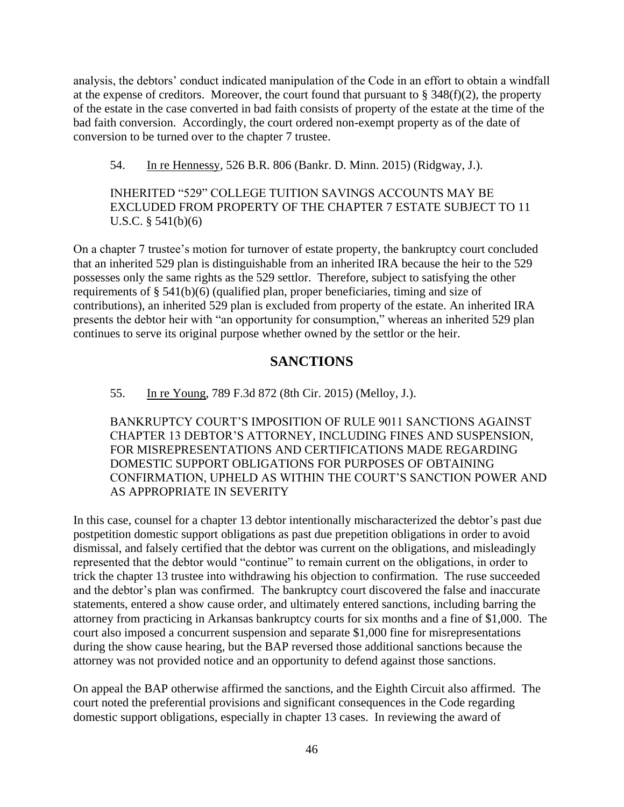analysis, the debtors' conduct indicated manipulation of the Code in an effort to obtain a windfall at the expense of creditors. Moreover, the court found that pursuant to  $\S$  348(f)(2), the property of the estate in the case converted in bad faith consists of property of the estate at the time of the bad faith conversion. Accordingly, the court ordered non-exempt property as of the date of conversion to be turned over to the chapter 7 trustee.

54. In re Hennessy, 526 B.R. 806 (Bankr. D. Minn. 2015) (Ridgway, J.).

INHERITED "529" COLLEGE TUITION SAVINGS ACCOUNTS MAY BE EXCLUDED FROM PROPERTY OF THE CHAPTER 7 ESTATE SUBJECT TO 11 U.S.C. § 541(b)(6)

On a chapter 7 trustee's motion for turnover of estate property, the bankruptcy court concluded that an inherited 529 plan is distinguishable from an inherited IRA because the heir to the 529 possesses only the same rights as the 529 settlor. Therefore, subject to satisfying the other requirements of § 541(b)(6) (qualified plan, proper beneficiaries, timing and size of contributions), an inherited 529 plan is excluded from property of the estate. An inherited IRA presents the debtor heir with "an opportunity for consumption," whereas an inherited 529 plan continues to serve its original purpose whether owned by the settlor or the heir.

# **SANCTIONS**

#### <span id="page-45-0"></span>55. In re Young, 789 F.3d 872 (8th Cir. 2015) (Melloy, J.).

BANKRUPTCY COURT'S IMPOSITION OF RULE 9011 SANCTIONS AGAINST CHAPTER 13 DEBTOR'S ATTORNEY, INCLUDING FINES AND SUSPENSION, FOR MISREPRESENTATIONS AND CERTIFICATIONS MADE REGARDING DOMESTIC SUPPORT OBLIGATIONS FOR PURPOSES OF OBTAINING CONFIRMATION, UPHELD AS WITHIN THE COURT'S SANCTION POWER AND AS APPROPRIATE IN SEVERITY

In this case, counsel for a chapter 13 debtor intentionally mischaracterized the debtor's past due postpetition domestic support obligations as past due prepetition obligations in order to avoid dismissal, and falsely certified that the debtor was current on the obligations, and misleadingly represented that the debtor would "continue" to remain current on the obligations, in order to trick the chapter 13 trustee into withdrawing his objection to confirmation. The ruse succeeded and the debtor's plan was confirmed. The bankruptcy court discovered the false and inaccurate statements, entered a show cause order, and ultimately entered sanctions, including barring the attorney from practicing in Arkansas bankruptcy courts for six months and a fine of \$1,000. The court also imposed a concurrent suspension and separate \$1,000 fine for misrepresentations during the show cause hearing, but the BAP reversed those additional sanctions because the attorney was not provided notice and an opportunity to defend against those sanctions.

On appeal the BAP otherwise affirmed the sanctions, and the Eighth Circuit also affirmed. The court noted the preferential provisions and significant consequences in the Code regarding domestic support obligations, especially in chapter 13 cases. In reviewing the award of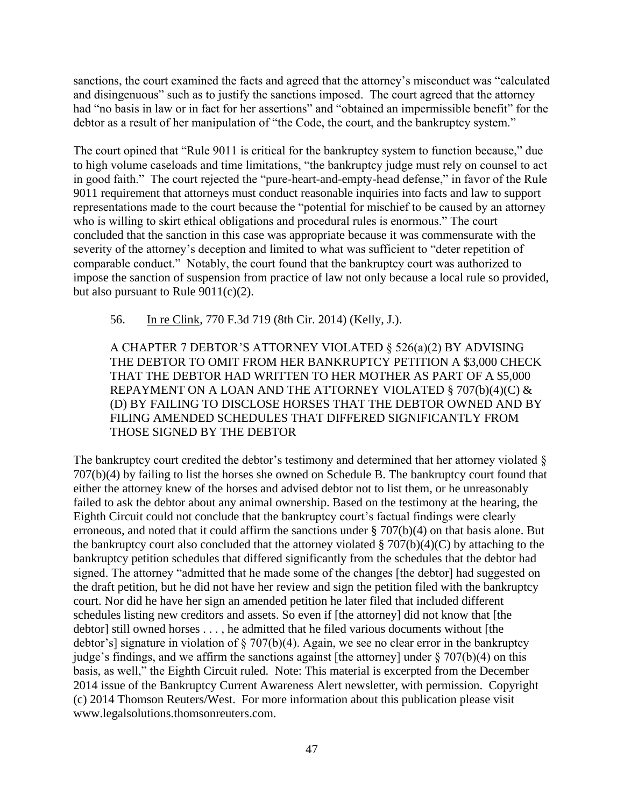sanctions, the court examined the facts and agreed that the attorney's misconduct was "calculated and disingenuous" such as to justify the sanctions imposed. The court agreed that the attorney had "no basis in law or in fact for her assertions" and "obtained an impermissible benefit" for the debtor as a result of her manipulation of "the Code, the court, and the bankruptcy system."

The court opined that "Rule 9011 is critical for the bankruptcy system to function because," due to high volume caseloads and time limitations, "the bankruptcy judge must rely on counsel to act in good faith." The court rejected the "pure-heart-and-empty-head defense," in favor of the Rule 9011 requirement that attorneys must conduct reasonable inquiries into facts and law to support representations made to the court because the "potential for mischief to be caused by an attorney who is willing to skirt ethical obligations and procedural rules is enormous." The court concluded that the sanction in this case was appropriate because it was commensurate with the severity of the attorney's deception and limited to what was sufficient to "deter repetition of comparable conduct." Notably, the court found that the bankruptcy court was authorized to impose the sanction of suspension from practice of law not only because a local rule so provided, but also pursuant to Rule  $9011(c)(2)$ .

56. In re Clink, 770 F.3d 719 (8th Cir. 2014) (Kelly, J.).

A CHAPTER 7 DEBTOR'S ATTORNEY VIOLATED § 526(a)(2) BY ADVISING THE DEBTOR TO OMIT FROM HER BANKRUPTCY PETITION A \$3,000 CHECK THAT THE DEBTOR HAD WRITTEN TO HER MOTHER AS PART OF A \$5,000 REPAYMENT ON A LOAN AND THE ATTORNEY VIOLATED § 707(b)(4)(C)  $\&$ (D) BY FAILING TO DISCLOSE HORSES THAT THE DEBTOR OWNED AND BY FILING AMENDED SCHEDULES THAT DIFFERED SIGNIFICANTLY FROM THOSE SIGNED BY THE DEBTOR

The bankruptcy court credited the debtor's testimony and determined that her attorney violated  $\delta$ 707(b)(4) by failing to list the horses she owned on Schedule B. The bankruptcy court found that either the attorney knew of the horses and advised debtor not to list them, or he unreasonably failed to ask the debtor about any animal ownership. Based on the testimony at the hearing, the Eighth Circuit could not conclude that the bankruptcy court's factual findings were clearly erroneous, and noted that it could affirm the sanctions under § 707(b)(4) on that basis alone. But the bankruptcy court also concluded that the attorney violated  $\S 707(b)(4)(C)$  by attaching to the bankruptcy petition schedules that differed significantly from the schedules that the debtor had signed. The attorney "admitted that he made some of the changes [the debtor] had suggested on the draft petition, but he did not have her review and sign the petition filed with the bankruptcy court. Nor did he have her sign an amended petition he later filed that included different schedules listing new creditors and assets. So even if [the attorney] did not know that [the debtor] still owned horses . . . , he admitted that he filed various documents without [the debtor's] signature in violation of  $\S 707(b)(4)$ . Again, we see no clear error in the bankruptcy judge's findings, and we affirm the sanctions against [the attorney] under  $\S 707(b)(4)$  on this basis, as well," the Eighth Circuit ruled. Note: This material is excerpted from the December 2014 issue of the Bankruptcy Current Awareness Alert newsletter, with permission. Copyright (c) 2014 Thomson Reuters/West. For more information about this publication please visit www.legalsolutions.thomsonreuters.com.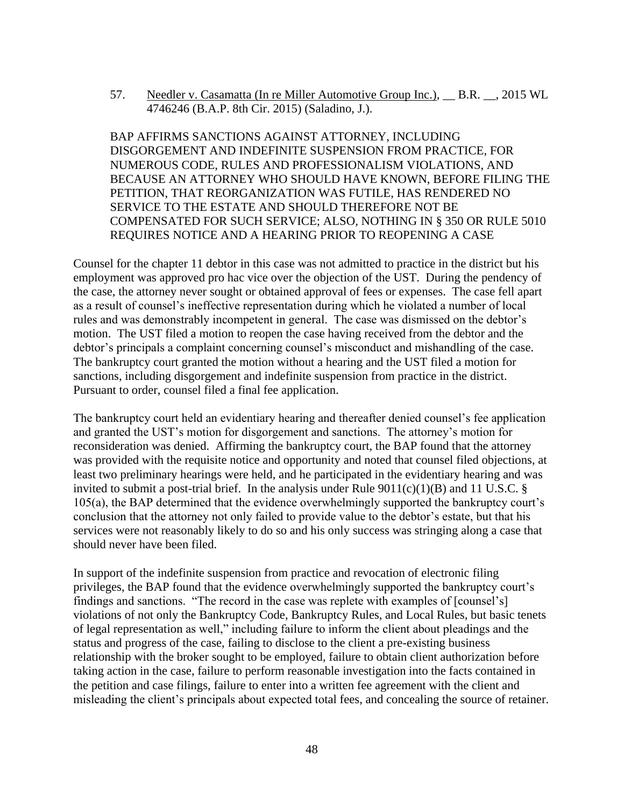57. Needler v. Casamatta (In re Miller Automotive Group Inc.), \_\_ B.R. \_\_, 2015 WL 4746246 (B.A.P. 8th Cir. 2015) (Saladino, J.).

BAP AFFIRMS SANCTIONS AGAINST ATTORNEY, INCLUDING DISGORGEMENT AND INDEFINITE SUSPENSION FROM PRACTICE, FOR NUMEROUS CODE, RULES AND PROFESSIONALISM VIOLATIONS, AND BECAUSE AN ATTORNEY WHO SHOULD HAVE KNOWN, BEFORE FILING THE PETITION, THAT REORGANIZATION WAS FUTILE, HAS RENDERED NO SERVICE TO THE ESTATE AND SHOULD THEREFORE NOT BE COMPENSATED FOR SUCH SERVICE; ALSO, NOTHING IN § 350 OR RULE 5010 REQUIRES NOTICE AND A HEARING PRIOR TO REOPENING A CASE

Counsel for the chapter 11 debtor in this case was not admitted to practice in the district but his employment was approved pro hac vice over the objection of the UST. During the pendency of the case, the attorney never sought or obtained approval of fees or expenses. The case fell apart as a result of counsel's ineffective representation during which he violated a number of local rules and was demonstrably incompetent in general. The case was dismissed on the debtor's motion. The UST filed a motion to reopen the case having received from the debtor and the debtor's principals a complaint concerning counsel's misconduct and mishandling of the case. The bankruptcy court granted the motion without a hearing and the UST filed a motion for sanctions, including disgorgement and indefinite suspension from practice in the district. Pursuant to order, counsel filed a final fee application.

The bankruptcy court held an evidentiary hearing and thereafter denied counsel's fee application and granted the UST's motion for disgorgement and sanctions. The attorney's motion for reconsideration was denied. Affirming the bankruptcy court, the BAP found that the attorney was provided with the requisite notice and opportunity and noted that counsel filed objections, at least two preliminary hearings were held, and he participated in the evidentiary hearing and was invited to submit a post-trial brief. In the analysis under Rule  $9011(c)(1)(B)$  and 11 U.S.C. § 105(a), the BAP determined that the evidence overwhelmingly supported the bankruptcy court's conclusion that the attorney not only failed to provide value to the debtor's estate, but that his services were not reasonably likely to do so and his only success was stringing along a case that should never have been filed.

In support of the indefinite suspension from practice and revocation of electronic filing privileges, the BAP found that the evidence overwhelmingly supported the bankruptcy court's findings and sanctions. "The record in the case was replete with examples of [counsel's] violations of not only the Bankruptcy Code, Bankruptcy Rules, and Local Rules, but basic tenets of legal representation as well," including failure to inform the client about pleadings and the status and progress of the case, failing to disclose to the client a pre-existing business relationship with the broker sought to be employed, failure to obtain client authorization before taking action in the case, failure to perform reasonable investigation into the facts contained in the petition and case filings, failure to enter into a written fee agreement with the client and misleading the client's principals about expected total fees, and concealing the source of retainer.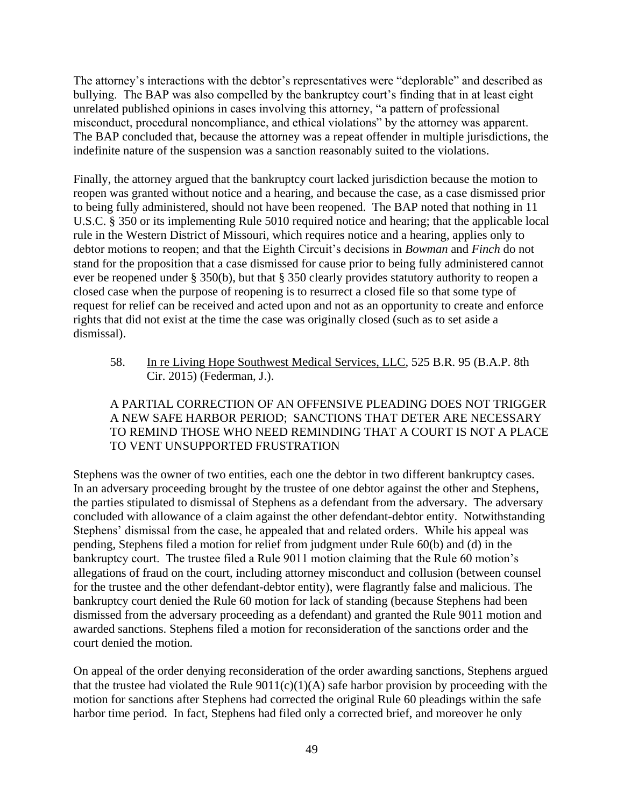The attorney's interactions with the debtor's representatives were "deplorable" and described as bullying. The BAP was also compelled by the bankruptcy court's finding that in at least eight unrelated published opinions in cases involving this attorney, "a pattern of professional misconduct, procedural noncompliance, and ethical violations" by the attorney was apparent. The BAP concluded that, because the attorney was a repeat offender in multiple jurisdictions, the indefinite nature of the suspension was a sanction reasonably suited to the violations.

Finally, the attorney argued that the bankruptcy court lacked jurisdiction because the motion to reopen was granted without notice and a hearing, and because the case, as a case dismissed prior to being fully administered, should not have been reopened. The BAP noted that nothing in 11 U.S.C. § 350 or its implementing Rule 5010 required notice and hearing; that the applicable local rule in the Western District of Missouri, which requires notice and a hearing, applies only to debtor motions to reopen; and that the Eighth Circuit's decisions in *Bowman* and *Finch* do not stand for the proposition that a case dismissed for cause prior to being fully administered cannot ever be reopened under § 350(b), but that § 350 clearly provides statutory authority to reopen a closed case when the purpose of reopening is to resurrect a closed file so that some type of request for relief can be received and acted upon and not as an opportunity to create and enforce rights that did not exist at the time the case was originally closed (such as to set aside a dismissal).

58. In re Living Hope Southwest Medical Services, LLC, 525 B.R. 95 (B.A.P. 8th Cir. 2015) (Federman, J.).

# A PARTIAL CORRECTION OF AN OFFENSIVE PLEADING DOES NOT TRIGGER A NEW SAFE HARBOR PERIOD; SANCTIONS THAT DETER ARE NECESSARY TO REMIND THOSE WHO NEED REMINDING THAT A COURT IS NOT A PLACE TO VENT UNSUPPORTED FRUSTRATION

Stephens was the owner of two entities, each one the debtor in two different bankruptcy cases. In an adversary proceeding brought by the trustee of one debtor against the other and Stephens, the parties stipulated to dismissal of Stephens as a defendant from the adversary. The adversary concluded with allowance of a claim against the other defendant-debtor entity. Notwithstanding Stephens' dismissal from the case, he appealed that and related orders. While his appeal was pending, Stephens filed a motion for relief from judgment under Rule 60(b) and (d) in the bankruptcy court. The trustee filed a Rule 9011 motion claiming that the Rule 60 motion's allegations of fraud on the court, including attorney misconduct and collusion (between counsel for the trustee and the other defendant-debtor entity), were flagrantly false and malicious. The bankruptcy court denied the Rule 60 motion for lack of standing (because Stephens had been dismissed from the adversary proceeding as a defendant) and granted the Rule 9011 motion and awarded sanctions. Stephens filed a motion for reconsideration of the sanctions order and the court denied the motion.

On appeal of the order denying reconsideration of the order awarding sanctions, Stephens argued that the trustee had violated the Rule  $9011(c)(1)(A)$  safe harbor provision by proceeding with the motion for sanctions after Stephens had corrected the original Rule 60 pleadings within the safe harbor time period. In fact, Stephens had filed only a corrected brief, and moreover he only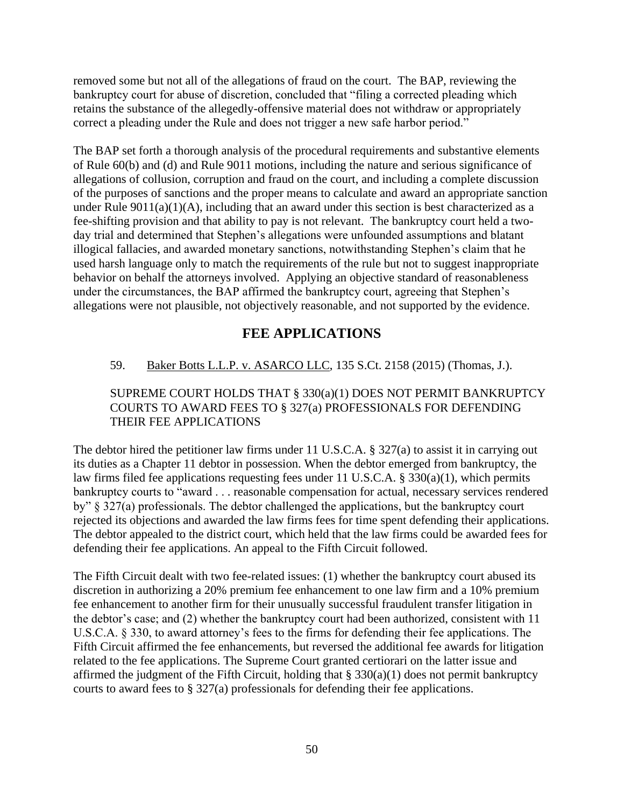removed some but not all of the allegations of fraud on the court. The BAP, reviewing the bankruptcy court for abuse of discretion, concluded that "filing a corrected pleading which retains the substance of the allegedly-offensive material does not withdraw or appropriately correct a pleading under the Rule and does not trigger a new safe harbor period."

The BAP set forth a thorough analysis of the procedural requirements and substantive elements of Rule 60(b) and (d) and Rule 9011 motions, including the nature and serious significance of allegations of collusion, corruption and fraud on the court, and including a complete discussion of the purposes of sanctions and the proper means to calculate and award an appropriate sanction under Rule  $9011(a)(1)(A)$ , including that an award under this section is best characterized as a fee-shifting provision and that ability to pay is not relevant. The bankruptcy court held a twoday trial and determined that Stephen's allegations were unfounded assumptions and blatant illogical fallacies, and awarded monetary sanctions, notwithstanding Stephen's claim that he used harsh language only to match the requirements of the rule but not to suggest inappropriate behavior on behalf the attorneys involved. Applying an objective standard of reasonableness under the circumstances, the BAP affirmed the bankruptcy court, agreeing that Stephen's allegations were not plausible, not objectively reasonable, and not supported by the evidence.

# **FEE APPLICATIONS**

# <span id="page-49-0"></span>59. Baker Botts L.L.P. v. ASARCO LLC, 135 S.Ct. 2158 (2015) (Thomas, J.).

# SUPREME COURT HOLDS THAT § 330(a)(1) DOES NOT PERMIT BANKRUPTCY COURTS TO AWARD FEES TO § 327(a) PROFESSIONALS FOR DEFENDING THEIR FEE APPLICATIONS

The debtor hired the petitioner law firms under 11 U.S.C.A. § 327(a) to assist it in carrying out its duties as a Chapter 11 debtor in possession. When the debtor emerged from bankruptcy, the law firms filed fee applications requesting fees under 11 U.S.C.A. § 330(a)(1), which permits bankruptcy courts to "award . . . reasonable compensation for actual, necessary services rendered by" § 327(a) professionals. The debtor challenged the applications, but the bankruptcy court rejected its objections and awarded the law firms fees for time spent defending their applications. The debtor appealed to the district court, which held that the law firms could be awarded fees for defending their fee applications. An appeal to the Fifth Circuit followed.

The Fifth Circuit dealt with two fee-related issues: (1) whether the bankruptcy court abused its discretion in authorizing a 20% premium fee enhancement to one law firm and a 10% premium fee enhancement to another firm for their unusually successful fraudulent transfer litigation in the debtor's case; and (2) whether the bankruptcy court had been authorized, consistent with 11 U.S.C.A. § 330, to award attorney's fees to the firms for defending their fee applications. The Fifth Circuit affirmed the fee enhancements, but reversed the additional fee awards for litigation related to the fee applications. The Supreme Court granted certiorari on the latter issue and affirmed the judgment of the Fifth Circuit, holding that  $\S 330(a)(1)$  does not permit bankruptcy courts to award fees to § 327(a) professionals for defending their fee applications.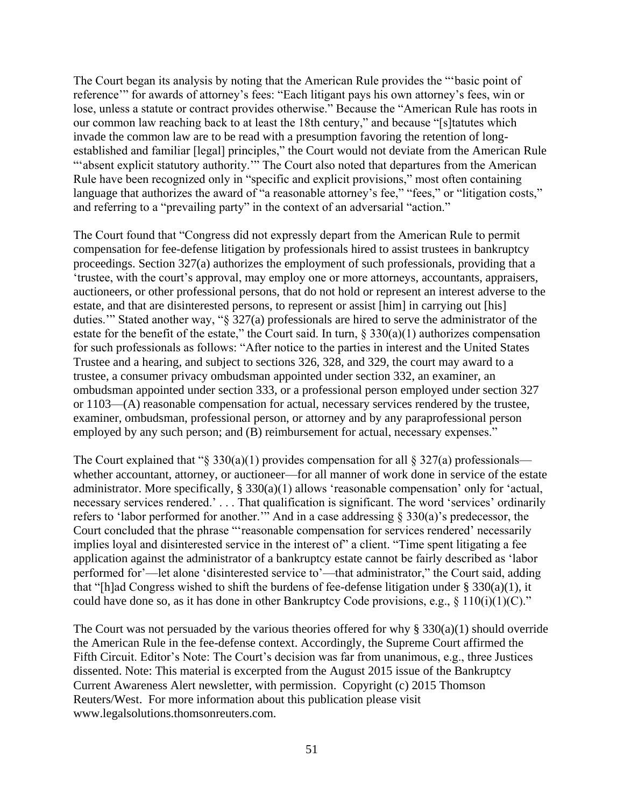The Court began its analysis by noting that the American Rule provides the "'basic point of reference'" for awards of attorney's fees: "Each litigant pays his own attorney's fees, win or lose, unless a statute or contract provides otherwise." Because the "American Rule has roots in our common law reaching back to at least the 18th century," and because "[s]tatutes which invade the common law are to be read with a presumption favoring the retention of longestablished and familiar [legal] principles," the Court would not deviate from the American Rule ""absent explicit statutory authority."" The Court also noted that departures from the American Rule have been recognized only in "specific and explicit provisions," most often containing language that authorizes the award of "a reasonable attorney's fee," "fees," or "litigation costs," and referring to a "prevailing party" in the context of an adversarial "action."

The Court found that "Congress did not expressly depart from the American Rule to permit compensation for fee-defense litigation by professionals hired to assist trustees in bankruptcy proceedings. Section 327(a) authorizes the employment of such professionals, providing that a 'trustee, with the court's approval, may employ one or more attorneys, accountants, appraisers, auctioneers, or other professional persons, that do not hold or represent an interest adverse to the estate, and that are disinterested persons, to represent or assist [him] in carrying out [his] duties.'" Stated another way, "§ 327(a) professionals are hired to serve the administrator of the estate for the benefit of the estate," the Court said. In turn,  $\S 330(a)(1)$  authorizes compensation for such professionals as follows: "After notice to the parties in interest and the United States Trustee and a hearing, and subject to sections 326, 328, and 329, the court may award to a trustee, a consumer privacy ombudsman appointed under section 332, an examiner, an ombudsman appointed under section 333, or a professional person employed under section 327 or 1103—(A) reasonable compensation for actual, necessary services rendered by the trustee, examiner, ombudsman, professional person, or attorney and by any paraprofessional person employed by any such person; and (B) reimbursement for actual, necessary expenses."

The Court explained that " $\S 330(a)(1)$  provides compensation for all  $\S 327(a)$  professionals whether accountant, attorney, or auctioneer—for all manner of work done in service of the estate administrator. More specifically, § 330(a)(1) allows 'reasonable compensation' only for 'actual, necessary services rendered.' . . . That qualification is significant. The word 'services' ordinarily refers to 'labor performed for another.'" And in a case addressing § 330(a)'s predecessor, the Court concluded that the phrase "'reasonable compensation for services rendered' necessarily implies loyal and disinterested service in the interest of" a client. "Time spent litigating a fee application against the administrator of a bankruptcy estate cannot be fairly described as 'labor performed for'—let alone 'disinterested service to'—that administrator," the Court said, adding that "[h]ad Congress wished to shift the burdens of fee-defense litigation under  $\S 330(a)(1)$ , it could have done so, as it has done in other Bankruptcy Code provisions, e.g.,  $\S$  110(i)(1)(C)."

The Court was not persuaded by the various theories offered for why  $\S 330(a)(1)$  should override the American Rule in the fee-defense context. Accordingly, the Supreme Court affirmed the Fifth Circuit. Editor's Note: The Court's decision was far from unanimous, e.g., three Justices dissented. Note: This material is excerpted from the August 2015 issue of the Bankruptcy Current Awareness Alert newsletter, with permission. Copyright (c) 2015 Thomson Reuters/West. For more information about this publication please visit www.legalsolutions.thomsonreuters.com.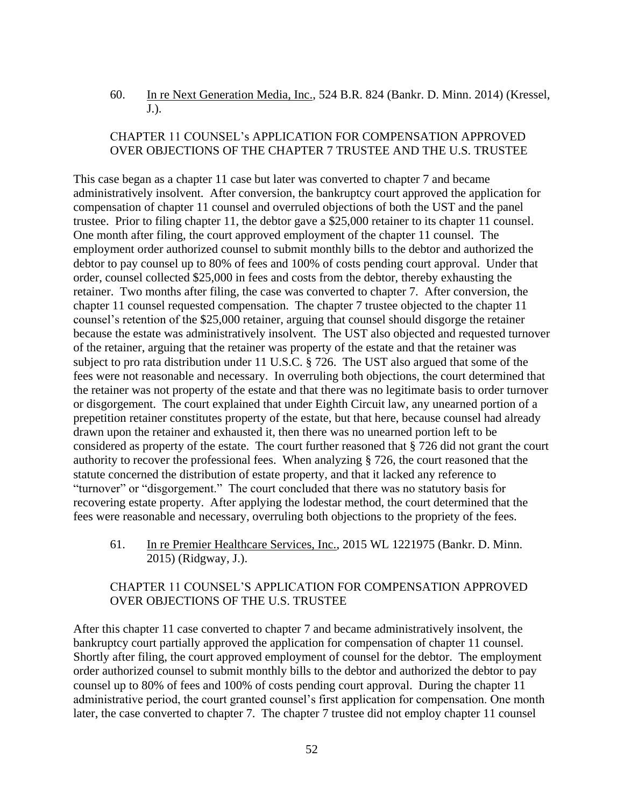60. In re Next Generation Media, Inc., 524 B.R. 824 (Bankr. D. Minn. 2014) (Kressel, J.).

### CHAPTER 11 COUNSEL's APPLICATION FOR COMPENSATION APPROVED OVER OBJECTIONS OF THE CHAPTER 7 TRUSTEE AND THE U.S. TRUSTEE

This case began as a chapter 11 case but later was converted to chapter 7 and became administratively insolvent. After conversion, the bankruptcy court approved the application for compensation of chapter 11 counsel and overruled objections of both the UST and the panel trustee. Prior to filing chapter 11, the debtor gave a \$25,000 retainer to its chapter 11 counsel. One month after filing, the court approved employment of the chapter 11 counsel. The employment order authorized counsel to submit monthly bills to the debtor and authorized the debtor to pay counsel up to 80% of fees and 100% of costs pending court approval. Under that order, counsel collected \$25,000 in fees and costs from the debtor, thereby exhausting the retainer. Two months after filing, the case was converted to chapter 7. After conversion, the chapter 11 counsel requested compensation. The chapter 7 trustee objected to the chapter 11 counsel's retention of the \$25,000 retainer, arguing that counsel should disgorge the retainer because the estate was administratively insolvent. The UST also objected and requested turnover of the retainer, arguing that the retainer was property of the estate and that the retainer was subject to pro rata distribution under 11 U.S.C. § 726. The UST also argued that some of the fees were not reasonable and necessary. In overruling both objections, the court determined that the retainer was not property of the estate and that there was no legitimate basis to order turnover or disgorgement. The court explained that under Eighth Circuit law, any unearned portion of a prepetition retainer constitutes property of the estate, but that here, because counsel had already drawn upon the retainer and exhausted it, then there was no unearned portion left to be considered as property of the estate. The court further reasoned that § 726 did not grant the court authority to recover the professional fees. When analyzing § 726, the court reasoned that the statute concerned the distribution of estate property, and that it lacked any reference to "turnover" or "disgorgement." The court concluded that there was no statutory basis for recovering estate property. After applying the lodestar method, the court determined that the fees were reasonable and necessary, overruling both objections to the propriety of the fees.

61. In re Premier Healthcare Services, Inc., 2015 WL 1221975 (Bankr. D. Minn. 2015) (Ridgway, J.).

#### CHAPTER 11 COUNSEL'S APPLICATION FOR COMPENSATION APPROVED OVER OBJECTIONS OF THE U.S. TRUSTEE

After this chapter 11 case converted to chapter 7 and became administratively insolvent, the bankruptcy court partially approved the application for compensation of chapter 11 counsel. Shortly after filing, the court approved employment of counsel for the debtor. The employment order authorized counsel to submit monthly bills to the debtor and authorized the debtor to pay counsel up to 80% of fees and 100% of costs pending court approval. During the chapter 11 administrative period, the court granted counsel's first application for compensation. One month later, the case converted to chapter 7. The chapter 7 trustee did not employ chapter 11 counsel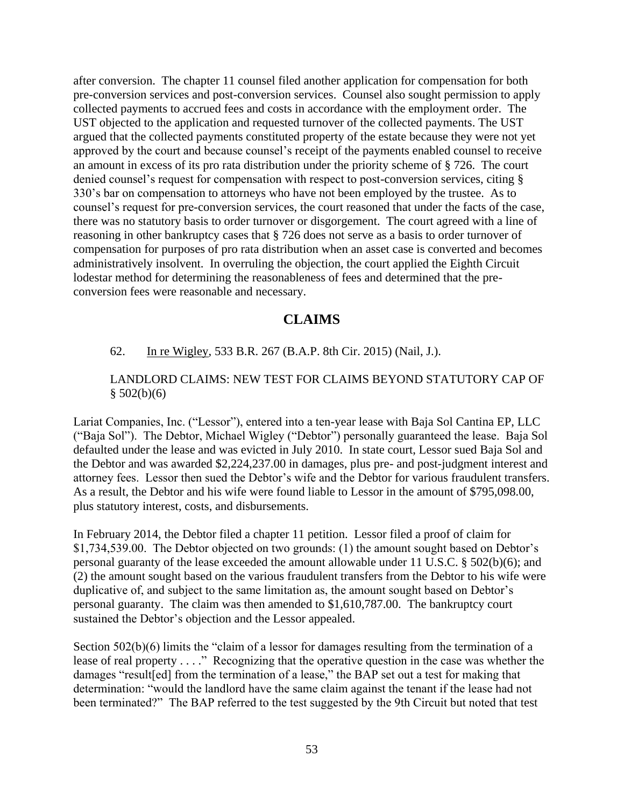after conversion. The chapter 11 counsel filed another application for compensation for both pre-conversion services and post-conversion services. Counsel also sought permission to apply collected payments to accrued fees and costs in accordance with the employment order. The UST objected to the application and requested turnover of the collected payments. The UST argued that the collected payments constituted property of the estate because they were not yet approved by the court and because counsel's receipt of the payments enabled counsel to receive an amount in excess of its pro rata distribution under the priority scheme of § 726. The court denied counsel's request for compensation with respect to post-conversion services, citing § 330's bar on compensation to attorneys who have not been employed by the trustee. As to counsel's request for pre-conversion services, the court reasoned that under the facts of the case, there was no statutory basis to order turnover or disgorgement. The court agreed with a line of reasoning in other bankruptcy cases that § 726 does not serve as a basis to order turnover of compensation for purposes of pro rata distribution when an asset case is converted and becomes administratively insolvent. In overruling the objection, the court applied the Eighth Circuit lodestar method for determining the reasonableness of fees and determined that the preconversion fees were reasonable and necessary.

# **CLAIMS**

#### <span id="page-52-0"></span>62. In re Wigley, 533 B.R. 267 (B.A.P. 8th Cir. 2015) (Nail, J.).

#### LANDLORD CLAIMS: NEW TEST FOR CLAIMS BEYOND STATUTORY CAP OF  $$502(b)(6)$

Lariat Companies, Inc. ("Lessor"), entered into a ten-year lease with Baja Sol Cantina EP, LLC ("Baja Sol"). The Debtor, Michael Wigley ("Debtor") personally guaranteed the lease. Baja Sol defaulted under the lease and was evicted in July 2010. In state court, Lessor sued Baja Sol and the Debtor and was awarded \$2,224,237.00 in damages, plus pre- and post-judgment interest and attorney fees. Lessor then sued the Debtor's wife and the Debtor for various fraudulent transfers. As a result, the Debtor and his wife were found liable to Lessor in the amount of \$795,098.00, plus statutory interest, costs, and disbursements.

In February 2014, the Debtor filed a chapter 11 petition. Lessor filed a proof of claim for \$1,734,539.00. The Debtor objected on two grounds: (1) the amount sought based on Debtor's personal guaranty of the lease exceeded the amount allowable under 11 U.S.C. § 502(b)(6); and (2) the amount sought based on the various fraudulent transfers from the Debtor to his wife were duplicative of, and subject to the same limitation as, the amount sought based on Debtor's personal guaranty. The claim was then amended to \$1,610,787.00. The bankruptcy court sustained the Debtor's objection and the Lessor appealed.

Section 502(b)(6) limits the "claim of a lessor for damages resulting from the termination of a lease of real property . . . ." Recognizing that the operative question in the case was whether the damages "result[ed] from the termination of a lease," the BAP set out a test for making that determination: "would the landlord have the same claim against the tenant if the lease had not been terminated?" The BAP referred to the test suggested by the 9th Circuit but noted that test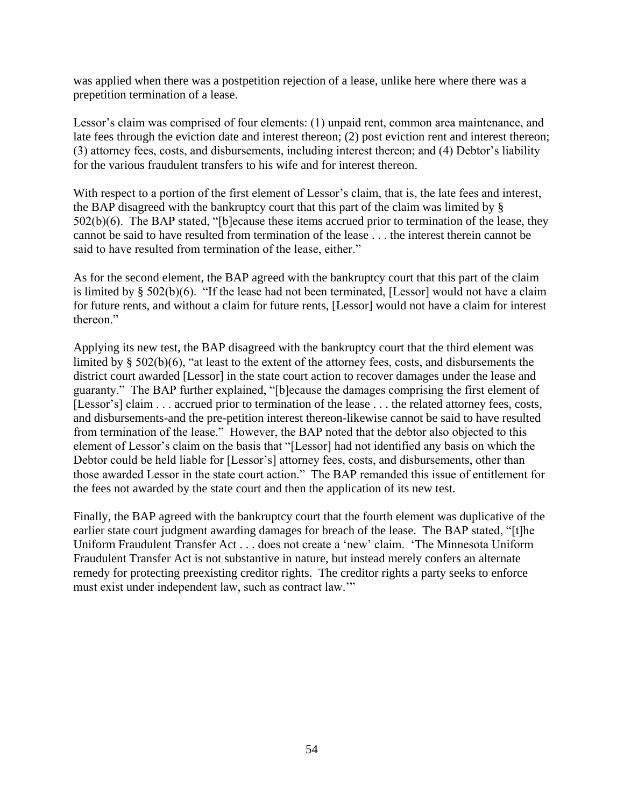was applied when there was a postpetition rejection of a lease, unlike here where there was a prepetition termination of a lease.

Lessor's claim was comprised of four elements: (1) unpaid rent, common area maintenance, and late fees through the eviction date and interest thereon; (2) post eviction rent and interest thereon; (3) attorney fees, costs, and disbursements, including interest thereon; and (4) Debtor's liability for the various fraudulent transfers to his wife and for interest thereon.

With respect to a portion of the first element of Lessor's claim, that is, the late fees and interest, the BAP disagreed with the bankruptcy court that this part of the claim was limited by § 502(b)(6). The BAP stated, "[b]ecause these items accrued prior to termination of the lease, they cannot be said to have resulted from termination of the lease . . . the interest therein cannot be said to have resulted from termination of the lease, either."

As for the second element, the BAP agreed with the bankruptcy court that this part of the claim is limited by § 502(b)(6). "If the lease had not been terminated, [Lessor] would not have a claim for future rents, and without a claim for future rents, [Lessor] would not have a claim for interest thereon."

Applying its new test, the BAP disagreed with the bankruptcy court that the third element was limited by § 502(b)(6), "at least to the extent of the attorney fees, costs, and disbursements the district court awarded [Lessor] in the state court action to recover damages under the lease and guaranty." The BAP further explained, "[b]ecause the damages comprising the first element of [Lessor's] claim . . . accrued prior to termination of the lease . . . the related attorney fees, costs, and disbursements-and the pre-petition interest thereon-likewise cannot be said to have resulted from termination of the lease." However, the BAP noted that the debtor also objected to this element of Lessor's claim on the basis that "[Lessor] had not identified any basis on which the Debtor could be held liable for [Lessor's] attorney fees, costs, and disbursements, other than those awarded Lessor in the state court action." The BAP remanded this issue of entitlement for the fees not awarded by the state court and then the application of its new test.

Finally, the BAP agreed with the bankruptcy court that the fourth element was duplicative of the earlier state court judgment awarding damages for breach of the lease. The BAP stated, "[t]he Uniform Fraudulent Transfer Act . . . does not create a 'new' claim. 'The Minnesota Uniform Fraudulent Transfer Act is not substantive in nature, but instead merely confers an alternate remedy for protecting preexisting creditor rights. The creditor rights a party seeks to enforce must exist under independent law, such as contract law.'"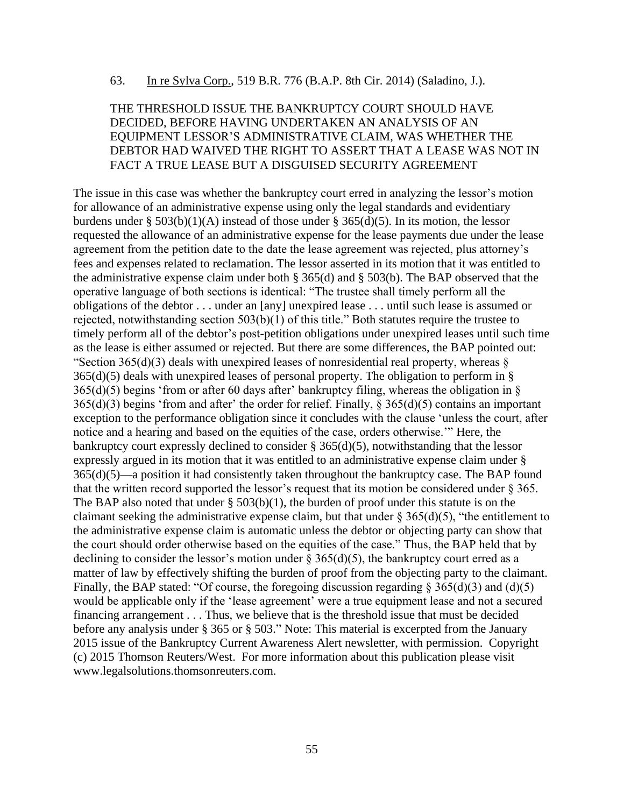#### 63. In re Sylva Corp., 519 B.R. 776 (B.A.P. 8th Cir. 2014) (Saladino, J.).

#### THE THRESHOLD ISSUE THE BANKRUPTCY COURT SHOULD HAVE DECIDED, BEFORE HAVING UNDERTAKEN AN ANALYSIS OF AN EQUIPMENT LESSOR'S ADMINISTRATIVE CLAIM, WAS WHETHER THE DEBTOR HAD WAIVED THE RIGHT TO ASSERT THAT A LEASE WAS NOT IN FACT A TRUE LEASE BUT A DISGUISED SECURITY AGREEMENT

The issue in this case was whether the bankruptcy court erred in analyzing the lessor's motion for allowance of an administrative expense using only the legal standards and evidentiary burdens under § 503(b)(1)(A) instead of those under § 365(d)(5). In its motion, the lessor requested the allowance of an administrative expense for the lease payments due under the lease agreement from the petition date to the date the lease agreement was rejected, plus attorney's fees and expenses related to reclamation. The lessor asserted in its motion that it was entitled to the administrative expense claim under both § 365(d) and § 503(b). The BAP observed that the operative language of both sections is identical: "The trustee shall timely perform all the obligations of the debtor . . . under an [any] unexpired lease . . . until such lease is assumed or rejected, notwithstanding section 503(b)(1) of this title." Both statutes require the trustee to timely perform all of the debtor's post-petition obligations under unexpired leases until such time as the lease is either assumed or rejected. But there are some differences, the BAP pointed out: "Section 365(d)(3) deals with unexpired leases of nonresidential real property, whereas  $\S$  $365(d)(5)$  deals with unexpired leases of personal property. The obligation to perform in §  $365(d)(5)$  begins 'from or after 60 days after' bankruptcy filing, whereas the obligation in §  $365(d)(3)$  begins 'from and after' the order for relief. Finally, § 365(d)(5) contains an important exception to the performance obligation since it concludes with the clause 'unless the court, after notice and a hearing and based on the equities of the case, orders otherwise.'" Here, the bankruptcy court expressly declined to consider § 365(d)(5), notwithstanding that the lessor expressly argued in its motion that it was entitled to an administrative expense claim under § 365(d)(5)—a position it had consistently taken throughout the bankruptcy case. The BAP found that the written record supported the lessor's request that its motion be considered under § 365. The BAP also noted that under  $\S$  503(b)(1), the burden of proof under this statute is on the claimant seeking the administrative expense claim, but that under  $\S 365(d)(5)$ , "the entitlement to the administrative expense claim is automatic unless the debtor or objecting party can show that the court should order otherwise based on the equities of the case." Thus, the BAP held that by declining to consider the lessor's motion under  $\S 365(d)(5)$ , the bankruptcy court erred as a matter of law by effectively shifting the burden of proof from the objecting party to the claimant. Finally, the BAP stated: "Of course, the foregoing discussion regarding  $\S 365(d)(3)$  and (d)(5) would be applicable only if the 'lease agreement' were a true equipment lease and not a secured financing arrangement . . . Thus, we believe that is the threshold issue that must be decided before any analysis under § 365 or § 503." Note: This material is excerpted from the January 2015 issue of the Bankruptcy Current Awareness Alert newsletter, with permission. Copyright (c) 2015 Thomson Reuters/West. For more information about this publication please visit www.legalsolutions.thomsonreuters.com.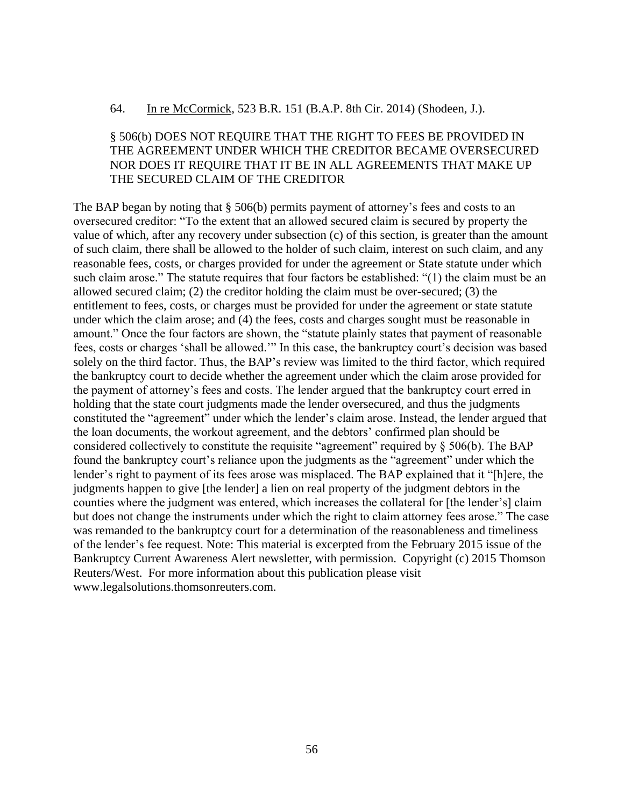#### 64. In re McCormick, 523 B.R. 151 (B.A.P. 8th Cir. 2014) (Shodeen, J.).

# § 506(b) DOES NOT REQUIRE THAT THE RIGHT TO FEES BE PROVIDED IN THE AGREEMENT UNDER WHICH THE CREDITOR BECAME OVERSECURED NOR DOES IT REQUIRE THAT IT BE IN ALL AGREEMENTS THAT MAKE UP THE SECURED CLAIM OF THE CREDITOR

The BAP began by noting that § 506(b) permits payment of attorney's fees and costs to an oversecured creditor: "To the extent that an allowed secured claim is secured by property the value of which, after any recovery under subsection (c) of this section, is greater than the amount of such claim, there shall be allowed to the holder of such claim, interest on such claim, and any reasonable fees, costs, or charges provided for under the agreement or State statute under which such claim arose." The statute requires that four factors be established: "(1) the claim must be an allowed secured claim; (2) the creditor holding the claim must be over-secured; (3) the entitlement to fees, costs, or charges must be provided for under the agreement or state statute under which the claim arose; and (4) the fees, costs and charges sought must be reasonable in amount." Once the four factors are shown, the "statute plainly states that payment of reasonable fees, costs or charges 'shall be allowed.'" In this case, the bankruptcy court's decision was based solely on the third factor. Thus, the BAP's review was limited to the third factor, which required the bankruptcy court to decide whether the agreement under which the claim arose provided for the payment of attorney's fees and costs. The lender argued that the bankruptcy court erred in holding that the state court judgments made the lender oversecured, and thus the judgments constituted the "agreement" under which the lender's claim arose. Instead, the lender argued that the loan documents, the workout agreement, and the debtors' confirmed plan should be considered collectively to constitute the requisite "agreement" required by § 506(b). The BAP found the bankruptcy court's reliance upon the judgments as the "agreement" under which the lender's right to payment of its fees arose was misplaced. The BAP explained that it "[h]ere, the judgments happen to give [the lender] a lien on real property of the judgment debtors in the counties where the judgment was entered, which increases the collateral for [the lender's] claim but does not change the instruments under which the right to claim attorney fees arose." The case was remanded to the bankruptcy court for a determination of the reasonableness and timeliness of the lender's fee request. Note: This material is excerpted from the February 2015 issue of the Bankruptcy Current Awareness Alert newsletter, with permission. Copyright (c) 2015 Thomson Reuters/West. For more information about this publication please visit www.legalsolutions.thomsonreuters.com.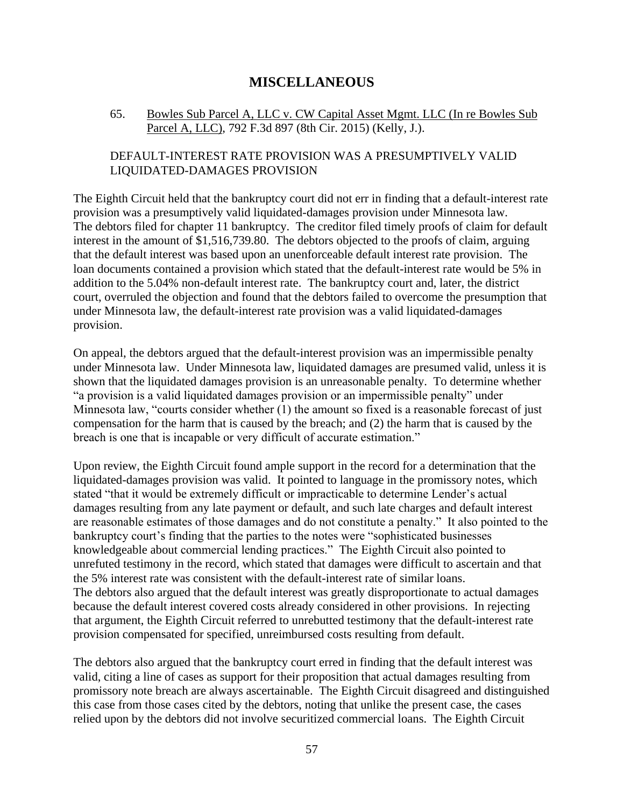# **MISCELLANEOUS**

#### <span id="page-56-0"></span>65. Bowles Sub Parcel A, LLC v. CW Capital Asset Mgmt. LLC (In re Bowles Sub Parcel A, LLC), 792 F.3d 897 (8th Cir. 2015) (Kelly, J.).

# DEFAULT-INTEREST RATE PROVISION WAS A PRESUMPTIVELY VALID LIQUIDATED-DAMAGES PROVISION

The Eighth Circuit held that the bankruptcy court did not err in finding that a default-interest rate provision was a presumptively valid liquidated-damages provision under Minnesota law. The debtors filed for chapter 11 bankruptcy. The creditor filed timely proofs of claim for default interest in the amount of \$1,516,739.80. The debtors objected to the proofs of claim, arguing that the default interest was based upon an unenforceable default interest rate provision. The loan documents contained a provision which stated that the default-interest rate would be 5% in addition to the 5.04% non-default interest rate. The bankruptcy court and, later, the district court, overruled the objection and found that the debtors failed to overcome the presumption that under Minnesota law, the default-interest rate provision was a valid liquidated-damages provision.

On appeal, the debtors argued that the default-interest provision was an impermissible penalty under Minnesota law. Under Minnesota law, liquidated damages are presumed valid, unless it is shown that the liquidated damages provision is an unreasonable penalty. To determine whether "a provision is a valid liquidated damages provision or an impermissible penalty" under Minnesota law, "courts consider whether (1) the amount so fixed is a reasonable forecast of just compensation for the harm that is caused by the breach; and (2) the harm that is caused by the breach is one that is incapable or very difficult of accurate estimation."

Upon review, the Eighth Circuit found ample support in the record for a determination that the liquidated-damages provision was valid. It pointed to language in the promissory notes, which stated "that it would be extremely difficult or impracticable to determine Lender's actual damages resulting from any late payment or default, and such late charges and default interest are reasonable estimates of those damages and do not constitute a penalty." It also pointed to the bankruptcy court's finding that the parties to the notes were "sophisticated businesses knowledgeable about commercial lending practices." The Eighth Circuit also pointed to unrefuted testimony in the record, which stated that damages were difficult to ascertain and that the 5% interest rate was consistent with the default-interest rate of similar loans. The debtors also argued that the default interest was greatly disproportionate to actual damages because the default interest covered costs already considered in other provisions. In rejecting that argument, the Eighth Circuit referred to unrebutted testimony that the default-interest rate provision compensated for specified, unreimbursed costs resulting from default.

The debtors also argued that the bankruptcy court erred in finding that the default interest was valid, citing a line of cases as support for their proposition that actual damages resulting from promissory note breach are always ascertainable. The Eighth Circuit disagreed and distinguished this case from those cases cited by the debtors, noting that unlike the present case, the cases relied upon by the debtors did not involve securitized commercial loans. The Eighth Circuit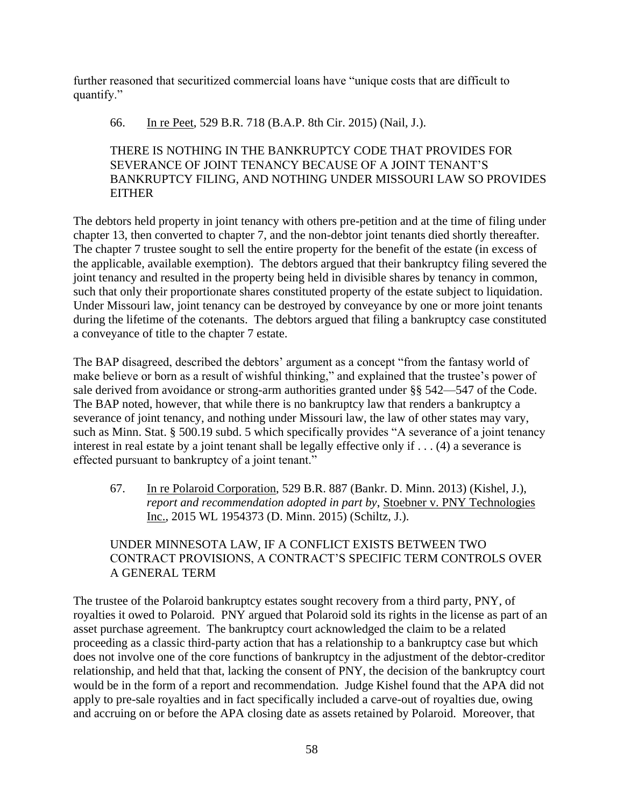further reasoned that securitized commercial loans have "unique costs that are difficult to quantify."

## 66. In re Peet, 529 B.R. 718 (B.A.P. 8th Cir. 2015) (Nail, J.).

# THERE IS NOTHING IN THE BANKRUPTCY CODE THAT PROVIDES FOR SEVERANCE OF JOINT TENANCY BECAUSE OF A JOINT TENANT'S BANKRUPTCY FILING, AND NOTHING UNDER MISSOURI LAW SO PROVIDES **EITHER**

The debtors held property in joint tenancy with others pre-petition and at the time of filing under chapter 13, then converted to chapter 7, and the non-debtor joint tenants died shortly thereafter. The chapter 7 trustee sought to sell the entire property for the benefit of the estate (in excess of the applicable, available exemption). The debtors argued that their bankruptcy filing severed the joint tenancy and resulted in the property being held in divisible shares by tenancy in common, such that only their proportionate shares constituted property of the estate subject to liquidation. Under Missouri law, joint tenancy can be destroyed by conveyance by one or more joint tenants during the lifetime of the cotenants. The debtors argued that filing a bankruptcy case constituted a conveyance of title to the chapter 7 estate.

The BAP disagreed, described the debtors' argument as a concept "from the fantasy world of make believe or born as a result of wishful thinking," and explained that the trustee's power of sale derived from avoidance or strong-arm authorities granted under §§ 542—547 of the Code. The BAP noted, however, that while there is no bankruptcy law that renders a bankruptcy a severance of joint tenancy, and nothing under Missouri law, the law of other states may vary, such as Minn. Stat. § 500.19 subd. 5 which specifically provides "A severance of a joint tenancy interest in real estate by a joint tenant shall be legally effective only if . . . (4) a severance is effected pursuant to bankruptcy of a joint tenant."

67. In re Polaroid Corporation, 529 B.R. 887 (Bankr. D. Minn. 2013) (Kishel, J.), *report and recommendation adopted in part by*, Stoebner v. PNY Technologies Inc., 2015 WL 1954373 (D. Minn. 2015) (Schiltz, J.).

# UNDER MINNESOTA LAW, IF A CONFLICT EXISTS BETWEEN TWO CONTRACT PROVISIONS, A CONTRACT'S SPECIFIC TERM CONTROLS OVER A GENERAL TERM

The trustee of the Polaroid bankruptcy estates sought recovery from a third party, PNY, of royalties it owed to Polaroid. PNY argued that Polaroid sold its rights in the license as part of an asset purchase agreement. The bankruptcy court acknowledged the claim to be a related proceeding as a classic third-party action that has a relationship to a bankruptcy case but which does not involve one of the core functions of bankruptcy in the adjustment of the debtor-creditor relationship, and held that that, lacking the consent of PNY, the decision of the bankruptcy court would be in the form of a report and recommendation. Judge Kishel found that the APA did not apply to pre-sale royalties and in fact specifically included a carve-out of royalties due, owing and accruing on or before the APA closing date as assets retained by Polaroid. Moreover, that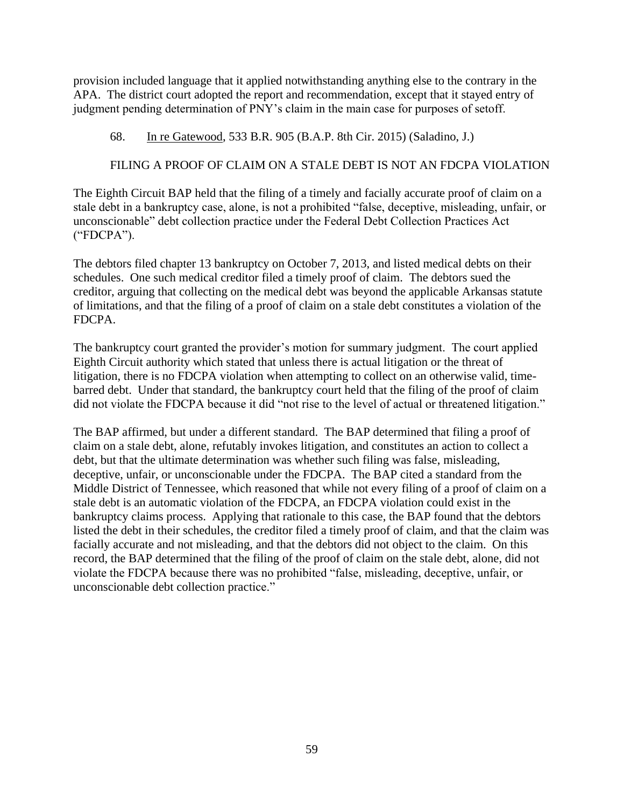provision included language that it applied notwithstanding anything else to the contrary in the APA. The district court adopted the report and recommendation, except that it stayed entry of judgment pending determination of PNY's claim in the main case for purposes of setoff.

68. In re Gatewood, 533 B.R. 905 (B.A.P. 8th Cir. 2015) (Saladino, J.)

# FILING A PROOF OF CLAIM ON A STALE DEBT IS NOT AN FDCPA VIOLATION

The Eighth Circuit BAP held that the filing of a timely and facially accurate proof of claim on a stale debt in a bankruptcy case, alone, is not a prohibited "false, deceptive, misleading, unfair, or unconscionable" debt collection practice under the Federal Debt Collection Practices Act ("FDCPA").

The debtors filed chapter 13 bankruptcy on October 7, 2013, and listed medical debts on their schedules. One such medical creditor filed a timely proof of claim. The debtors sued the creditor, arguing that collecting on the medical debt was beyond the applicable Arkansas statute of limitations, and that the filing of a proof of claim on a stale debt constitutes a violation of the FDCPA.

The bankruptcy court granted the provider's motion for summary judgment. The court applied Eighth Circuit authority which stated that unless there is actual litigation or the threat of litigation, there is no FDCPA violation when attempting to collect on an otherwise valid, timebarred debt. Under that standard, the bankruptcy court held that the filing of the proof of claim did not violate the FDCPA because it did "not rise to the level of actual or threatened litigation."

The BAP affirmed, but under a different standard. The BAP determined that filing a proof of claim on a stale debt, alone, refutably invokes litigation, and constitutes an action to collect a debt, but that the ultimate determination was whether such filing was false, misleading, deceptive, unfair, or unconscionable under the FDCPA. The BAP cited a standard from the Middle District of Tennessee, which reasoned that while not every filing of a proof of claim on a stale debt is an automatic violation of the FDCPA, an FDCPA violation could exist in the bankruptcy claims process. Applying that rationale to this case, the BAP found that the debtors listed the debt in their schedules, the creditor filed a timely proof of claim, and that the claim was facially accurate and not misleading, and that the debtors did not object to the claim. On this record, the BAP determined that the filing of the proof of claim on the stale debt, alone, did not violate the FDCPA because there was no prohibited "false, misleading, deceptive, unfair, or unconscionable debt collection practice."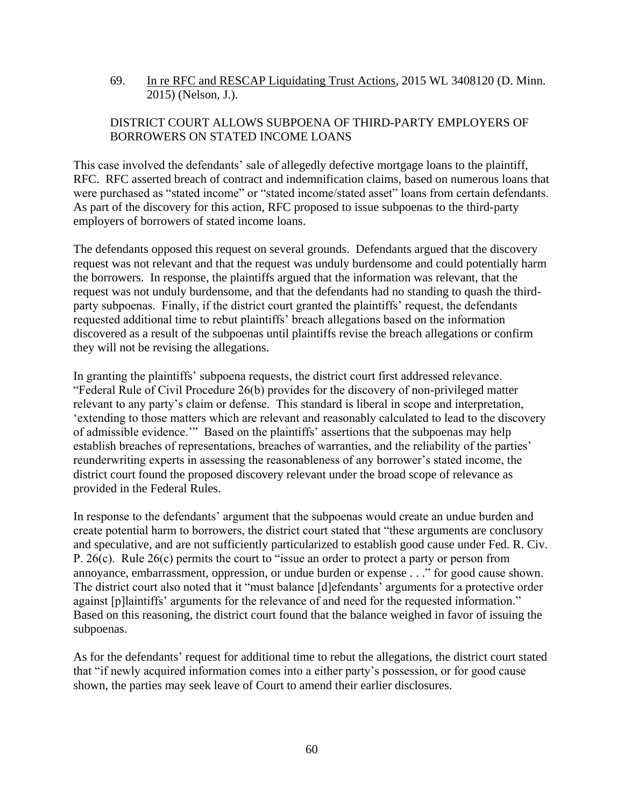69. In re RFC and RESCAP Liquidating Trust Actions, 2015 WL 3408120 (D. Minn. 2015) (Nelson, J.).

# DISTRICT COURT ALLOWS SUBPOENA OF THIRD-PARTY EMPLOYERS OF BORROWERS ON STATED INCOME LOANS

This case involved the defendants' sale of allegedly defective mortgage loans to the plaintiff, RFC. RFC asserted breach of contract and indemnification claims, based on numerous loans that were purchased as "stated income" or "stated income/stated asset" loans from certain defendants. As part of the discovery for this action, RFC proposed to issue subpoenas to the third-party employers of borrowers of stated income loans.

The defendants opposed this request on several grounds. Defendants argued that the discovery request was not relevant and that the request was unduly burdensome and could potentially harm the borrowers. In response, the plaintiffs argued that the information was relevant, that the request was not unduly burdensome, and that the defendants had no standing to quash the thirdparty subpoenas. Finally, if the district court granted the plaintiffs' request, the defendants requested additional time to rebut plaintiffs' breach allegations based on the information discovered as a result of the subpoenas until plaintiffs revise the breach allegations or confirm they will not be revising the allegations.

In granting the plaintiffs' subpoena requests, the district court first addressed relevance. "Federal Rule of Civil Procedure 26(b) provides for the discovery of non-privileged matter relevant to any party's claim or defense. This standard is liberal in scope and interpretation, 'extending to those matters which are relevant and reasonably calculated to lead to the discovery of admissible evidence.'" Based on the plaintiffs' assertions that the subpoenas may help establish breaches of representations, breaches of warranties, and the reliability of the parties' reunderwriting experts in assessing the reasonableness of any borrower's stated income, the district court found the proposed discovery relevant under the broad scope of relevance as provided in the Federal Rules.

In response to the defendants' argument that the subpoenas would create an undue burden and create potential harm to borrowers, the district court stated that "these arguments are conclusory and speculative, and are not sufficiently particularized to establish good cause under Fed. R. Civ. P. 26(c). Rule 26(c) permits the court to "issue an order to protect a party or person from annoyance, embarrassment, oppression, or undue burden or expense . . ." for good cause shown. The district court also noted that it "must balance [d]efendants' arguments for a protective order against [p]laintiffs' arguments for the relevance of and need for the requested information." Based on this reasoning, the district court found that the balance weighed in favor of issuing the subpoenas.

As for the defendants' request for additional time to rebut the allegations, the district court stated that "if newly acquired information comes into a either party's possession, or for good cause shown, the parties may seek leave of Court to amend their earlier disclosures.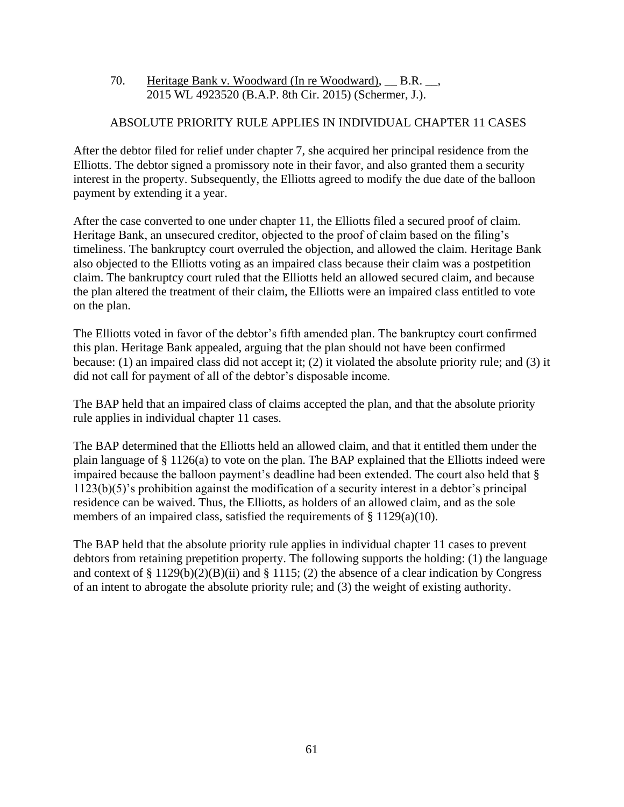70. Heritage Bank v. Woodward (In re Woodward), \_\_ B.R. \_\_, 2015 WL 4923520 (B.A.P. 8th Cir. 2015) (Schermer, J.).

# ABSOLUTE PRIORITY RULE APPLIES IN INDIVIDUAL CHAPTER 11 CASES

After the debtor filed for relief under chapter 7, she acquired her principal residence from the Elliotts. The debtor signed a promissory note in their favor, and also granted them a security interest in the property. Subsequently, the Elliotts agreed to modify the due date of the balloon payment by extending it a year.

After the case converted to one under chapter 11, the Elliotts filed a secured proof of claim. Heritage Bank, an unsecured creditor, objected to the proof of claim based on the filing's timeliness. The bankruptcy court overruled the objection, and allowed the claim. Heritage Bank also objected to the Elliotts voting as an impaired class because their claim was a postpetition claim. The bankruptcy court ruled that the Elliotts held an allowed secured claim, and because the plan altered the treatment of their claim, the Elliotts were an impaired class entitled to vote on the plan.

The Elliotts voted in favor of the debtor's fifth amended plan. The bankruptcy court confirmed this plan. Heritage Bank appealed, arguing that the plan should not have been confirmed because: (1) an impaired class did not accept it; (2) it violated the absolute priority rule; and (3) it did not call for payment of all of the debtor's disposable income.

The BAP held that an impaired class of claims accepted the plan, and that the absolute priority rule applies in individual chapter 11 cases.

The BAP determined that the Elliotts held an allowed claim, and that it entitled them under the plain language of § 1126(a) to vote on the plan. The BAP explained that the Elliotts indeed were impaired because the balloon payment's deadline had been extended. The court also held that § 1123(b)(5)'s prohibition against the modification of a security interest in a debtor's principal residence can be waived. Thus, the Elliotts, as holders of an allowed claim, and as the sole members of an impaired class, satisfied the requirements of § 1129(a)(10).

The BAP held that the absolute priority rule applies in individual chapter 11 cases to prevent debtors from retaining prepetition property. The following supports the holding: (1) the language and context of § 1129(b)(2)(B)(ii) and § 1115; (2) the absence of a clear indication by Congress of an intent to abrogate the absolute priority rule; and (3) the weight of existing authority.